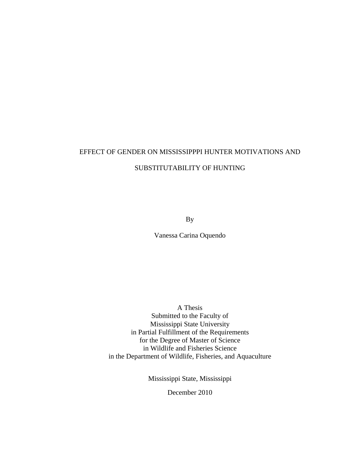# EFFECT OF GENDER ON MISSISSIPPPI HUNTER MOTIVATIONS AND SUBSTITUTABILITY OF HUNTING

By

Vanessa Carina Oquendo

A Thesis Submitted to the Faculty of Mississippi State University in Partial Fulfillment of the Requirements for the Degree of Master of Science in Wildlife and Fisheries Science in the Department of Wildlife, Fisheries, and Aquaculture

Mississippi State, Mississippi

December 2010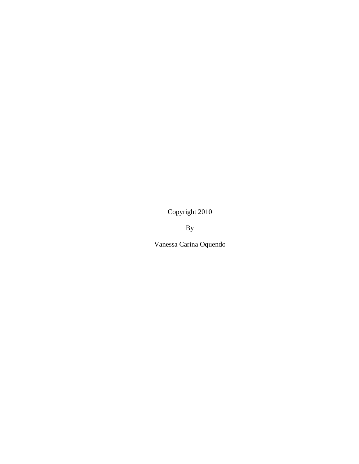Copyright 2010

By

Vanessa Carina Oquendo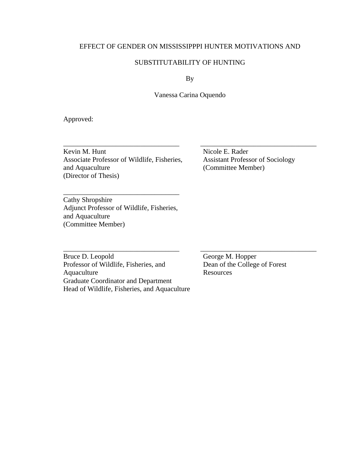## EFFECT OF GENDER ON MISSISSIPPPI HUNTER MOTIVATIONS AND

## SUBSTITUTABILITY OF HUNTING

By

Vanessa Carina Oquendo

\_\_\_\_\_\_\_\_\_\_\_\_\_\_\_\_\_\_\_\_\_\_\_\_\_\_\_\_\_\_\_\_\_ \_\_\_\_\_\_\_\_\_\_\_\_\_\_\_\_\_\_\_\_\_\_\_\_\_\_\_\_\_\_\_\_\_

Approved:

\_\_\_\_\_\_\_\_\_\_\_\_\_\_\_\_\_\_\_\_\_\_\_\_\_\_\_\_\_\_\_\_\_ \_\_\_\_\_\_\_\_\_\_\_\_\_\_\_\_\_\_\_\_\_\_\_\_\_\_\_\_\_\_\_\_\_ Kevin M. Hunt Nicole E. Rader<br>Associate Professor of Wildlife, Fisheries, Assistant Professor of Sociology Associate Professor of Wildlife, Fisheries, and Aquaculture (Committee Member) (Director of Thesis)

Cathy Shropshire Adjunct Professor of Wildlife, Fisheries, and Aquaculture (Committee Member)

\_\_\_\_\_\_\_\_\_\_\_\_\_\_\_\_\_\_\_\_\_\_\_\_\_\_\_\_\_\_\_\_\_

Bruce D. Leopold<br>
Professor of Wildlife, Fisheries, and<br>
Dean of the College of Forest Professor of Wildlife, Fisheries, and Aquaculture Resources Graduate Coordinator and Department Head of Wildlife, Fisheries, and Aquaculture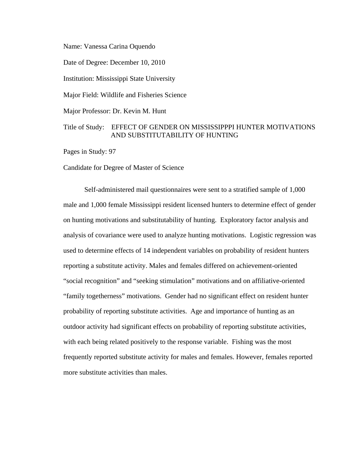Name: Vanessa Carina Oquendo

Date of Degree: December 10, 2010

Institution: Mississippi State University

Major Field: Wildlife and Fisheries Science

Major Professor: Dr. Kevin M. Hunt

## Title of Study: EFFECT OF GENDER ON MISSISSIPPPI HUNTER MOTIVATIONS AND SUBSTITUTABILITY OF HUNTING

Pages in Study: 97

Candidate for Degree of Master of Science

Self-administered mail questionnaires were sent to a stratified sample of 1,000 male and 1,000 female Mississippi resident licensed hunters to determine effect of gender on hunting motivations and substitutability of hunting. Exploratory factor analysis and analysis of covariance were used to analyze hunting motivations. Logistic regression was used to determine effects of 14 independent variables on probability of resident hunters reporting a substitute activity. Males and females differed on achievement-oriented "social recognition" and "seeking stimulation" motivations and on affiliative-oriented "family togetherness" motivations. Gender had no significant effect on resident hunter probability of reporting substitute activities. Age and importance of hunting as an outdoor activity had significant effects on probability of reporting substitute activities, with each being related positively to the response variable. Fishing was the most frequently reported substitute activity for males and females. However, females reported more substitute activities than males.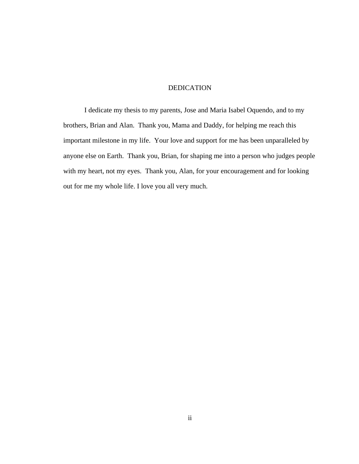## DEDICATION

I dedicate my thesis to my parents, Jose and Maria Isabel Oquendo, and to my brothers, Brian and Alan. Thank you, Mama and Daddy, for helping me reach this important milestone in my life. Your love and support for me has been unparalleled by anyone else on Earth. Thank you, Brian, for shaping me into a person who judges people with my heart, not my eyes. Thank you, Alan, for your encouragement and for looking out for me my whole life. I love you all very much.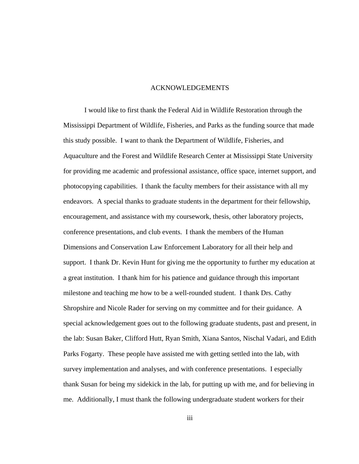#### ACKNOWLEDGEMENTS

I would like to first thank the Federal Aid in Wildlife Restoration through the Mississippi Department of Wildlife, Fisheries, and Parks as the funding source that made this study possible. I want to thank the Department of Wildlife, Fisheries, and Aquaculture and the Forest and Wildlife Research Center at Mississippi State University for providing me academic and professional assistance, office space, internet support, and photocopying capabilities. I thank the faculty members for their assistance with all my endeavors. A special thanks to graduate students in the department for their fellowship, encouragement, and assistance with my coursework, thesis, other laboratory projects, conference presentations, and club events. I thank the members of the Human Dimensions and Conservation Law Enforcement Laboratory for all their help and support. I thank Dr. Kevin Hunt for giving me the opportunity to further my education at a great institution. I thank him for his patience and guidance through this important milestone and teaching me how to be a well-rounded student. I thank Drs. Cathy Shropshire and Nicole Rader for serving on my committee and for their guidance. A special acknowledgement goes out to the following graduate students, past and present, in the lab: Susan Baker, Clifford Hutt, Ryan Smith, Xiana Santos, Nischal Vadari, and Edith Parks Fogarty. These people have assisted me with getting settled into the lab, with survey implementation and analyses, and with conference presentations. I especially thank Susan for being my sidekick in the lab, for putting up with me, and for believing in me. Additionally, I must thank the following undergraduate student workers for their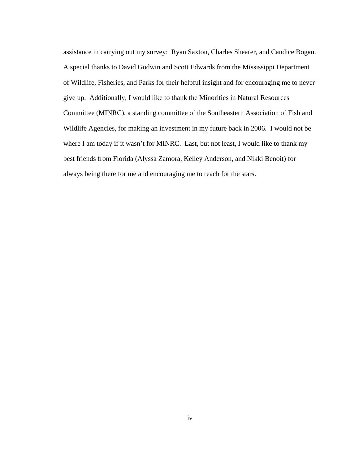assistance in carrying out my survey: Ryan Saxton, Charles Shearer, and Candice Bogan. A special thanks to David Godwin and Scott Edwards from the Mississippi Department of Wildlife, Fisheries, and Parks for their helpful insight and for encouraging me to never give up. Additionally, I would like to thank the Minorities in Natural Resources Committee (MINRC), a standing committee of the Southeastern Association of Fish and Wildlife Agencies, for making an investment in my future back in 2006. I would not be where I am today if it wasn't for MINRC. Last, but not least, I would like to thank my best friends from Florida (Alyssa Zamora, Kelley Anderson, and Nikki Benoit) for always being there for me and encouraging me to reach for the stars.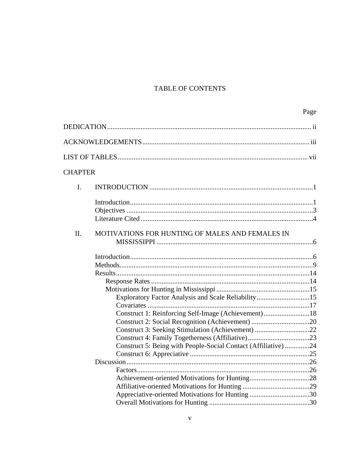## TABLE OF CONTENTS

|                                                                                                                                                                                                                                                 | Page |
|-------------------------------------------------------------------------------------------------------------------------------------------------------------------------------------------------------------------------------------------------|------|
|                                                                                                                                                                                                                                                 |      |
|                                                                                                                                                                                                                                                 |      |
|                                                                                                                                                                                                                                                 |      |
| <b>CHAPTER</b>                                                                                                                                                                                                                                  |      |
| I.                                                                                                                                                                                                                                              |      |
|                                                                                                                                                                                                                                                 |      |
| II.<br>MOTIVATIONS FOR HUNTING OF MALES AND FEMALES IN                                                                                                                                                                                          |      |
|                                                                                                                                                                                                                                                 |      |
| Exploratory Factor Analysis and Scale Reliability15<br>Covariates<br>Construct 1: Reinforcing Self-Image (Achievement)18<br>Construct 3: Seeking Stimulation (Achievement) 22<br>Construct 5: Being with People-Social Contact (Affiliative) 24 |      |
| Appreciative-oriented Motivations for Hunting 30                                                                                                                                                                                                |      |
|                                                                                                                                                                                                                                                 |      |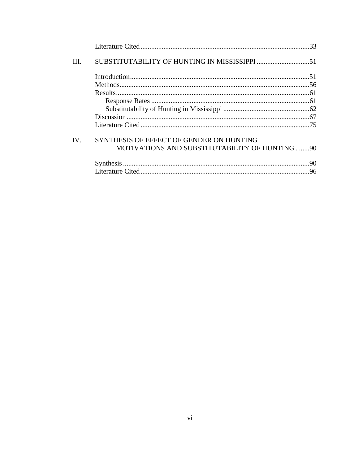| HL.          |                                                |  |
|--------------|------------------------------------------------|--|
|              |                                                |  |
|              |                                                |  |
|              |                                                |  |
|              |                                                |  |
|              |                                                |  |
|              |                                                |  |
|              |                                                |  |
| $IV_{\cdot}$ | SYNTHESIS OF EFFECT OF GENDER ON HUNTING       |  |
|              | MOTIVATIONS AND SUBSTITUTABILITY OF HUNTING 90 |  |
|              |                                                |  |
|              |                                                |  |
|              |                                                |  |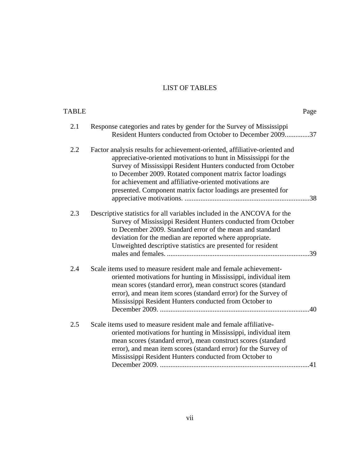## LIST OF TABLES

| Page                                                                                                                                                                                                                                                                                                                                                                                                       | <b>TABLE</b> |
|------------------------------------------------------------------------------------------------------------------------------------------------------------------------------------------------------------------------------------------------------------------------------------------------------------------------------------------------------------------------------------------------------------|--------------|
| Response categories and rates by gender for the Survey of Mississippi<br>Resident Hunters conducted from October to December 200937                                                                                                                                                                                                                                                                        | 2.1          |
| Factor analysis results for achievement-oriented, affiliative-oriented and<br>appreciative-oriented motivations to hunt in Mississippi for the<br>Survey of Mississippi Resident Hunters conducted from October<br>to December 2009. Rotated component matrix factor loadings<br>for achievement and affiliative-oriented motivations are<br>presented. Component matrix factor loadings are presented for | 2.2          |
| Descriptive statistics for all variables included in the ANCOVA for the<br>Survey of Mississippi Resident Hunters conducted from October<br>to December 2009. Standard error of the mean and standard<br>deviation for the median are reported where appropriate.<br>Unweighted descriptive statistics are presented for resident                                                                          | 2.3          |
| Scale items used to measure resident male and female achievement-<br>oriented motivations for hunting in Mississippi, individual item<br>mean scores (standard error), mean construct scores (standard<br>error), and mean item scores (standard error) for the Survey of<br>Mississippi Resident Hunters conducted from October to                                                                        | 2.4          |
| Scale items used to measure resident male and female affiliative-<br>oriented motivations for hunting in Mississippi, individual item<br>mean scores (standard error), mean construct scores (standard<br>error), and mean item scores (standard error) for the Survey of<br>Mississippi Resident Hunters conducted from October to<br>.41                                                                 | 2.5          |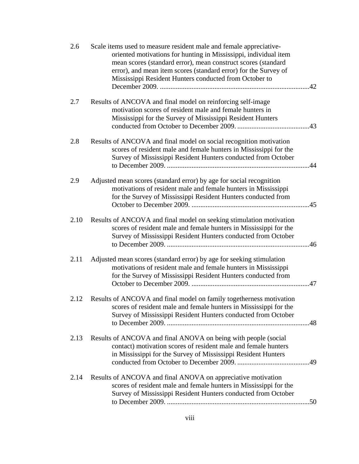| 2.6  | Scale items used to measure resident male and female appreciative-<br>oriented motivations for hunting in Mississippi, individual item<br>mean scores (standard error), mean construct scores (standard<br>error), and mean item scores (standard error) for the Survey of<br>Mississippi Resident Hunters conducted from October to | .42 |
|------|--------------------------------------------------------------------------------------------------------------------------------------------------------------------------------------------------------------------------------------------------------------------------------------------------------------------------------------|-----|
| 2.7  | Results of ANCOVA and final model on reinforcing self-image<br>motivation scores of resident male and female hunters in<br>Mississippi for the Survey of Mississippi Resident Hunters                                                                                                                                                |     |
| 2.8  | Results of ANCOVA and final model on social recognition motivation<br>scores of resident male and female hunters in Mississippi for the<br>Survey of Mississippi Resident Hunters conducted from October                                                                                                                             | .44 |
| 2.9  | Adjusted mean scores (standard error) by age for social recognition<br>motivations of resident male and female hunters in Mississippi<br>for the Survey of Mississippi Resident Hunters conducted from                                                                                                                               |     |
| 2.10 | Results of ANCOVA and final model on seeking stimulation motivation<br>scores of resident male and female hunters in Mississippi for the<br>Survey of Mississippi Resident Hunters conducted from October                                                                                                                            |     |
| 2.11 | Adjusted mean scores (standard error) by age for seeking stimulation<br>motivations of resident male and female hunters in Mississippi<br>for the Survey of Mississippi Resident Hunters conducted from                                                                                                                              |     |
| 2.12 | Results of ANCOVA and final model on family togetherness motivation<br>scores of resident male and female hunters in Mississippi for the<br>Survey of Mississippi Resident Hunters conducted from October                                                                                                                            |     |
| 2.13 | Results of ANCOVA and final ANOVA on being with people (social<br>contact) motivation scores of resident male and female hunters<br>in Mississippi for the Survey of Mississippi Resident Hunters                                                                                                                                    |     |
| 2.14 | Results of ANCOVA and final ANOVA on appreciative motivation<br>scores of resident male and female hunters in Mississippi for the<br>Survey of Mississippi Resident Hunters conducted from October                                                                                                                                   |     |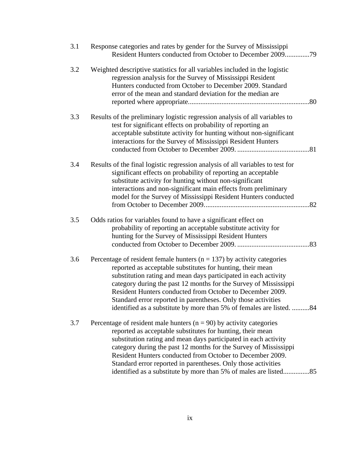| 3.1 | Response categories and rates by gender for the Survey of Mississippi<br>Resident Hunters conducted from October to December 2009<br>.79                                                                                                                                                                                                                                                                                                                                              |
|-----|---------------------------------------------------------------------------------------------------------------------------------------------------------------------------------------------------------------------------------------------------------------------------------------------------------------------------------------------------------------------------------------------------------------------------------------------------------------------------------------|
| 3.2 | Weighted descriptive statistics for all variables included in the logistic<br>regression analysis for the Survey of Mississippi Resident<br>Hunters conducted from October to December 2009. Standard<br>error of the mean and standard deviation for the median are                                                                                                                                                                                                                  |
| 3.3 | Results of the preliminary logistic regression analysis of all variables to<br>test for significant effects on probability of reporting an<br>acceptable substitute activity for hunting without non-significant<br>interactions for the Survey of Mississippi Resident Hunters                                                                                                                                                                                                       |
| 3.4 | Results of the final logistic regression analysis of all variables to test for<br>significant effects on probability of reporting an acceptable<br>substitute activity for hunting without non-significant<br>interactions and non-significant main effects from preliminary<br>model for the Survey of Mississippi Resident Hunters conducted                                                                                                                                        |
| 3.5 | Odds ratios for variables found to have a significant effect on<br>probability of reporting an acceptable substitute activity for<br>hunting for the Survey of Mississippi Resident Hunters                                                                                                                                                                                                                                                                                           |
| 3.6 | Percentage of resident female hunters ( $n = 137$ ) by activity categories<br>reported as acceptable substitutes for hunting, their mean<br>substitution rating and mean days participated in each activity<br>category during the past 12 months for the Survey of Mississippi<br>Resident Hunters conducted from October to December 2009.<br>Standard error reported in parentheses. Only those activities<br>identified as a substitute by more than 5% of females are listed. 84 |
| 3.7 | Percentage of resident male hunters ( $n = 90$ ) by activity categories<br>reported as acceptable substitutes for hunting, their mean<br>substitution rating and mean days participated in each activity<br>category during the past 12 months for the Survey of Mississippi<br>Resident Hunters conducted from October to December 2009.<br>Standard error reported in parentheses. Only those activities<br>identified as a substitute by more than 5% of males are listed85        |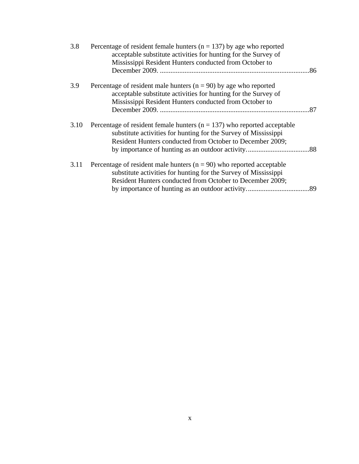|  | 3.8  | Percentage of resident female hunters ( $n = 137$ ) by age who reported<br>acceptable substitute activities for hunting for the Survey of |     |
|--|------|-------------------------------------------------------------------------------------------------------------------------------------------|-----|
|  |      | Mississippi Resident Hunters conducted from October to                                                                                    | 86  |
|  | 3.9  | Percentage of resident male hunters ( $n = 90$ ) by age who reported                                                                      |     |
|  |      | acceptable substitute activities for hunting for the Survey of                                                                            |     |
|  |      | Mississippi Resident Hunters conducted from October to                                                                                    |     |
|  |      |                                                                                                                                           |     |
|  | 3.10 | Percentage of resident female hunters ( $n = 137$ ) who reported acceptable                                                               |     |
|  |      | substitute activities for hunting for the Survey of Mississippi                                                                           |     |
|  |      | Resident Hunters conducted from October to December 2009;                                                                                 |     |
|  |      |                                                                                                                                           |     |
|  | 3.11 | Percentage of resident male hunters ( $n = 90$ ) who reported acceptable                                                                  |     |
|  |      | substitute activities for hunting for the Survey of Mississippi                                                                           |     |
|  |      | Resident Hunters conducted from October to December 2009;                                                                                 |     |
|  |      |                                                                                                                                           | .89 |
|  |      |                                                                                                                                           |     |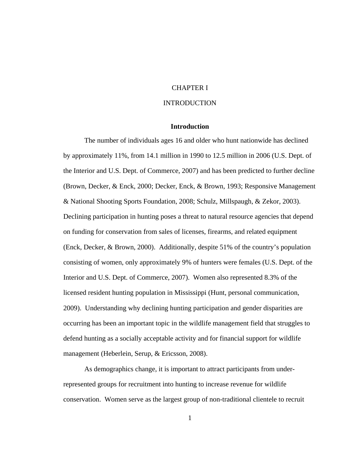## CHAPTER I

## INTRODUCTION

## **Introduction**

The number of individuals ages 16 and older who hunt nationwide has declined by approximately 11%, from 14.1 million in 1990 to 12.5 million in 2006 (U.S. Dept. of the Interior and U.S. Dept. of Commerce, 2007) and has been predicted to further decline (Brown, Decker, & Enck, 2000; Decker, Enck, & Brown, 1993; Responsive Management & National Shooting Sports Foundation, 2008; Schulz, Millspaugh, & Zekor, 2003). Declining participation in hunting poses a threat to natural resource agencies that depend on funding for conservation from sales of licenses, firearms, and related equipment (Enck, Decker, & Brown, 2000). Additionally, despite 51% of the country's population consisting of women, only approximately 9% of hunters were females (U.S. Dept. of the Interior and U.S. Dept. of Commerce, 2007). Women also represented 8.3% of the licensed resident hunting population in Mississippi (Hunt, personal communication, 2009). Understanding why declining hunting participation and gender disparities are occurring has been an important topic in the wildlife management field that struggles to defend hunting as a socially acceptable activity and for financial support for wildlife management (Heberlein, Serup, & Ericsson, 2008).

As demographics change, it is important to attract participants from underrepresented groups for recruitment into hunting to increase revenue for wildlife conservation. Women serve as the largest group of non-traditional clientele to recruit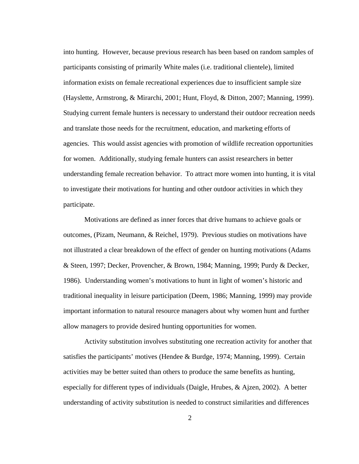into hunting. However, because previous research has been based on random samples of participants consisting of primarily White males (i.e. traditional clientele), limited information exists on female recreational experiences due to insufficient sample size (Hayslette, Armstrong, & Mirarchi, 2001; Hunt, Floyd, & Ditton, 2007; Manning, 1999). Studying current female hunters is necessary to understand their outdoor recreation needs and translate those needs for the recruitment, education, and marketing efforts of agencies. This would assist agencies with promotion of wildlife recreation opportunities for women. Additionally, studying female hunters can assist researchers in better understanding female recreation behavior. To attract more women into hunting, it is vital to investigate their motivations for hunting and other outdoor activities in which they participate.

Motivations are defined as inner forces that drive humans to achieve goals or outcomes, (Pizam, Neumann, & Reichel, 1979). Previous studies on motivations have not illustrated a clear breakdown of the effect of gender on hunting motivations (Adams & Steen, 1997; Decker, Provencher, & Brown, 1984; Manning, 1999; Purdy & Decker, 1986). Understanding women's motivations to hunt in light of women's historic and traditional inequality in leisure participation (Deem, 1986; Manning, 1999) may provide important information to natural resource managers about why women hunt and further allow managers to provide desired hunting opportunities for women.

Activity substitution involves substituting one recreation activity for another that satisfies the participants' motives (Hendee & Burdge, 1974; Manning, 1999). Certain activities may be better suited than others to produce the same benefits as hunting, especially for different types of individuals (Daigle, Hrubes, & Ajzen, 2002). A better understanding of activity substitution is needed to construct similarities and differences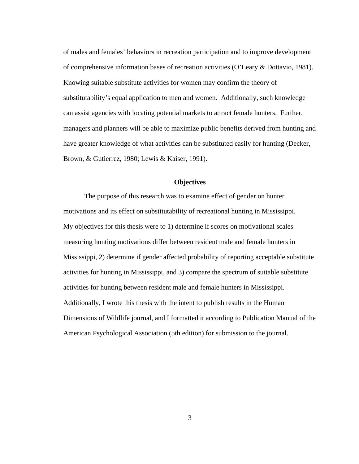of males and females' behaviors in recreation participation and to improve development of comprehensive information bases of recreation activities (O'Leary & Dottavio, 1981). Knowing suitable substitute activities for women may confirm the theory of substitutability's equal application to men and women. Additionally, such knowledge can assist agencies with locating potential markets to attract female hunters. Further, managers and planners will be able to maximize public benefits derived from hunting and have greater knowledge of what activities can be substituted easily for hunting (Decker, Brown, & Gutierrez, 1980; Lewis & Kaiser, 1991).

#### **Objectives**

The purpose of this research was to examine effect of gender on hunter motivations and its effect on substitutability of recreational hunting in Mississippi. My objectives for this thesis were to 1) determine if scores on motivational scales measuring hunting motivations differ between resident male and female hunters in Mississippi, 2) determine if gender affected probability of reporting acceptable substitute activities for hunting in Mississippi, and 3) compare the spectrum of suitable substitute activities for hunting between resident male and female hunters in Mississippi. Additionally, I wrote this thesis with the intent to publish results in the Human Dimensions of Wildlife journal, and I formatted it according to Publication Manual of the American Psychological Association (5th edition) for submission to the journal.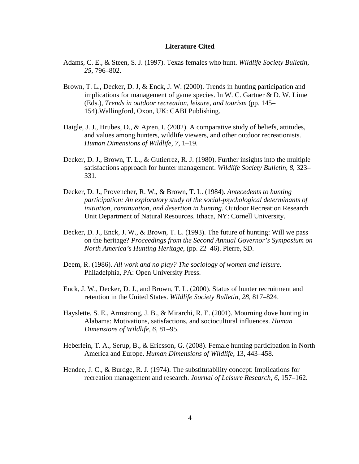#### **Literature Cited**

- Adams, C. E., & Steen, S. J. (1997). Texas females who hunt. *Wildlife Society Bulletin, 25*, 796–802.
- Brown, T. L., Decker, D. J, & Enck, J. W. (2000). Trends in hunting participation and implications for management of game species. In W. C. Gartner & D. W. Lime (Eds.), *Trends in outdoor recreation, leisure, and tourism* (pp. 145– 154).Wallingford, Oxon, UK: CABI Publishing.
- Daigle, J. J., Hrubes, D., & Ajzen, I. (2002). A comparative study of beliefs, attitudes, and values among hunters, wildlife viewers, and other outdoor recreationists. *Human Dimensions of Wildlife, 7*, 1–19.
- Decker, D. J., Brown, T. L., & Gutierrez, R. J. (1980). Further insights into the multiple satisfactions approach for hunter management. *Wildlife Society Bulletin, 8*, 323– 331.
- Decker, D. J., Provencher, R. W., & Brown, T. L. (1984). *Antecedents to hunting participation: An exploratory study of the social-psychological determinants of initiation, continuation, and desertion in hunting*. Outdoor Recreation Research Unit Department of Natural Resources. Ithaca, NY: Cornell University.
- Decker, D. J., Enck, J. W., & Brown, T. L. (1993). The future of hunting: Will we pass on the heritage? *Proceedings from the Second Annual Governor's Symposium on North America's Hunting Heritage*, (pp. 22–46). Pierre, SD.
- Deem, R. (1986). *All work and no play? The sociology of women and leisure.*  Philadelphia, PA: Open University Press.
- Enck, J. W., Decker, D. J., and Brown, T. L. (2000). Status of hunter recruitment and retention in the United States. *Wildlife Society Bulletin, 28*, 817–824.
- Hayslette, S. E., Armstrong, J. B., & Mirarchi, R. E. (2001). Mourning dove hunting in Alabama: Motivations, satisfactions, and sociocultural influences. *Human Dimensions of Wildlife, 6*, 81–95.
- Heberlein, T. A., Serup, B., & Ericsson, G. (2008). Female hunting participation in North America and Europe. *Human Dimensions of Wildlife*, 13, 443–458.
- Hendee, J. C., & Burdge, R. J. (1974). The substitutability concept: Implications for recreation management and research. *Journal of Leisure Research, 6*, 157–162.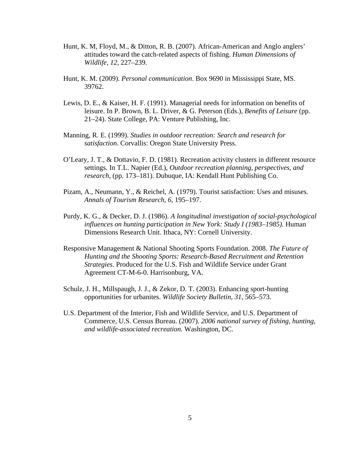- Hunt, K. M, Floyd, M., & Ditton, R. B. (2007). African-American and Anglo anglers' attitudes toward the catch-related aspects of fishing. *Human Dimensions of Wildlife, 12*, 227–239.
- Hunt, K. M. (2009). *Personal communication*. Box 9690 in Mississippi State, MS. 39762.
- Lewis, D. E., & Kaiser, H. F. (1991). Managerial needs for information on benefits of leisure. In P. Brown, B. L. Driver, & G. Peterson (Eds.), *Benefits of Leisure* (pp. 21–24). State College, PA: Venture Publishing, Inc.
- Manning, R. E. (1999). *Studies in outdoor recreation: Search and research for satisfaction*. Corvallis: Oregon State University Press.
- O'Leary, J. T., & Dottavio, F. D. (1981). Recreation activity clusters in different resource settings. In T.L. Napier (Ed.), *Outdoor recreation planning, perspectives, and research*, (pp. 173–181). Dubuque, IA: Kendall Hunt Publishing Co.
- Pizam, A., Neumann, Y., & Reichel, A. (1979). Tourist satisfaction: Uses and misuses. *Annals of Tourism Research, 6*, 195–197.
- Purdy, K. G., & Decker, D. J. (1986). *A longitudinal investigation of social-psychological influences on hunting participation in New York: Study I (1983–1985)*. Human Dimensions Research Unit. Ithaca, NY: Cornell University.
- Responsive Management & National Shooting Sports Foundation. 2008. *The Future of Hunting and the Shooting Sports: Research-Based Recruitment and Retention Strategies*. Produced for the U.S. Fish and Wildlife Service under Grant Agreement CT-M-6-0. Harrisonburg, VA.
- Schulz, J. H., Millspaugh, J. J., & Zekor, D. T. (2003). Enhancing sport-hunting opportunities for urbanites. *Wildlife Society Bulletin, 31*, 565–573.
- U.S. Department of the Interior, Fish and Wildlife Service, and U.S. Department of Commerce, U.S. Census Bureau. (2007). *2006 national survey of fishing, hunting, and wildlife-associated recreation.* Washington, DC.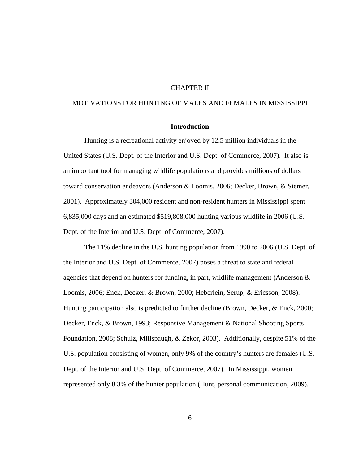## CHAPTER II

## MOTIVATIONS FOR HUNTING OF MALES AND FEMALES IN MISSISSIPPI

### **Introduction**

Hunting is a recreational activity enjoyed by 12.5 million individuals in the United States (U.S. Dept. of the Interior and U.S. Dept. of Commerce, 2007). It also is an important tool for managing wildlife populations and provides millions of dollars toward conservation endeavors (Anderson & Loomis, 2006; Decker, Brown, & Siemer, 2001). Approximately 304,000 resident and non-resident hunters in Mississippi spent 6,835,000 days and an estimated \$519,808,000 hunting various wildlife in 2006 (U.S. Dept. of the Interior and U.S. Dept. of Commerce, 2007).

The 11% decline in the U.S. hunting population from 1990 to 2006 (U.S. Dept. of the Interior and U.S. Dept. of Commerce, 2007) poses a threat to state and federal agencies that depend on hunters for funding, in part, wildlife management (Anderson  $\&$ Loomis, 2006; Enck, Decker, & Brown, 2000; Heberlein, Serup, & Ericsson, 2008). Hunting participation also is predicted to further decline (Brown, Decker, & Enck, 2000; Decker, Enck, & Brown, 1993; Responsive Management & National Shooting Sports Foundation, 2008; Schulz, Millspaugh, & Zekor, 2003). Additionally, despite 51% of the U.S. population consisting of women, only 9% of the country's hunters are females (U.S. Dept. of the Interior and U.S. Dept. of Commerce, 2007). In Mississippi, women represented only 8.3% of the hunter population (Hunt, personal communication, 2009).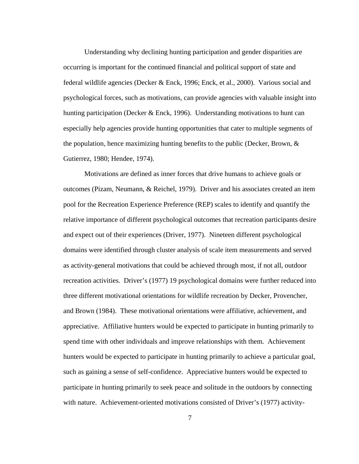Understanding why declining hunting participation and gender disparities are occurring is important for the continued financial and political support of state and federal wildlife agencies (Decker & Enck, 1996; Enck, et al., 2000). Various social and psychological forces, such as motivations, can provide agencies with valuable insight into hunting participation (Decker & Enck, 1996). Understanding motivations to hunt can especially help agencies provide hunting opportunities that cater to multiple segments of the population, hence maximizing hunting benefits to the public (Decker, Brown,  $\&$ Gutierrez, 1980; Hendee, 1974).

Motivations are defined as inner forces that drive humans to achieve goals or outcomes (Pizam, Neumann, & Reichel, 1979). Driver and his associates created an item pool for the Recreation Experience Preference (REP) scales to identify and quantify the relative importance of different psychological outcomes that recreation participants desire and expect out of their experiences (Driver, 1977). Nineteen different psychological domains were identified through cluster analysis of scale item measurements and served as activity-general motivations that could be achieved through most, if not all, outdoor recreation activities. Driver's (1977) 19 psychological domains were further reduced into three different motivational orientations for wildlife recreation by Decker, Provencher, and Brown (1984). These motivational orientations were affiliative, achievement, and appreciative. Affiliative hunters would be expected to participate in hunting primarily to spend time with other individuals and improve relationships with them. Achievement hunters would be expected to participate in hunting primarily to achieve a particular goal, such as gaining a sense of self-confidence. Appreciative hunters would be expected to participate in hunting primarily to seek peace and solitude in the outdoors by connecting with nature. Achievement-oriented motivations consisted of Driver's (1977) activity-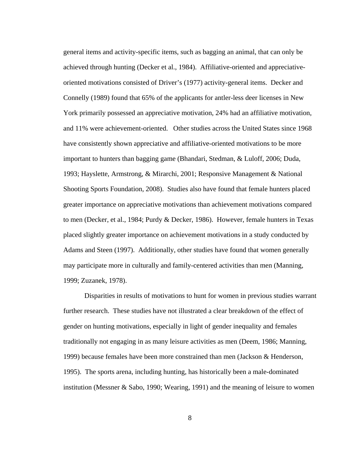general items and activity-specific items, such as bagging an animal, that can only be achieved through hunting (Decker et al., 1984). Affiliative-oriented and appreciativeoriented motivations consisted of Driver's (1977) activity-general items. Decker and Connelly (1989) found that 65% of the applicants for antler-less deer licenses in New York primarily possessed an appreciative motivation, 24% had an affiliative motivation, and 11% were achievement-oriented. Other studies across the United States since 1968 have consistently shown appreciative and affiliative-oriented motivations to be more important to hunters than bagging game (Bhandari, Stedman, & Luloff, 2006; Duda, 1993; Hayslette, Armstrong, & Mirarchi, 2001; Responsive Management & National Shooting Sports Foundation, 2008). Studies also have found that female hunters placed greater importance on appreciative motivations than achievement motivations compared to men (Decker, et al., 1984; Purdy & Decker, 1986). However, female hunters in Texas placed slightly greater importance on achievement motivations in a study conducted by Adams and Steen (1997). Additionally, other studies have found that women generally may participate more in culturally and family-centered activities than men (Manning, 1999; Zuzanek, 1978).

Disparities in results of motivations to hunt for women in previous studies warrant further research. These studies have not illustrated a clear breakdown of the effect of gender on hunting motivations, especially in light of gender inequality and females traditionally not engaging in as many leisure activities as men (Deem, 1986; Manning, 1999) because females have been more constrained than men (Jackson & Henderson, 1995). The sports arena, including hunting, has historically been a male-dominated institution (Messner & Sabo, 1990; Wearing, 1991) and the meaning of leisure to women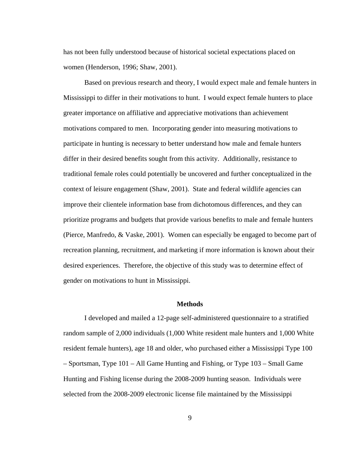has not been fully understood because of historical societal expectations placed on women (Henderson, 1996; Shaw, 2001).

Based on previous research and theory, I would expect male and female hunters in Mississippi to differ in their motivations to hunt. I would expect female hunters to place greater importance on affiliative and appreciative motivations than achievement motivations compared to men. Incorporating gender into measuring motivations to participate in hunting is necessary to better understand how male and female hunters differ in their desired benefits sought from this activity. Additionally, resistance to traditional female roles could potentially be uncovered and further conceptualized in the context of leisure engagement (Shaw, 2001). State and federal wildlife agencies can improve their clientele information base from dichotomous differences, and they can prioritize programs and budgets that provide various benefits to male and female hunters (Pierce, Manfredo, & Vaske, 2001). Women can especially be engaged to become part of recreation planning, recruitment, and marketing if more information is known about their desired experiences. Therefore, the objective of this study was to determine effect of gender on motivations to hunt in Mississippi.

## **Methods**

I developed and mailed a 12-page self-administered questionnaire to a stratified random sample of 2,000 individuals (1,000 White resident male hunters and 1,000 White resident female hunters), age 18 and older, who purchased either a Mississippi Type 100 – Sportsman, Type 101 – All Game Hunting and Fishing, or Type 103 – Small Game Hunting and Fishing license during the 2008-2009 hunting season. Individuals were selected from the 2008-2009 electronic license file maintained by the Mississippi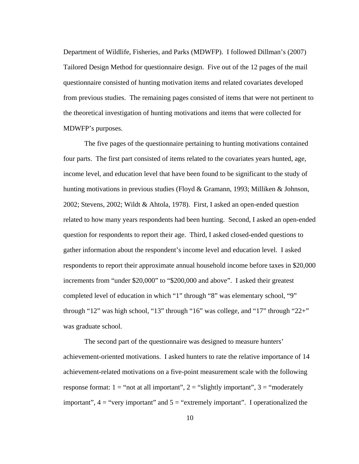Department of Wildlife, Fisheries, and Parks (MDWFP). I followed Dillman's (2007) Tailored Design Method for questionnaire design. Five out of the 12 pages of the mail questionnaire consisted of hunting motivation items and related covariates developed from previous studies. The remaining pages consisted of items that were not pertinent to the theoretical investigation of hunting motivations and items that were collected for MDWFP's purposes.

The five pages of the questionnaire pertaining to hunting motivations contained four parts. The first part consisted of items related to the covariates years hunted, age, income level, and education level that have been found to be significant to the study of hunting motivations in previous studies (Floyd & Gramann, 1993; Milliken & Johnson, 2002; Stevens, 2002; Wildt & Ahtola, 1978). First, I asked an open-ended question related to how many years respondents had been hunting. Second, I asked an open-ended question for respondents to report their age. Third, I asked closed-ended questions to gather information about the respondent's income level and education level. I asked respondents to report their approximate annual household income before taxes in \$20,000 increments from "under \$20,000" to "\$200,000 and above". I asked their greatest completed level of education in which "1" through "8" was elementary school, "9" through "12" was high school, "13" through "16" was college, and "17" through "22+" was graduate school.

The second part of the questionnaire was designed to measure hunters' achievement-oriented motivations. I asked hunters to rate the relative importance of 14 achievement-related motivations on a five-point measurement scale with the following response format:  $1 =$  "not at all important",  $2 =$  "slightly important",  $3 =$  "moderately" important",  $4 =$  "very important" and  $5 =$  "extremely important". I operationalized the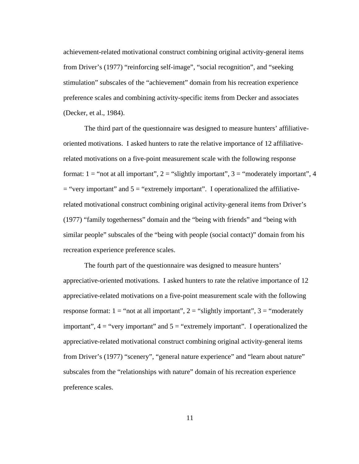achievement-related motivational construct combining original activity-general items from Driver's (1977) "reinforcing self-image", "social recognition", and "seeking stimulation" subscales of the "achievement" domain from his recreation experience preference scales and combining activity-specific items from Decker and associates (Decker, et al., 1984).

The third part of the questionnaire was designed to measure hunters' affiliativeoriented motivations. I asked hunters to rate the relative importance of 12 affiliativerelated motivations on a five-point measurement scale with the following response format:  $1 =$  "not at all important",  $2 =$  "slightly important",  $3 =$  "moderately important", 4  $=$  "very important" and  $5 =$  "extremely important". I operationalized the affiliativerelated motivational construct combining original activity-general items from Driver's (1977) "family togetherness" domain and the "being with friends" and "being with similar people" subscales of the "being with people (social contact)" domain from his recreation experience preference scales.

The fourth part of the questionnaire was designed to measure hunters' appreciative-oriented motivations. I asked hunters to rate the relative importance of 12 appreciative-related motivations on a five-point measurement scale with the following response format:  $1 =$  "not at all important",  $2 =$  "slightly important",  $3 =$  "moderately" important",  $4 =$  "very important" and  $5 =$  "extremely important". I operationalized the appreciative-related motivational construct combining original activity-general items from Driver's (1977) "scenery", "general nature experience" and "learn about nature" subscales from the "relationships with nature" domain of his recreation experience preference scales.

11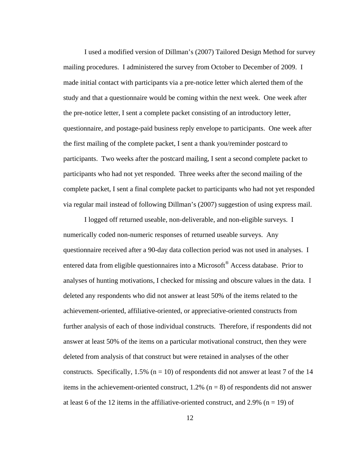I used a modified version of Dillman's (2007) Tailored Design Method for survey mailing procedures. I administered the survey from October to December of 2009. I made initial contact with participants via a pre-notice letter which alerted them of the study and that a questionnaire would be coming within the next week. One week after the pre-notice letter, I sent a complete packet consisting of an introductory letter, questionnaire, and postage-paid business reply envelope to participants. One week after the first mailing of the complete packet, I sent a thank you/reminder postcard to participants. Two weeks after the postcard mailing, I sent a second complete packet to participants who had not yet responded. Three weeks after the second mailing of the complete packet, I sent a final complete packet to participants who had not yet responded via regular mail instead of following Dillman's (2007) suggestion of using express mail.

I logged off returned useable, non-deliverable, and non-eligible surveys. I numerically coded non-numeric responses of returned useable surveys. Any questionnaire received after a 90-day data collection period was not used in analyses. I entered data from eligible questionnaires into a Microsoft® Access database. Prior to analyses of hunting motivations, I checked for missing and obscure values in the data. I deleted any respondents who did not answer at least 50% of the items related to the achievement-oriented, affiliative-oriented, or appreciative-oriented constructs from further analysis of each of those individual constructs. Therefore, if respondents did not answer at least 50% of the items on a particular motivational construct, then they were deleted from analysis of that construct but were retained in analyses of the other constructs. Specifically,  $1.5\%$  (n = 10) of respondents did not answer at least 7 of the 14 items in the achievement-oriented construct,  $1.2\%$  (n = 8) of respondents did not answer at least 6 of the 12 items in the affiliative-oriented construct, and 2.9% ( $n = 19$ ) of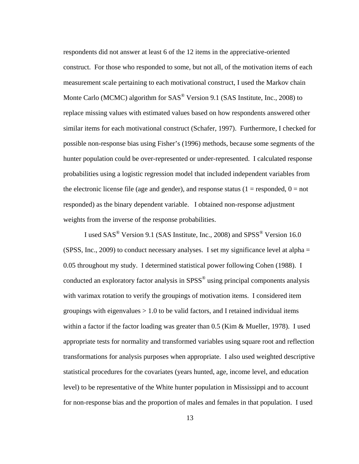respondents did not answer at least 6 of the 12 items in the appreciative-oriented construct. For those who responded to some, but not all, of the motivation items of each measurement scale pertaining to each motivational construct, I used the Markov chain Monte Carlo (MCMC) algorithm for  $SAS^{\circledR}$  Version 9.1 (SAS Institute, Inc., 2008) to replace missing values with estimated values based on how respondents answered other similar items for each motivational construct (Schafer, 1997). Furthermore, I checked for possible non-response bias using Fisher's (1996) methods, because some segments of the hunter population could be over-represented or under-represented. I calculated response probabilities using a logistic regression model that included independent variables from the electronic license file (age and gender), and response status ( $1 =$  responded,  $0 =$  not responded) as the binary dependent variable. I obtained non-response adjustment weights from the inverse of the response probabilities.

I used SAS<sup>®</sup> Version 9.1 (SAS Institute, Inc., 2008) and SPSS<sup>®</sup> Version 16.0 (SPSS, Inc., 2009) to conduct necessary analyses. I set my significance level at alpha  $=$ 0.05 throughout my study. I determined statistical power following Cohen (1988). I conducted an exploratory factor analysis in SPSS<sup>®</sup> using principal components analysis with varimax rotation to verify the groupings of motivation items. I considered item groupings with eigenvalues  $> 1.0$  to be valid factors, and I retained individual items within a factor if the factor loading was greater than 0.5 (Kim & Mueller, 1978). I used appropriate tests for normality and transformed variables using square root and reflection transformations for analysis purposes when appropriate. I also used weighted descriptive statistical procedures for the covariates (years hunted, age, income level, and education level) to be representative of the White hunter population in Mississippi and to account for non-response bias and the proportion of males and females in that population. I used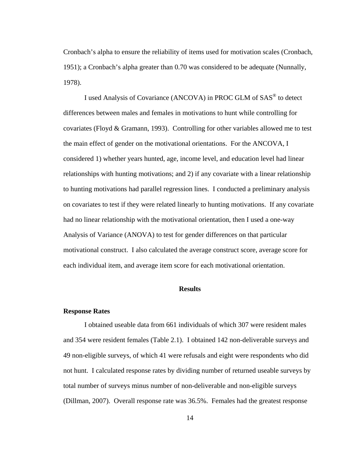Cronbach's alpha to ensure the reliability of items used for motivation scales (Cronbach, 1951); a Cronbach's alpha greater than 0.70 was considered to be adequate (Nunnally, 1978).

I used Analysis of Covariance (ANCOVA) in PROC GLM of SAS® to detect differences between males and females in motivations to hunt while controlling for covariates (Floyd & Gramann, 1993). Controlling for other variables allowed me to test the main effect of gender on the motivational orientations. For the ANCOVA, I considered 1) whether years hunted, age, income level, and education level had linear relationships with hunting motivations; and 2) if any covariate with a linear relationship to hunting motivations had parallel regression lines. I conducted a preliminary analysis on covariates to test if they were related linearly to hunting motivations. If any covariate had no linear relationship with the motivational orientation, then I used a one-way Analysis of Variance (ANOVA) to test for gender differences on that particular motivational construct. I also calculated the average construct score, average score for each individual item, and average item score for each motivational orientation.

#### **Results**

## **Response Rates**

I obtained useable data from 661 individuals of which 307 were resident males and 354 were resident females (Table 2.1). I obtained 142 non-deliverable surveys and 49 non-eligible surveys, of which 41 were refusals and eight were respondents who did not hunt. I calculated response rates by dividing number of returned useable surveys by total number of surveys minus number of non-deliverable and non-eligible surveys (Dillman, 2007). Overall response rate was 36.5%. Females had the greatest response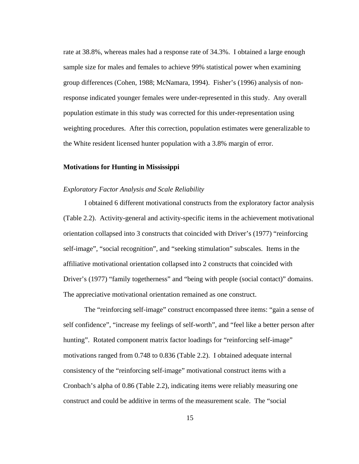rate at 38.8%, whereas males had a response rate of 34.3%. I obtained a large enough sample size for males and females to achieve 99% statistical power when examining group differences (Cohen, 1988; McNamara, 1994). Fisher's (1996) analysis of nonresponse indicated younger females were under-represented in this study. Any overall population estimate in this study was corrected for this under-representation using weighting procedures. After this correction, population estimates were generalizable to the White resident licensed hunter population with a 3.8% margin of error.

### **Motivations for Hunting in Mississippi**

#### *Exploratory Factor Analysis and Scale Reliability*

I obtained 6 different motivational constructs from the exploratory factor analysis (Table 2.2). Activity-general and activity-specific items in the achievement motivational orientation collapsed into 3 constructs that coincided with Driver's (1977) "reinforcing self-image", "social recognition", and "seeking stimulation" subscales. Items in the affiliative motivational orientation collapsed into 2 constructs that coincided with Driver's (1977) "family togetherness" and "being with people (social contact)" domains. The appreciative motivational orientation remained as one construct.

The "reinforcing self-image" construct encompassed three items: "gain a sense of self confidence", "increase my feelings of self-worth", and "feel like a better person after hunting". Rotated component matrix factor loadings for "reinforcing self-image" motivations ranged from 0.748 to 0.836 (Table 2.2).I obtained adequate internal consistency of the "reinforcing self-image" motivational construct items with a Cronbach's alpha of 0.86 (Table 2.2), indicating items were reliably measuring one construct and could be additive in terms of the measurement scale. The "social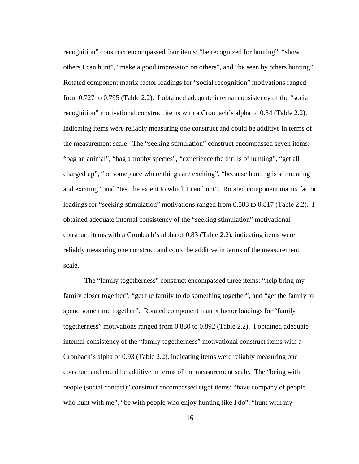recognition" construct encompassed four items: "be recognized for hunting", "show others I can hunt", "make a good impression on others", and "be seen by others hunting". Rotated component matrix factor loadings for "social recognition" motivations ranged from 0.727 to 0.795 (Table 2.2). I obtained adequate internal consistency of the "social recognition" motivational construct items with a Cronbach's alpha of 0.84 (Table 2.2), indicating items were reliably measuring one construct and could be additive in terms of the measurement scale. The "seeking stimulation" construct encompassed seven items: "bag an animal", "bag a trophy species", "experience the thrills of hunting", "get all charged up", "be someplace where things are exciting", "because hunting is stimulating and exciting", and "test the extent to which I can hunt". Rotated component matrix factor loadings for "seeking stimulation" motivations ranged from 0.583 to 0.817 (Table 2.2).I obtained adequate internal consistency of the "seeking stimulation" motivational construct items with a Cronbach's alpha of 0.83 (Table 2.2), indicating items were reliably measuring one construct and could be additive in terms of the measurement scale.

The "family togetherness" construct encompassed three items: "help bring my family closer together", "get the family to do something together", and "get the family to spend some time together". Rotated component matrix factor loadings for "family togetherness" motivations ranged from 0.880 to 0.892 (Table 2.2).I obtained adequate internal consistency of the "family togetherness" motivational construct items with a Cronbach's alpha of 0.93 (Table 2.2), indicating items were reliably measuring one construct and could be additive in terms of the measurement scale. The "being with people (social contact)" construct encompassed eight items: "have company of people who hunt with me", "be with people who enjoy hunting like I do", "hunt with my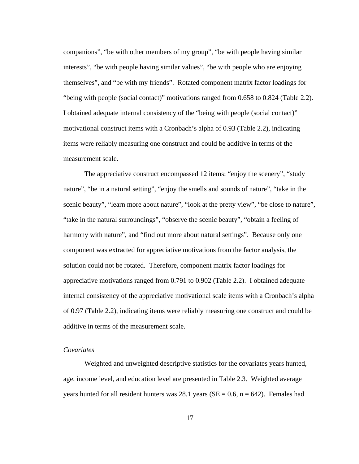companions", "be with other members of my group", "be with people having similar interests", "be with people having similar values", "be with people who are enjoying themselves", and "be with my friends". Rotated component matrix factor loadings for "being with people (social contact)" motivations ranged from 0.658 to 0.824 (Table 2.2). I obtained adequate internal consistency of the "being with people (social contact)" motivational construct items with a Cronbach's alpha of 0.93 (Table 2.2), indicating items were reliably measuring one construct and could be additive in terms of the measurement scale.

The appreciative construct encompassed 12 items: "enjoy the scenery", "study nature", "be in a natural setting", "enjoy the smells and sounds of nature", "take in the scenic beauty", "learn more about nature", "look at the pretty view", "be close to nature", "take in the natural surroundings", "observe the scenic beauty", "obtain a feeling of harmony with nature", and "find out more about natural settings". Because only one component was extracted for appreciative motivations from the factor analysis, the solution could not be rotated. Therefore, component matrix factor loadings for appreciative motivations ranged from 0.791 to 0.902 (Table 2.2).I obtained adequate internal consistency of the appreciative motivational scale items with a Cronbach's alpha of 0.97 (Table 2.2), indicating items were reliably measuring one construct and could be additive in terms of the measurement scale.

## *Covariates*

Weighted and unweighted descriptive statistics for the covariates years hunted, age, income level, and education level are presented in Table 2.3. Weighted average years hunted for all resident hunters was 28.1 years ( $SE = 0.6$ ,  $n = 642$ ). Females had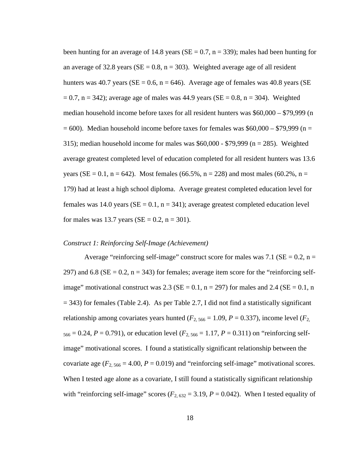been hunting for an average of 14.8 years ( $SE = 0.7$ ,  $n = 339$ ); males had been hunting for an average of 32.8 years ( $SE = 0.8$ ,  $n = 303$ ). Weighted average age of all resident hunters was 40.7 years ( $SE = 0.6$ ,  $n = 646$ ). Average age of females was 40.8 years ( $SE$  $= 0.7$ , n = 342); average age of males was 44.9 years (SE = 0.8, n = 304). Weighted median household income before taxes for all resident hunters was \$60,000 – \$79,999 (n  $= 600$ ). Median household income before taxes for females was \$60,000 – \$79,999 (n = 315); median household income for males was \$60,000 - \$79,999 (n = 285).Weighted average greatest completed level of education completed for all resident hunters was 13.6 years (SE = 0.1, n = 642). Most females (66.5%, n = 228) and most males (60.2%, n = 179) had at least a high school diploma. Average greatest completed education level for females was 14.0 years ( $SE = 0.1$ ,  $n = 341$ ); average greatest completed education level for males was 13.7 years ( $SE = 0.2$ ,  $n = 301$ ).

#### *Construct 1: Reinforcing Self-Image (Achievement)*

Average "reinforcing self-image" construct score for males was 7.1 ( $SE = 0.2$ , n = 297) and 6.8 ( $SE = 0.2$ ,  $n = 343$ ) for females; average item score for the "reinforcing selfimage" motivational construct was 2.3 ( $SE = 0.1$ ,  $n = 297$ ) for males and 2.4 ( $SE = 0.1$ , n  $= 343$ ) for females (Table 2.4). As per Table 2.7, I did not find a statistically significant relationship among covariates years hunted ( $F_{2, 566} = 1.09$ ,  $P = 0.337$ ), income level ( $F_{2, 566} = 1.09$  $566 = 0.24$ ,  $P = 0.791$ ), or education level ( $F_{2,566} = 1.17$ ,  $P = 0.311$ ) on "reinforcing selfimage" motivational scores. I found a statistically significant relationship between the covariate age  $(F_{2, 566} = 4.00, P = 0.019)$  and "reinforcing self-image" motivational scores. When I tested age alone as a covariate, I still found a statistically significant relationship with "reinforcing self-image" scores ( $F_{2,632} = 3.19$ ,  $P = 0.042$ ). When I tested equality of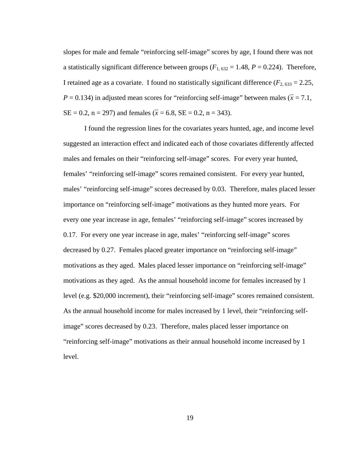slopes for male and female "reinforcing self-image" scores by age, I found there was not a statistically significant difference between groups  $(F_{1, 632} = 1.48, P = 0.224)$ . Therefore, I retained age as a covariate. I found no statistically significant difference  $(F_{2, 633} = 2.25,$  $P = 0.134$ ) in adjusted mean scores for "reinforcing self-image" between males ( $\bar{x} = 7.1$ ,  $SE = 0.2$ ,  $n = 297$ ) and females ( $\bar{x} = 6.8$ ,  $SE = 0.2$ ,  $n = 343$ ).

I found the regression lines for the covariates years hunted, age, and income level suggested an interaction effect and indicated each of those covariates differently affected males and females on their "reinforcing self-image" scores. For every year hunted, females' "reinforcing self-image" scores remained consistent. For every year hunted, males' "reinforcing self-image" scores decreased by 0.03. Therefore, males placed lesser importance on "reinforcing self-image" motivations as they hunted more years. For every one year increase in age, females' "reinforcing self-image" scores increased by 0.17. For every one year increase in age, males' "reinforcing self-image" scores decreased by 0.27. Females placed greater importance on "reinforcing self-image" motivations as they aged. Males placed lesser importance on "reinforcing self-image" motivations as they aged. As the annual household income for females increased by 1 level (e.g. \$20,000 increment), their "reinforcing self-image" scores remained consistent. As the annual household income for males increased by 1 level, their "reinforcing selfimage" scores decreased by 0.23. Therefore, males placed lesser importance on "reinforcing self-image" motivations as their annual household income increased by 1 level.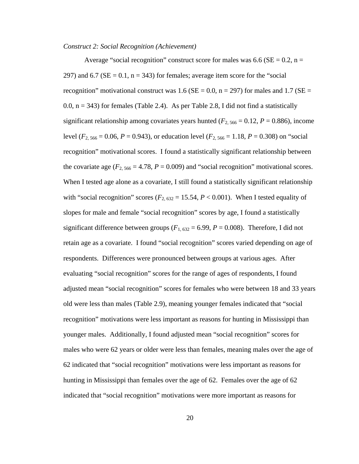#### *Construct 2: Social Recognition (Achievement)*

Average "social recognition" construct score for males was 6.6 ( $SE = 0.2$ , n = 297) and 6.7 ( $SE = 0.1$ ,  $n = 343$ ) for females; average item score for the "social recognition" motivational construct was 1.6 ( $SE = 0.0$ , n = 297) for males and 1.7 ( $SE =$ 0.0,  $n = 343$ ) for females (Table 2.4). As per Table 2.8, I did not find a statistically significant relationship among covariates years hunted ( $F_{2, 566} = 0.12$ ,  $P = 0.886$ ), income level ( $F_{2, 566} = 0.06$ ,  $P = 0.943$ ), or education level ( $F_{2, 566} = 1.18$ ,  $P = 0.308$ ) on "social recognition" motivational scores. I found a statistically significant relationship between the covariate age  $(F_{2, 566} = 4.78, P = 0.009)$  and "social recognition" motivational scores. When I tested age alone as a covariate, I still found a statistically significant relationship with "social recognition" scores ( $F_{2,632} = 15.54$ ,  $P < 0.001$ ). When I tested equality of slopes for male and female "social recognition" scores by age, I found a statistically significant difference between groups  $(F_{1,632} = 6.99, P = 0.008)$ . Therefore, I did not retain age as a covariate. I found "social recognition" scores varied depending on age of respondents. Differences were pronounced between groups at various ages. After evaluating "social recognition" scores for the range of ages of respondents, I found adjusted mean "social recognition" scores for females who were between 18 and 33 years old were less than males (Table 2.9), meaning younger females indicated that "social recognition" motivations were less important as reasons for hunting in Mississippi than younger males. Additionally, I found adjusted mean "social recognition" scores for males who were 62 years or older were less than females, meaning males over the age of 62 indicated that "social recognition" motivations were less important as reasons for hunting in Mississippi than females over the age of 62. Females over the age of 62 indicated that "social recognition" motivations were more important as reasons for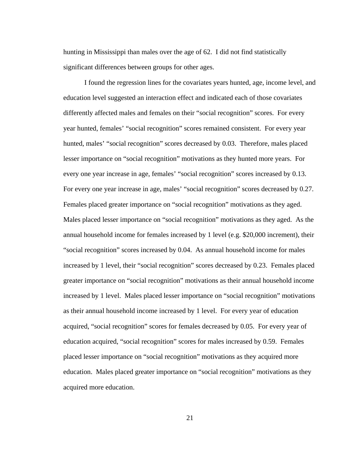hunting in Mississippi than males over the age of 62. I did not find statistically significant differences between groups for other ages.

I found the regression lines for the covariates years hunted, age, income level, and education level suggested an interaction effect and indicated each of those covariates differently affected males and females on their "social recognition" scores. For every year hunted, females' "social recognition" scores remained consistent. For every year hunted, males' "social recognition" scores decreased by 0.03. Therefore, males placed lesser importance on "social recognition" motivations as they hunted more years. For every one year increase in age, females' "social recognition" scores increased by 0.13. For every one year increase in age, males' "social recognition" scores decreased by 0.27. Females placed greater importance on "social recognition" motivations as they aged. Males placed lesser importance on "social recognition" motivations as they aged. As the annual household income for females increased by 1 level (e.g. \$20,000 increment), their "social recognition" scores increased by 0.04. As annual household income for males increased by 1 level, their "social recognition" scores decreased by 0.23. Females placed greater importance on "social recognition" motivations as their annual household income increased by 1 level. Males placed lesser importance on "social recognition" motivations as their annual household income increased by 1 level. For every year of education acquired, "social recognition" scores for females decreased by 0.05. For every year of education acquired, "social recognition" scores for males increased by 0.59. Females placed lesser importance on "social recognition" motivations as they acquired more education. Males placed greater importance on "social recognition" motivations as they acquired more education.

21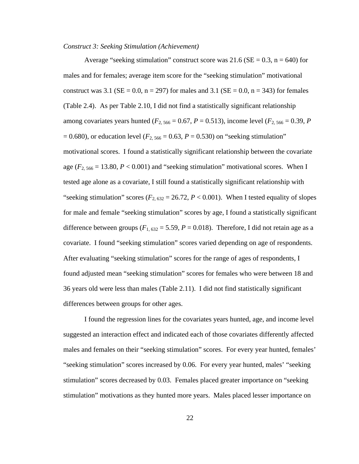#### *Construct 3: Seeking Stimulation (Achievement)*

Average "seeking stimulation" construct score was 21.6 ( $SE = 0.3$ , n = 640) for males and for females; average item score for the "seeking stimulation" motivational construct was 3.1 ( $SE = 0.0$ ,  $n = 297$ ) for males and 3.1 ( $SE = 0.0$ ,  $n = 343$ ) for females (Table 2.4). As per Table 2.10, I did not find a statistically significant relationship among covariates years hunted ( $F_{2, 566} = 0.67$ ,  $P = 0.513$ ), income level ( $F_{2, 566} = 0.39$ ,  $P$  $= 0.680$ , or education level ( $F_{2, 566} = 0.63$ ,  $P = 0.530$ ) on "seeking stimulation" motivational scores. I found a statistically significant relationship between the covariate age  $(F_{2, 566} = 13.80, P < 0.001)$  and "seeking stimulation" motivational scores. When I tested age alone as a covariate, I still found a statistically significant relationship with "seeking stimulation" scores ( $F_{2,632} = 26.72$ ,  $P < 0.001$ ). When I tested equality of slopes for male and female "seeking stimulation" scores by age, I found a statistically significant difference between groups  $(F_{1, 632} = 5.59, P = 0.018)$ . Therefore, I did not retain age as a covariate. I found "seeking stimulation" scores varied depending on age of respondents. After evaluating "seeking stimulation" scores for the range of ages of respondents, I found adjusted mean "seeking stimulation" scores for females who were between 18 and 36 years old were less than males (Table 2.11). I did not find statistically significant differences between groups for other ages.

I found the regression lines for the covariates years hunted, age, and income level suggested an interaction effect and indicated each of those covariates differently affected males and females on their "seeking stimulation" scores. For every year hunted, females' "seeking stimulation" scores increased by 0.06. For every year hunted, males' "seeking stimulation" scores decreased by 0.03. Females placed greater importance on "seeking stimulation" motivations as they hunted more years. Males placed lesser importance on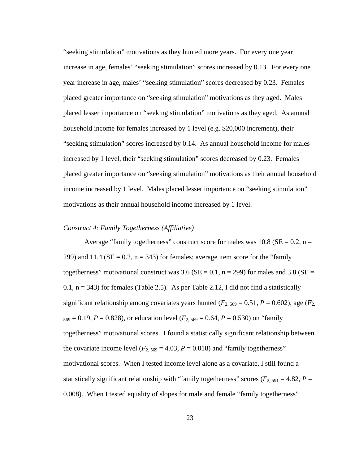"seeking stimulation" motivations as they hunted more years. For every one year increase in age, females' "seeking stimulation" scores increased by 0.13. For every one year increase in age, males' "seeking stimulation" scores decreased by 0.23. Females placed greater importance on "seeking stimulation" motivations as they aged. Males placed lesser importance on "seeking stimulation" motivations as they aged. As annual household income for females increased by 1 level (e.g. \$20,000 increment), their "seeking stimulation" scores increased by 0.14. As annual household income for males increased by 1 level, their "seeking stimulation" scores decreased by 0.23. Females placed greater importance on "seeking stimulation" motivations as their annual household income increased by 1 level. Males placed lesser importance on "seeking stimulation" motivations as their annual household income increased by 1 level.

#### *Construct 4: Family Togetherness (Affiliative)*

Average "family togetherness" construct score for males was  $10.8$  (SE = 0.2, n = 299) and 11.4 ( $SE = 0.2$ ,  $n = 343$ ) for females; average item score for the "family" togetherness" motivational construct was 3.6 ( $SE = 0.1$ , n = 299) for males and 3.8 ( $SE =$  $0.1$ ,  $n = 343$ ) for females (Table 2.5). As per Table 2.12, I did not find a statistically significant relationship among covariates years hunted ( $F_{2, 569} = 0.51$ ,  $P = 0.602$ ), age ( $F_{2, 569} = 0.51$  $569 = 0.19$ ,  $P = 0.828$ ), or education level ( $F_{2,569} = 0.64$ ,  $P = 0.530$ ) on "family togetherness" motivational scores. I found a statistically significant relationship between the covariate income level  $(F_{2, 569} = 4.03, P = 0.018)$  and "family togetherness" motivational scores. When I tested income level alone as a covariate, I still found a statistically significant relationship with "family togetherness" scores ( $F_{2, 591} = 4.82$ ,  $P =$ 0.008). When I tested equality of slopes for male and female "family togetherness"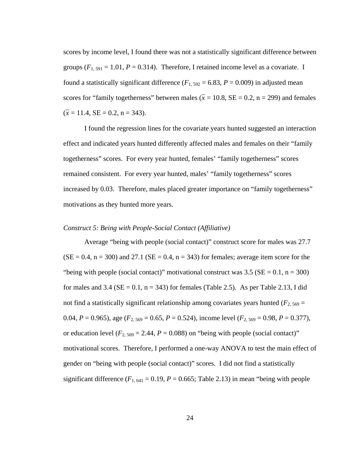scores by income level, I found there was not a statistically significant difference between groups  $(F_{1, 591} = 1.01, P = 0.314)$ . Therefore, I retained income level as a covariate. I found a statistically significant difference  $(F_{1, 592} = 6.83, P = 0.009)$  in adjusted mean scores for "family togetherness" between males ( $\bar{x} = 10.8$ ,  $SE = 0.2$ ,  $n = 299$ ) and females  $(\bar{x} = 11.4, \text{SE} = 0.2, \text{ n} = 343).$ 

I found the regression lines for the covariate years hunted suggested an interaction effect and indicated years hunted differently affected males and females on their "family togetherness" scores. For every year hunted, females' "family togetherness" scores remained consistent. For every year hunted, males' "family togetherness" scores increased by 0.03. Therefore, males placed greater importance on "family togetherness" motivations as they hunted more years.

### *Construct 5: Being with People-Social Contact (Affiliative)*

Average "being with people (social contact)" construct score for males was 27.7  $(SE = 0.4, n = 300)$  and 27.1  $(SE = 0.4, n = 343)$  for females; average item score for the "being with people (social contact)" motivational construct was 3.5 ( $SE = 0.1$ ,  $n = 300$ ) for males and  $3.4$  (SE = 0.1, n = 343) for females (Table 2.5). As per Table 2.13, I did not find a statistically significant relationship among covariates years hunted ( $F_{2, 569}$  = 0.04, *P* = 0.965), age (*F*2, 569 = 0.65, *P* = 0.524), income level (*F*2, 569 = 0.98, *P* = 0.377), or education level  $(F_{2, 569} = 2.44, P = 0.088)$  on "being with people (social contact)" motivational scores. Therefore, I performed a one-way ANOVA to test the main effect of gender on "being with people (social contact)" scores. I did not find a statistically significant difference  $(F_{1, 641} = 0.19, P = 0.665;$  Table 2.13) in mean "being with people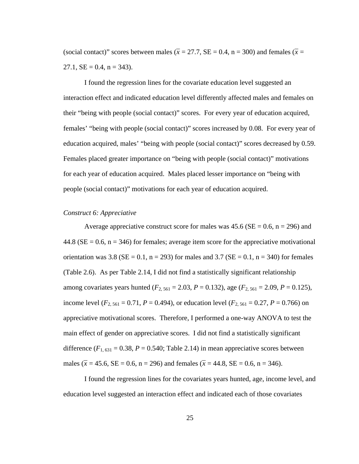(social contact)" scores between males ( $\bar{x} = 27.7$ , SE = 0.4, n = 300) and females ( $\bar{x} =$  $27.1$ ,  $SE = 0.4$ ,  $n = 343$ ).

I found the regression lines for the covariate education level suggested an interaction effect and indicated education level differently affected males and females on their "being with people (social contact)" scores. For every year of education acquired, females' "being with people (social contact)" scores increased by 0.08. For every year of education acquired, males' "being with people (social contact)" scores decreased by 0.59. Females placed greater importance on "being with people (social contact)" motivations for each year of education acquired. Males placed lesser importance on "being with people (social contact)" motivations for each year of education acquired.

# *Construct 6: Appreciative*

Average appreciative construct score for males was  $45.6$  (SE = 0.6, n = 296) and 44.8 ( $SE = 0.6$ ,  $n = 346$ ) for females; average item score for the appreciative motivational orientation was 3.8 ( $SE = 0.1$ , n = 293) for males and 3.7 ( $SE = 0.1$ , n = 340) for females (Table 2.6). As per Table 2.14, I did not find a statistically significant relationship among covariates years hunted ( $F_{2, 561} = 2.03$ ,  $P = 0.132$ ), age ( $F_{2, 561} = 2.09$ ,  $P = 0.125$ ), income level ( $F_{2, 561} = 0.71$ ,  $P = 0.494$ ), or education level ( $F_{2, 561} = 0.27$ ,  $P = 0.766$ ) on appreciative motivational scores. Therefore, I performed a one-way ANOVA to test the main effect of gender on appreciative scores. I did not find a statistically significant difference  $(F_{1, 631} = 0.38, P = 0.540;$  Table 2.14) in mean appreciative scores between males ( $\bar{x}$  = 45.6, SE = 0.6, n = 296) and females ( $\bar{x}$  = 44.8, SE = 0.6, n = 346).

I found the regression lines for the covariates years hunted, age, income level, and education level suggested an interaction effect and indicated each of those covariates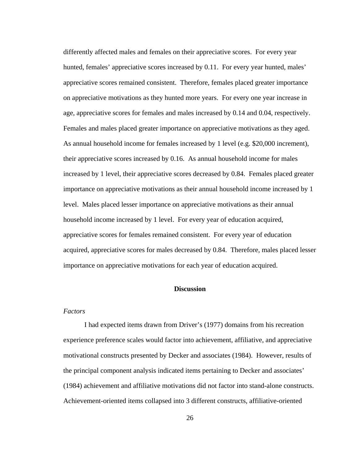differently affected males and females on their appreciative scores. For every year hunted, females' appreciative scores increased by 0.11. For every year hunted, males' appreciative scores remained consistent. Therefore, females placed greater importance on appreciative motivations as they hunted more years. For every one year increase in age, appreciative scores for females and males increased by 0.14 and 0.04, respectively. Females and males placed greater importance on appreciative motivations as they aged. As annual household income for females increased by 1 level (e.g. \$20,000 increment), their appreciative scores increased by 0.16. As annual household income for males increased by 1 level, their appreciative scores decreased by 0.84. Females placed greater importance on appreciative motivations as their annual household income increased by 1 level. Males placed lesser importance on appreciative motivations as their annual household income increased by 1 level. For every year of education acquired, appreciative scores for females remained consistent. For every year of education acquired, appreciative scores for males decreased by 0.84. Therefore, males placed lesser importance on appreciative motivations for each year of education acquired.

## **Discussion**

# *Factors*

I had expected items drawn from Driver's (1977) domains from his recreation experience preference scales would factor into achievement, affiliative, and appreciative motivational constructs presented by Decker and associates (1984). However, results of the principal component analysis indicated items pertaining to Decker and associates' (1984) achievement and affiliative motivations did not factor into stand-alone constructs. Achievement-oriented items collapsed into 3 different constructs, affiliative-oriented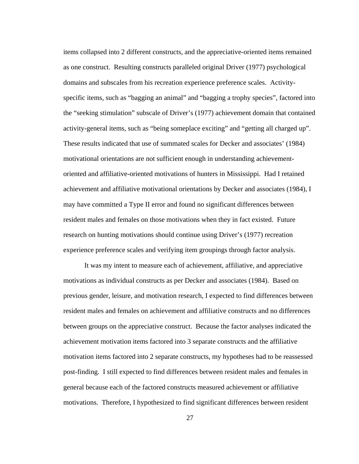items collapsed into 2 different constructs, and the appreciative-oriented items remained as one construct. Resulting constructs paralleled original Driver (1977) psychological domains and subscales from his recreation experience preference scales. Activityspecific items, such as "bagging an animal" and "bagging a trophy species", factored into the "seeking stimulation" subscale of Driver's (1977) achievement domain that contained activity-general items, such as "being someplace exciting" and "getting all charged up". These results indicated that use of summated scales for Decker and associates' (1984) motivational orientations are not sufficient enough in understanding achievementoriented and affiliative-oriented motivations of hunters in Mississippi. Had I retained achievement and affiliative motivational orientations by Decker and associates (1984), I may have committed a Type II error and found no significant differences between resident males and females on those motivations when they in fact existed. Future research on hunting motivations should continue using Driver's (1977) recreation experience preference scales and verifying item groupings through factor analysis.

It was my intent to measure each of achievement, affiliative, and appreciative motivations as individual constructs as per Decker and associates (1984). Based on previous gender, leisure, and motivation research, I expected to find differences between resident males and females on achievement and affiliative constructs and no differences between groups on the appreciative construct. Because the factor analyses indicated the achievement motivation items factored into 3 separate constructs and the affiliative motivation items factored into 2 separate constructs, my hypotheses had to be reassessed post-finding. I still expected to find differences between resident males and females in general because each of the factored constructs measured achievement or affiliative motivations. Therefore, I hypothesized to find significant differences between resident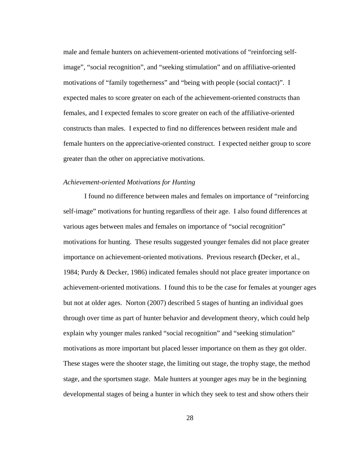male and female hunters on achievement-oriented motivations of "reinforcing selfimage", "social recognition", and "seeking stimulation" and on affiliative-oriented motivations of "family togetherness" and "being with people (social contact)". I expected males to score greater on each of the achievement-oriented constructs than females, and I expected females to score greater on each of the affiliative-oriented constructs than males. I expected to find no differences between resident male and female hunters on the appreciative-oriented construct. I expected neither group to score greater than the other on appreciative motivations.

#### *Achievement-oriented Motivations for Hunting*

I found no difference between males and females on importance of "reinforcing self-image" motivations for hunting regardless of their age. I also found differences at various ages between males and females on importance of "social recognition" motivations for hunting. These results suggested younger females did not place greater importance on achievement-oriented motivations. Previous research **(**Decker, et al., 1984; Purdy & Decker, 1986) indicated females should not place greater importance on achievement-oriented motivations. I found this to be the case for females at younger ages but not at older ages. Norton (2007) described 5 stages of hunting an individual goes through over time as part of hunter behavior and development theory, which could help explain why younger males ranked "social recognition" and "seeking stimulation" motivations as more important but placed lesser importance on them as they got older. These stages were the shooter stage, the limiting out stage, the trophy stage, the method stage, and the sportsmen stage. Male hunters at younger ages may be in the beginning developmental stages of being a hunter in which they seek to test and show others their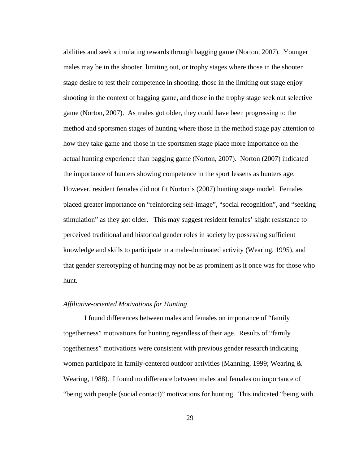abilities and seek stimulating rewards through bagging game (Norton, 2007). Younger males may be in the shooter, limiting out, or trophy stages where those in the shooter stage desire to test their competence in shooting, those in the limiting out stage enjoy shooting in the context of bagging game, and those in the trophy stage seek out selective game (Norton, 2007). As males got older, they could have been progressing to the method and sportsmen stages of hunting where those in the method stage pay attention to how they take game and those in the sportsmen stage place more importance on the actual hunting experience than bagging game (Norton, 2007). Norton (2007) indicated the importance of hunters showing competence in the sport lessens as hunters age. However, resident females did not fit Norton's (2007) hunting stage model. Females placed greater importance on "reinforcing self-image", "social recognition", and "seeking stimulation" as they got older. This may suggest resident females' slight resistance to perceived traditional and historical gender roles in society by possessing sufficient knowledge and skills to participate in a male-dominated activity (Wearing, 1995), and that gender stereotyping of hunting may not be as prominent as it once was for those who hunt.

# *Affiliative-oriented Motivations for Hunting*

I found differences between males and females on importance of "family togetherness" motivations for hunting regardless of their age. Results of "family togetherness" motivations were consistent with previous gender research indicating women participate in family-centered outdoor activities (Manning, 1999; Wearing & Wearing, 1988). I found no difference between males and females on importance of "being with people (social contact)" motivations for hunting. This indicated "being with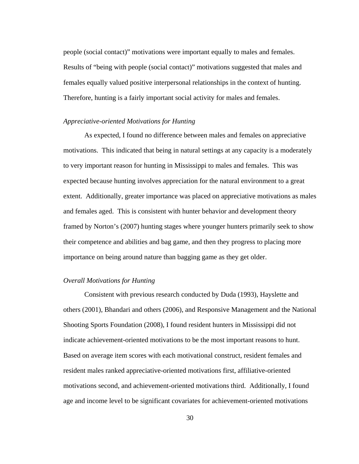people (social contact)" motivations were important equally to males and females. Results of "being with people (social contact)" motivations suggested that males and females equally valued positive interpersonal relationships in the context of hunting. Therefore, hunting is a fairly important social activity for males and females.

## *Appreciative-oriented Motivations for Hunting*

As expected, I found no difference between males and females on appreciative motivations. This indicated that being in natural settings at any capacity is a moderately to very important reason for hunting in Mississippi to males and females. This was expected because hunting involves appreciation for the natural environment to a great extent. Additionally, greater importance was placed on appreciative motivations as males and females aged. This is consistent with hunter behavior and development theory framed by Norton's (2007) hunting stages where younger hunters primarily seek to show their competence and abilities and bag game, and then they progress to placing more importance on being around nature than bagging game as they get older.

# *Overall Motivations for Hunting*

Consistent with previous research conducted by Duda (1993), Hayslette and others (2001), Bhandari and others (2006), and Responsive Management and the National Shooting Sports Foundation (2008), I found resident hunters in Mississippi did not indicate achievement-oriented motivations to be the most important reasons to hunt. Based on average item scores with each motivational construct, resident females and resident males ranked appreciative-oriented motivations first, affiliative-oriented motivations second, and achievement-oriented motivations third. Additionally, I found age and income level to be significant covariates for achievement-oriented motivations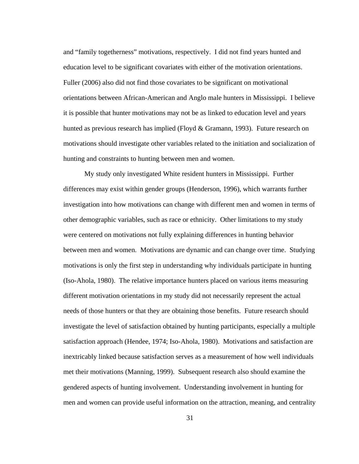and "family togetherness" motivations, respectively. I did not find years hunted and education level to be significant covariates with either of the motivation orientations. Fuller (2006) also did not find those covariates to be significant on motivational orientations between African-American and Anglo male hunters in Mississippi. I believe it is possible that hunter motivations may not be as linked to education level and years hunted as previous research has implied (Floyd  $& Gramann, 1993$ ). Future research on motivations should investigate other variables related to the initiation and socialization of hunting and constraints to hunting between men and women.

My study only investigated White resident hunters in Mississippi. Further differences may exist within gender groups (Henderson, 1996), which warrants further investigation into how motivations can change with different men and women in terms of other demographic variables, such as race or ethnicity. Other limitations to my study were centered on motivations not fully explaining differences in hunting behavior between men and women. Motivations are dynamic and can change over time. Studying motivations is only the first step in understanding why individuals participate in hunting (Iso-Ahola, 1980). The relative importance hunters placed on various items measuring different motivation orientations in my study did not necessarily represent the actual needs of those hunters or that they are obtaining those benefits. Future research should investigate the level of satisfaction obtained by hunting participants, especially a multiple satisfaction approach (Hendee, 1974; Iso-Ahola, 1980). Motivations and satisfaction are inextricably linked because satisfaction serves as a measurement of how well individuals met their motivations (Manning, 1999). Subsequent research also should examine the gendered aspects of hunting involvement. Understanding involvement in hunting for men and women can provide useful information on the attraction, meaning, and centrality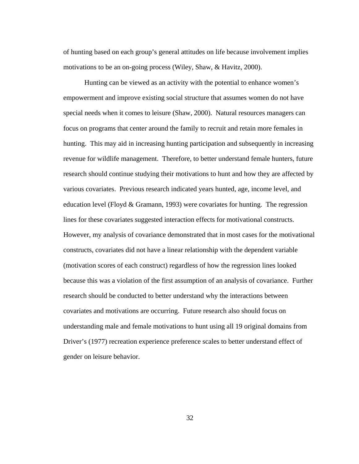of hunting based on each group's general attitudes on life because involvement implies motivations to be an on-going process (Wiley, Shaw, & Havitz, 2000).

Hunting can be viewed as an activity with the potential to enhance women's empowerment and improve existing social structure that assumes women do not have special needs when it comes to leisure (Shaw, 2000). Natural resources managers can focus on programs that center around the family to recruit and retain more females in hunting. This may aid in increasing hunting participation and subsequently in increasing revenue for wildlife management. Therefore, to better understand female hunters, future research should continue studying their motivations to hunt and how they are affected by various covariates. Previous research indicated years hunted, age, income level, and education level (Floyd & Gramann, 1993) were covariates for hunting. The regression lines for these covariates suggested interaction effects for motivational constructs. However, my analysis of covariance demonstrated that in most cases for the motivational constructs, covariates did not have a linear relationship with the dependent variable (motivation scores of each construct) regardless of how the regression lines looked because this was a violation of the first assumption of an analysis of covariance. Further research should be conducted to better understand why the interactions between covariates and motivations are occurring. Future research also should focus on understanding male and female motivations to hunt using all 19 original domains from Driver's (1977) recreation experience preference scales to better understand effect of gender on leisure behavior.

32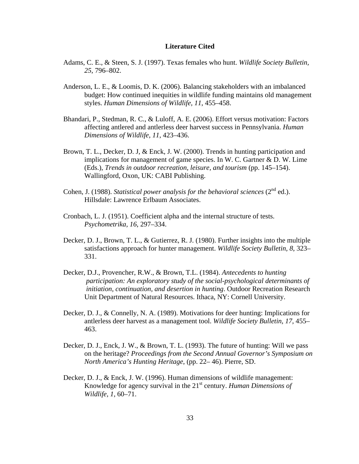## **Literature Cited**

- Adams, C. E., & Steen, S. J. (1997). Texas females who hunt. *Wildlife Society Bulletin, 25*, 796–802.
- Anderson, L. E., & Loomis, D. K. (2006). Balancing stakeholders with an imbalanced budget: How continued inequities in wildlife funding maintains old management styles. *Human Dimensions of Wildlife, 11*, 455–458.
- Bhandari, P., Stedman, R. C., & Luloff, A. E. (2006). Effort versus motivation: Factors affecting antlered and antlerless deer harvest success in Pennsylvania. *Human Dimensions of Wildlife, 11*, 423–436.
- Brown, T. L., Decker, D. J, & Enck, J. W. (2000). Trends in hunting participation and implications for management of game species. In W. C. Gartner & D. W. Lime (Eds.), *Trends in outdoor recreation, leisure, and tourism* (pp. 145–154). Wallingford, Oxon, UK: CABI Publishing.
- Cohen, J. (1988). *Statistical power analysis for the behavioral sciences* (2<sup>nd</sup> ed.). Hillsdale: Lawrence Erlbaum Associates.
- Cronbach, L. J. (1951). Coefficient alpha and the internal structure of tests. *Psychometrika, 16*, 297–334.
- Decker, D. J., Brown, T. L., & Gutierrez, R. J. (1980). Further insights into the multiple satisfactions approach for hunter management. *Wildlife Society Bulletin, 8*, 323– 331.
- Decker, D.J., Provencher, R.W., & Brown, T.L. (1984). *Antecedents to hunting participation: An exploratory study of the social-psychological determinants of initiation, continuation, and desertion in hunting*. Outdoor Recreation Research Unit Department of Natural Resources. Ithaca, NY: Cornell University.
- Decker, D. J., & Connelly, N. A. (1989). Motivations for deer hunting: Implications for antlerless deer harvest as a management tool. *Wildlife Society Bulletin, 17*, 455– 463.
- Decker, D. J., Enck, J. W., & Brown, T. L. (1993). The future of hunting: Will we pass on the heritage? *Proceedings from the Second Annual Governor's Symposium on North America's Hunting Heritage*, (pp. 22– 46). Pierre, SD.
- Decker, D. J., & Enck, J. W. (1996). Human dimensions of wildlife management: Knowledge for agency survival in the 21<sup>st</sup> century. *Human Dimensions of Wildlife, 1*, 60–71.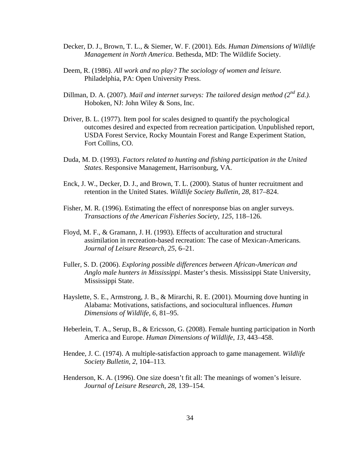- Decker, D. J., Brown, T. L., & Siemer, W. F. (2001). Eds. *Human Dimensions of Wildlife Management in North America*. Bethesda, MD: The Wildlife Society.
- Deem, R. (1986). *All work and no play? The sociology of women and leisure.*  Philadelphia, PA: Open University Press.
- Dillman, D. A. (2007). *Mail and internet surveys: The tailored design method (2nd Ed.).* Hoboken, NJ: John Wiley & Sons, Inc.
- Driver, B. L. (1977). Item pool for scales designed to quantify the psychological outcomes desired and expected from recreation participation*.* Unpublished report, USDA Forest Service, Rocky Mountain Forest and Range Experiment Station, Fort Collins, CO.
- Duda, M. D. (1993). *Factors related to hunting and fishing participation in the United States*. Responsive Management, Harrisonburg, VA.
- Enck, J. W., Decker, D. J., and Brown, T. L. (2000). Status of hunter recruitment and retention in the United States. *Wildlife Society Bulletin, 28*, 817–824.
- Fisher, M. R. (1996). Estimating the effect of nonresponse bias on angler surveys. *Transactions of the American Fisheries Society, 125*, 118–126.
- Floyd, M. F., & Gramann, J. H. (1993). Effects of acculturation and structural assimilation in recreation-based recreation: The case of Mexican-Americans*. Journal of Leisure Research, 25*, 6–21.
- Fuller, S. D. (2006). *Exploring possible differences between African-American and Anglo male hunters in Mississippi*. Master's thesis. Mississippi State University, Mississippi State.
- Hayslette, S. E., Armstrong, J. B., & Mirarchi, R. E. (2001). Mourning dove hunting in Alabama: Motivations, satisfactions, and sociocultural influences. *Human Dimensions of Wildlife, 6*, 81–95.
- Heberlein, T. A., Serup, B., & Ericsson, G. (2008). Female hunting participation in North America and Europe. *Human Dimensions of Wildlife*, *13*, 443–458.
- Hendee, J. C. (1974). A multiple-satisfaction approach to game management. *Wildlife Society Bulletin, 2*, 104–113.
- Henderson, K. A. (1996). One size doesn't fit all: The meanings of women's leisure. *Journal of Leisure Research*, *28*, 139–154.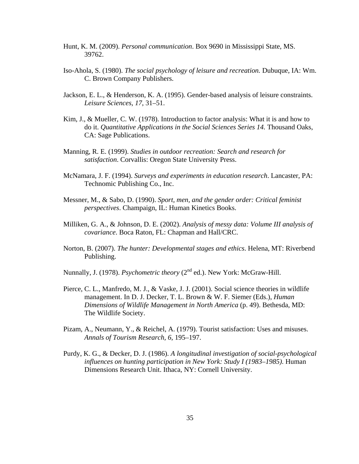- Hunt, K. M. (2009). *Personal communication*. Box 9690 in Mississippi State, MS. 39762.
- Iso-Ahola, S. (1980). *The social psychology of leisure and recreation.* Dubuque, IA: Wm. C. Brown Company Publishers.
- Jackson, E. L., & Henderson, K. A. (1995). Gender-based analysis of leisure constraints. *Leisure Sciences, 17*, 31–51.
- Kim, J., & Mueller, C. W. (1978). Introduction to factor analysis: What it is and how to do it. *Quantitative Applications in the Social Sciences Series 14.* Thousand Oaks, CA: Sage Publications.
- Manning, R. E. (1999). *Studies in outdoor recreation: Search and research for satisfaction*. Corvallis: Oregon State University Press.
- McNamara, J. F. (1994). *Surveys and experiments in education research*. Lancaster, PA: Technomic Publishing Co., Inc.
- Messner, M., & Sabo, D. (1990). *Sport, men, and the gender order: Critical feminist perspectives*. Champaign, IL: Human Kinetics Books.
- Milliken, G. A., & Johnson, D. E. (2002). *Analysis of messy data: Volume III analysis of covariance*. Boca Raton, FL: Chapman and Hall/CRC.
- Norton, B. (2007). *The hunter: Developmental stages and ethics*. Helena, MT: Riverbend Publishing.
- Nunnally, J. (1978). *Psychometric theory* (2<sup>nd</sup> ed.). New York: McGraw-Hill.
- Pierce, C. L., Manfredo, M. J., & Vaske, J. J. (2001). Social science theories in wildlife management. In D. J. Decker, T. L. Brown & W. F. Siemer (Eds.), *Human Dimensions of Wildlife Management in North America* (p. 49). Bethesda, MD: The Wildlife Society.
- Pizam, A., Neumann, Y., & Reichel, A. (1979). Tourist satisfaction: Uses and misuses. *Annals of Tourism Research, 6*, 195–197.
- Purdy, K. G., & Decker, D. J. (1986). *A longitudinal investigation of social-psychological influences on hunting participation in New York: Study I (1983–1985)*. Human Dimensions Research Unit. Ithaca, NY: Cornell University.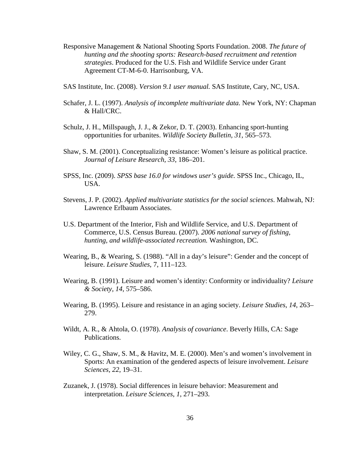- Responsive Management & National Shooting Sports Foundation. 2008. *The future of hunting and the shooting sports: Research-based recruitment and retention strategies*. Produced for the U.S. Fish and Wildlife Service under Grant Agreement CT-M-6-0. Harrisonburg, VA.
- SAS Institute, Inc. (2008). *Version 9.1 user manual.* SAS Institute, Cary, NC, USA.
- Schafer, J. L. (1997). *Analysis of incomplete multivariate data.* New York, NY: Chapman & Hall/CRC.
- Schulz, J. H., Millspaugh, J. J., & Zekor, D. T. (2003). Enhancing sport-hunting opportunities for urbanites. *Wildlife Society Bulletin, 31*, 565–573.
- Shaw, S. M. (2001). Conceptualizing resistance: Women's leisure as political practice. *Journal of Leisure Research, 33*, 186–201.
- SPSS, Inc. (2009). *SPSS base 16.0 for windows user's guide.* SPSS Inc., Chicago, IL, USA.
- Stevens, J. P. (2002). *Applied multivariate statistics for the social sciences*. Mahwah, NJ: Lawrence Erlbaum Associates.
- U.S. Department of the Interior, Fish and Wildlife Service, and U.S. Department of Commerce, U.S. Census Bureau. (2007). *2006 national survey of fishing, hunting, and wildlife-associated recreation.* Washington, DC.
- Wearing, B., & Wearing, S. (1988). "All in a day's leisure": Gender and the concept of leisure. *Leisure Studies*, 7, 111–123.
- Wearing, B. (1991). Leisure and women's identity: Conformity or individuality? *Leisure & Society, 14*, 575–586.
- Wearing, B. (1995). Leisure and resistance in an aging society. *Leisure Studies, 14*, 263– 279.
- Wildt, A. R., & Ahtola, O. (1978). *Analysis of covariance*. Beverly Hills, CA: Sage Publications.
- Wiley, C. G., Shaw, S. M., & Havitz, M. E. (2000). Men's and women's involvement in Sports: An examination of the gendered aspects of leisure involvement. *Leisure Sciences, 22*, 19–31.
- Zuzanek, J. (1978). Social differences in leisure behavior: Measurement and interpretation. *Leisure Sciences*, *1*, 271–293.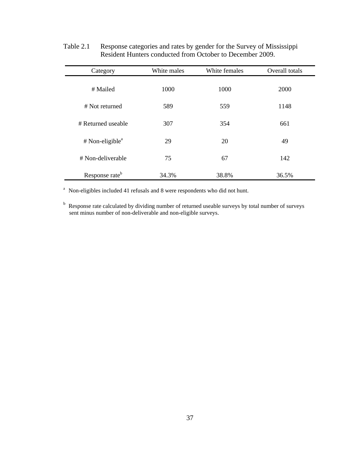| Category                      | White males | White females | Overall totals |
|-------------------------------|-------------|---------------|----------------|
| # Mailed                      | 1000        | 1000          | 2000           |
| # Not returned                | 589         | 559           | 1148           |
| # Returned useable            | 307         | 354           | 661            |
| $#$ Non-eligible <sup>a</sup> | 29          | 20            | 49             |
| # Non-deliverable             | 75          | 67            | 142            |
| Response rate <sup>b</sup>    | 34.3%       | 38.8%         | 36.5%          |

Table 2.1 Response categories and rates by gender for the Survey of Mississippi Resident Hunters conducted from October to December 2009.

<sup>a</sup> Non-eligibles included 41 refusals and 8 were respondents who did not hunt.

<sup>b</sup> Response rate calculated by dividing number of returned useable surveys by total number of surveys sent minus number of non-deliverable and non-eligible surveys.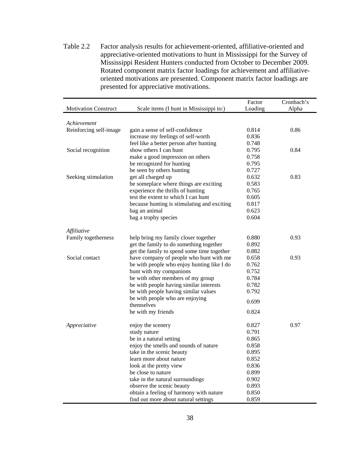Table 2.2 Factor analysis results for achievement-oriented, affiliative-oriented and appreciative-oriented motivations to hunt in Mississippi for the Survey of Mississippi Resident Hunters conducted from October to December 2009. Rotated component matrix factor loadings for achievement and affiliativeoriented motivations are presented. Component matrix factor loadings are presented for appreciative motivations.

|                             |                                             | Factor  | Cronbach's |
|-----------------------------|---------------------------------------------|---------|------------|
| <b>Motivation Construct</b> | Scale items (I hunt in Mississippi to:)     | Loading | Alpha      |
|                             |                                             |         |            |
| Achievement                 |                                             |         |            |
| Reinforcing self-image      | gain a sense of self-confidence             | 0.814   | 0.86       |
|                             | increase my feelings of self-worth          | 0.836   |            |
|                             | feel like a better person after hunting     | 0.748   |            |
| Social recognition          | show others I can hunt                      | 0.795   | 0.84       |
|                             | make a good impression on others            | 0.758   |            |
|                             | be recognized for hunting                   | 0.795   |            |
|                             | be seen by others hunting                   | 0.727   |            |
| Seeking stimulation         | get all charged up                          | 0.632   | 0.83       |
|                             | be someplace where things are exciting      | 0.583   |            |
|                             | experience the thrills of hunting           | 0.765   |            |
|                             | test the extent to which I can hunt         | 0.605   |            |
|                             | because hunting is stimulating and exciting | 0.817   |            |
|                             | bag an animal                               | 0.623   |            |
|                             | bag a trophy species                        | 0.604   |            |
|                             |                                             |         |            |
| Affiliative                 |                                             |         |            |
| Family togetherness         | help bring my family closer together        | 0.880   | 0.93       |
|                             | get the family to do something together     | 0.892   |            |
|                             | get the family to spend some time together  | 0.882   |            |
| Social contact              | have company of people who hunt with me     | 0.658   | 0.93       |
|                             | be with people who enjoy hunting like I do  | 0.762   |            |
|                             | hunt with my companions                     | 0.752   |            |
|                             | be with other members of my group           | 0.784   |            |
|                             | be with people having similar interests     | 0.782   |            |
|                             | be with people having similar values        | 0.792   |            |
|                             | be with people who are enjoying             | 0.699   |            |
|                             | themselves                                  |         |            |
|                             | be with my friends                          | 0.824   |            |
|                             |                                             |         |            |
| Appreciative                | enjoy the scenery                           | 0.827   | 0.97       |
|                             | study nature                                | 0.791   |            |
|                             | be in a natural setting                     | 0.865   |            |
|                             | enjoy the smells and sounds of nature       | 0.858   |            |
|                             | take in the scenic beauty                   | 0.895   |            |
|                             | learn more about nature                     | 0.852   |            |
|                             | look at the pretty view                     | 0.836   |            |
|                             | be close to nature                          | 0.899   |            |
|                             | take in the natural surroundings            | 0.902   |            |
|                             | observe the scenic beauty                   | 0.893   |            |
|                             | obtain a feeling of harmony with nature     | 0.850   |            |
|                             | find out more about natural settings        | 0.859   |            |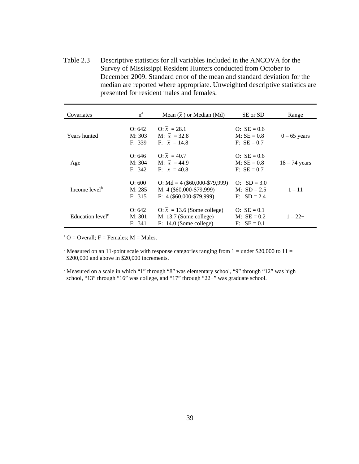Table 2.3 Descriptive statistics for all variables included in the ANCOVA for the Survey of Mississippi Resident Hunters conducted from October to December 2009. Standard error of the mean and standard deviation for the median are reported where appropriate. Unweighted descriptive statistics are presented for resident males and females.

| Covariates                   | $n^a$                      | Mean $(\bar{x})$ or Median (Md)                                                            | SE or SD                                        | Range           |
|------------------------------|----------------------------|--------------------------------------------------------------------------------------------|-------------------------------------------------|-----------------|
| Years hunted                 | O: 642<br>M: 303<br>F: 339 | $Q: \bar{x} = 28.1$<br>$M: \bar{x} = 32.8$<br>$F: \bar{x} = 14.8$                          | $O: SE = 0.6$<br>$M: SE = 0.8$<br>$F: SE = 0.7$ | $0 - 65$ years  |
| Age                          | O: 646<br>M: 304<br>F: 342 | $Q: \bar{x} = 40.7$<br>M: $\bar{x} = 44.9$<br>$F: \bar{x} = 40.8$                          | $O: SE = 0.6$<br>$M: SE = 0.8$<br>$F: SE = 0.7$ | $18 - 74$ years |
| Income level <sup>b</sup>    | O: 600<br>M: 285<br>F: 315 | O: Md = $4$ (\$60,000-\$79,999)<br>M: 4 (\$60,000-\$79,999)<br>$F: 4($ \$60,000-\$79,999)  | $Q: SD = 3.0$<br>M: $SD = 2.5$<br>$F: SD = 2.4$ | $1 - 11$        |
| Education level <sup>c</sup> | O: 642<br>M: 301<br>F: 341 | $Q: \bar{x} = 13.6$ (Some college)<br>$M: 13.7$ (Some college)<br>$F: 14.0$ (Some college) | $O: SE = 0.1$<br>M: $SE = 0.2$<br>$F: SE = 0.1$ | $1 - 22 +$      |

 $A^a$  O = Overall; F = Females; M = Males.

<sup>b</sup> Measured on an 11-point scale with response categories ranging from  $1 =$  under \$20,000 to 11 = \$200,000 and above in \$20,000 increments.

<sup>c</sup> Measured on a scale in which "1" through "8" was elementary school, "9" through "12" was high school, "13" through "16" was college, and "17" through "22+" was graduate school.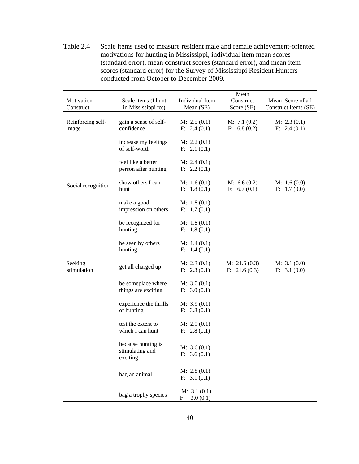Table 2.4 Scale items used to measure resident male and female achievement-oriented motivations for hunting in Mississippi, individual item mean scores (standard error), mean construct scores (standard error), and mean item scores (standard error) for the Survey of Mississippi Resident Hunters conducted from October to December 2009.

| Motivation<br>Construct    | Scale items (I hunt<br>in Mississippi to:)        | Individual Item<br>Mean (SE) | Mean<br>Construct<br>Score (SE) | Mean Score of all<br>Construct Items (SE) |
|----------------------------|---------------------------------------------------|------------------------------|---------------------------------|-------------------------------------------|
| Reinforcing self-<br>image | gain a sense of self-<br>confidence               | M: 2.5(0.1)<br>F: 2.4(0.1)   | M: 7.1(0.2)<br>F: 6.8(0.2)      | M: 2.3(0.1)<br>F: 2.4(0.1)                |
|                            | increase my feelings<br>of self-worth             | M: 2.2(0.1)<br>F: 2.1(0.1)   |                                 |                                           |
|                            | feel like a better<br>person after hunting        | M: 2.4(0.1)<br>F: 2.2(0.1)   |                                 |                                           |
| Social recognition         | show others I can<br>hunt                         | M: 1.6(0.1)<br>F: 1.8(0.1)   | M: 6.6(0.2)<br>F: 6.7(0.1)      | M: 1.6(0.0)<br>F: 1.7(0.0)                |
|                            | make a good<br>impression on others               | M: 1.8(0.1)<br>F: 1.7(0.1)   |                                 |                                           |
|                            | be recognized for<br>hunting                      | M: 1.8(0.1)<br>F: 1.8(0.1)   |                                 |                                           |
|                            | be seen by others<br>hunting                      | M: 1.4(0.1)<br>F: 1.4(0.1)   |                                 |                                           |
| Seeking<br>stimulation     | get all charged up                                | M: 2.3(0.1)<br>F: 2.3(0.1)   | M: 21.6(0.3)<br>F: 21.6(0.3)    | M: 3.1(0.0)<br>F: 3.1(0.0)                |
|                            | be someplace where<br>things are exciting         | M: 3.0(0.1)<br>F: 3.0(0.1)   |                                 |                                           |
|                            | experience the thrills<br>of hunting              | M: 3.9(0.1)<br>F: 3.8(0.1)   |                                 |                                           |
|                            | test the extent to<br>which I can hunt            | M: 2.9(0.1)<br>F: 2.8(0.1)   |                                 |                                           |
|                            | because hunting is<br>stimulating and<br>exciting | M: 3.6(0.1)<br>F: 3.6(0.1)   |                                 |                                           |
|                            | bag an animal                                     | M: 2.8(0.1)<br>F: 3.1(0.1)   |                                 |                                           |
|                            | bag a trophy species                              | M: 3.1(0.1)<br>F: 3.0(0.1)   |                                 |                                           |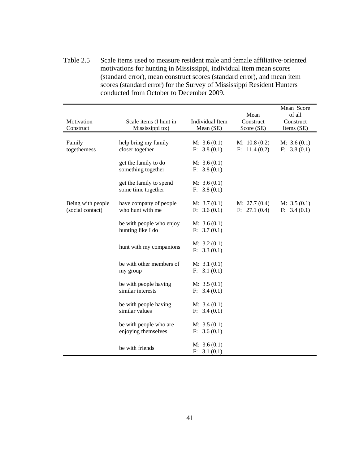Table 2.5 Scale items used to measure resident male and female affiliative-oriented motivations for hunting in Mississippi, individual item mean scores (standard error), mean construct scores (standard error), and mean item scores (standard error) for the Survey of Mississippi Resident Hunters conducted from October to December 2009.

| Motivation<br>Construct               | Scale items (I hunt in<br>Mississippi to:)    | Individual Item<br>Mean (SE) | Mean<br>Construct<br>Score (SE) | Mean Score<br>of all<br>Construct<br>Items (SE) |
|---------------------------------------|-----------------------------------------------|------------------------------|---------------------------------|-------------------------------------------------|
| Family<br>togetherness                | help bring my family<br>closer together       | M: 3.6(0.1)<br>F: 3.8(0.1)   | M: 10.8(0.2)<br>F: 11.4(0.2)    | M: 3.6(0.1)<br>F: 3.8(0.1)                      |
|                                       | get the family to do<br>something together    | M: 3.6(0.1)<br>F: 3.8(0.1)   |                                 |                                                 |
|                                       | get the family to spend<br>some time together | M: 3.6(0.1)<br>F: 3.8(0.1)   |                                 |                                                 |
| Being with people<br>(social contact) | have company of people<br>who hunt with me    | M: 3.7(0.1)<br>F: 3.6(0.1)   | M: 27.7(0.4)<br>F: 27.1(0.4)    | M: 3.5(0.1)<br>F: 3.4(0.1)                      |
|                                       | be with people who enjoy<br>hunting like I do | M: 3.6(0.1)<br>F: 3.7(0.1)   |                                 |                                                 |
|                                       | hunt with my companions                       | M: 3.2(0.1)<br>F: 3.3(0.1)   |                                 |                                                 |
|                                       | be with other members of<br>my group          | M: 3.1(0.1)<br>F: 3.1(0.1)   |                                 |                                                 |
|                                       | be with people having<br>similar interests    | M: 3.5(0.1)<br>F: 3.4(0.1)   |                                 |                                                 |
|                                       | be with people having<br>similar values       | M: 3.4(0.1)<br>F: 3.4(0.1)   |                                 |                                                 |
|                                       | be with people who are<br>enjoying themselves | M: 3.5(0.1)<br>F: 3.6(0.1)   |                                 |                                                 |
|                                       | be with friends                               | M: 3.6(0.1)<br>F: 3.1(0.1)   |                                 |                                                 |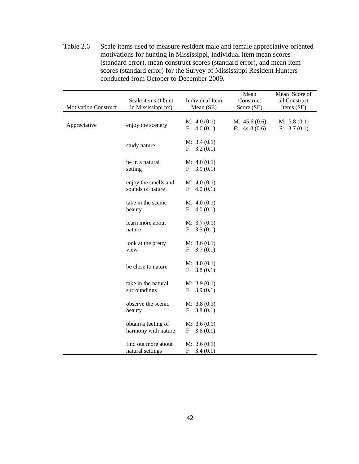Table 2.6 Scale items used to measure resident male and female appreciative-oriented motivations for hunting in Mississippi, individual item mean scores (standard error), mean construct scores (standard error), and mean item scores (standard error) for the Survey of Mississippi Resident Hunters conducted from October to December 2009.

| <b>Motivation Construct</b> | Scale items (I hunt<br>in Mississippi to:) | Individual Item<br>Mean (SE) | Mean<br>Construct<br>Score (SE) | Mean Score of<br>all Construct<br>Items (SE) |
|-----------------------------|--------------------------------------------|------------------------------|---------------------------------|----------------------------------------------|
| Appreciative                | enjoy the scenery                          | M: 4.0(0.1)<br>F: 4.0(0.1)   | M: $45.6(0.6)$<br>F: 44.8(0.6)  | M: 3.8(0.1)<br>F: 3.7(0.1)                   |
|                             | study nature                               | M: 3.4(0.1)<br>F: 3.2(0.1)   |                                 |                                              |
|                             | be in a natural<br>setting                 | M: 4.0(0.1)<br>F: 3.9(0.1)   |                                 |                                              |
|                             | enjoy the smells and<br>sounds of nature   | M: 4.0(0.1)<br>F: 4.0(0.1)   |                                 |                                              |
|                             | take in the scenic<br>beauty               | M: 4.0(0.1)<br>F: 4.0(0.1)   |                                 |                                              |
|                             | learn more about<br>nature                 | M: 3.7(0.1)<br>F: 3.5(0.1)   |                                 |                                              |
|                             | look at the pretty<br>view                 | M: 3.6(0.1)<br>F: 3.7(0.1)   |                                 |                                              |
|                             | be close to nature                         | M: 4.0(0.1)<br>F: 3.8(0.1)   |                                 |                                              |
|                             | take in the natural<br>surroundings        | M: 3.9(0.1)<br>F: 3.9(0.1)   |                                 |                                              |
|                             | observe the scenic<br>beauty               | M: 3.8(0.1)<br>F: 3.8(0.1)   |                                 |                                              |
|                             | obtain a feeling of<br>harmony with nature | M: 3.6(0.1)<br>F: 3.6(0.1)   |                                 |                                              |
|                             | find out more about<br>natural settings    | M: 3.6(0.1)<br>F: 3.4(0.1)   |                                 |                                              |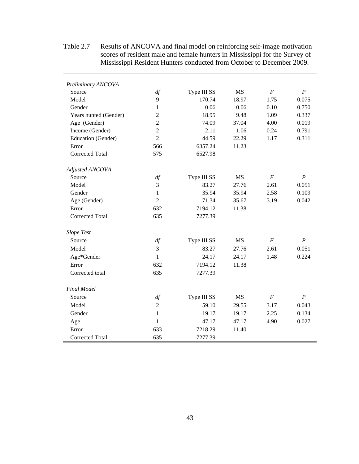| Preliminary ANCOVA     |                |             |           |                  |                  |
|------------------------|----------------|-------------|-----------|------------------|------------------|
| Source                 | df             | Type III SS | <b>MS</b> | $\cal F$         | $\boldsymbol{P}$ |
| Model                  | 9              | 170.74      | 18.97     | 1.75             | 0.075            |
| Gender                 | $\mathbf{1}$   | 0.06        | 0.06      | 0.10             | 0.750            |
| Years hunted (Gender)  | $\overline{2}$ | 18.95       | 9.48      | 1.09             | 0.337            |
| Age (Gender)           | $\overline{2}$ | 74.09       | 37.04     | 4.00             | 0.019            |
| Income (Gender)        | $\overline{2}$ | 2.11        | 1.06      | 0.24             | 0.791            |
| Education (Gender)     | $\overline{2}$ | 44.59       | 22.29     | 1.17             | 0.311            |
| Error                  | 566            | 6357.24     | 11.23     |                  |                  |
| Corrected Total        | 575            | 6527.98     |           |                  |                  |
| Adjusted ANCOVA        |                |             |           |                  |                  |
| Source                 | df             | Type III SS | <b>MS</b> | $\cal F$         | $\boldsymbol{P}$ |
| Model                  | 3              | 83.27       | 27.76     | 2.61             | 0.051            |
| Gender                 | 1              | 35.94       | 35.94     | 2.58             | 0.109            |
| Age (Gender)           | $\overline{2}$ | 71.34       | 35.67     | 3.19             | 0.042            |
| Error                  | 632            | 7194.12     | 11.38     |                  |                  |
| <b>Corrected Total</b> | 635            | 7277.39     |           |                  |                  |
| <b>Slope Test</b>      |                |             |           |                  |                  |
| Source                 | df             | Type III SS | <b>MS</b> | $\cal F$         | $\boldsymbol{P}$ |
| Model                  | 3              | 83.27       | 27.76     | 2.61             | 0.051            |
| Age*Gender             | 1              | 24.17       | 24.17     | 1.48             | 0.224            |
| Error                  | 632            | 7194.12     | 11.38     |                  |                  |
| Corrected total        | 635            | 7277.39     |           |                  |                  |
| <b>Final Model</b>     |                |             |           |                  |                  |
| Source                 | df             | Type III SS | <b>MS</b> | $\boldsymbol{F}$ | $\boldsymbol{P}$ |
| Model                  | $\overline{2}$ | 59.10       | 29.55     | 3.17             | 0.043            |
| Gender                 | $\mathbf{1}$   | 19.17       | 19.17     | 2.25             | 0.134            |
| Age                    | 1              | 47.17       | 47.17     | 4.90             | 0.027            |
| Error                  | 633            | 7218.29     | 11.40     |                  |                  |
| Corrected Total        | 635            | 7277.39     |           |                  |                  |
|                        |                |             |           |                  |                  |

Table 2.7 Results of ANCOVA and final model on reinforcing self-image motivation scores of resident male and female hunters in Mississippi for the Survey of Mississippi Resident Hunters conducted from October to December 2009.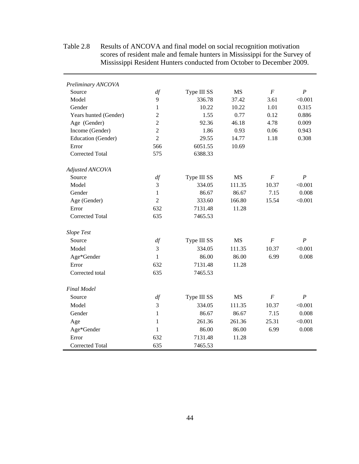| Preliminary ANCOVA     |                |             |           |                  |                  |
|------------------------|----------------|-------------|-----------|------------------|------------------|
| Source                 | df             | Type III SS | <b>MS</b> | $\cal F$         | $\boldsymbol{P}$ |
| Model                  | 9              | 336.78      | 37.42     | 3.61             | < 0.001          |
| Gender                 | $\mathbf{1}$   | 10.22       | 10.22     | 1.01             | 0.315            |
| Years hunted (Gender)  | 2              | 1.55        | 0.77      | 0.12             | 0.886            |
| Age (Gender)           | $\overline{2}$ | 92.36       | 46.18     | 4.78             | 0.009            |
| Income (Gender)        | $\overline{2}$ | 1.86        | 0.93      | 0.06             | 0.943            |
| Education (Gender)     | $\overline{2}$ | 29.55       | 14.77     | 1.18             | 0.308            |
| Error                  | 566            | 6051.55     | 10.69     |                  |                  |
| Corrected Total        | 575            | 6388.33     |           |                  |                  |
| Adjusted ANCOVA        |                |             |           |                  |                  |
| Source                 | df             | Type III SS | <b>MS</b> | $\cal F$         | $\boldsymbol{P}$ |
| Model                  | 3              | 334.05      | 111.35    | 10.37            | < 0.001          |
| Gender                 | 1              | 86.67       | 86.67     | 7.15             | 0.008            |
| Age (Gender)           | $\overline{2}$ | 333.60      | 166.80    | 15.54            | < 0.001          |
| Error                  | 632            | 7131.48     | 11.28     |                  |                  |
| <b>Corrected Total</b> | 635            | 7465.53     |           |                  |                  |
| Slope Test             |                |             |           |                  |                  |
| Source                 | df             | Type III SS | MS        | $\boldsymbol{F}$ | $\boldsymbol{P}$ |
| Model                  | 3              | 334.05      | 111.35    | 10.37            | < 0.001          |
| Age*Gender             | 1              | 86.00       | 86.00     | 6.99             | 0.008            |
| Error                  | 632            | 7131.48     | 11.28     |                  |                  |
| Corrected total        | 635            | 7465.53     |           |                  |                  |
| <b>Final Model</b>     |                |             |           |                  |                  |
| Source                 | df             | Type III SS | <b>MS</b> | $\cal F$         | $\boldsymbol{P}$ |
| Model                  | 3              | 334.05      | 111.35    | 10.37            | < 0.001          |
| Gender                 | $\mathbf{1}$   | 86.67       | 86.67     | 7.15             | 0.008            |
| Age                    | 1              | 261.36      | 261.36    | 25.31            | < 0.001          |
| Age*Gender             | 1              | 86.00       | 86.00     | 6.99             | 0.008            |
| Error                  | 632            | 7131.48     | 11.28     |                  |                  |
| Corrected Total        | 635            | 7465.53     |           |                  |                  |

Table 2.8 Results of ANCOVA and final model on social recognition motivation scores of resident male and female hunters in Mississippi for the Survey of Mississippi Resident Hunters conducted from October to December 2009.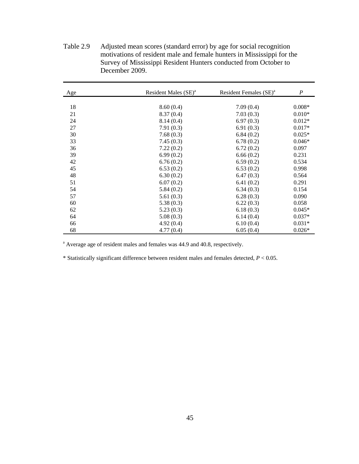| Age | Resident Males (SE) <sup>a</sup> | Resident Females (SE) <sup>a</sup> | $\boldsymbol{P}$ |
|-----|----------------------------------|------------------------------------|------------------|
|     |                                  |                                    |                  |
| 18  | 8.60(0.4)                        | 7.09(0.4)                          | $0.008*$         |
| 21  | 8.37(0.4)                        | 7.03(0.3)                          | $0.010*$         |
| 24  | 8.14(0.4)                        | 6.97(0.3)                          | $0.012*$         |
| 27  | 7.91(0.3)                        | 6.91(0.3)                          | $0.017*$         |
| 30  | 7.68(0.3)                        | 6.84(0.2)                          | $0.025*$         |
| 33  | 7.45(0.3)                        | 6.78(0.2)                          | $0.046*$         |
| 36  | 7.22(0.2)                        | 6.72(0.2)                          | 0.097            |
| 39  | 6.99(0.2)                        | 6.66(0.2)                          | 0.231            |
| 42  | 6.76(0.2)                        | 6.59(0.2)                          | 0.534            |
| 45  | 6.53(0.2)                        | 6.53(0.2)                          | 0.998            |
| 48  | 6.30(0.2)                        | 6.47(0.3)                          | 0.564            |
| 51  | 6.07(0.2)                        | 6.41(0.2)                          | 0.291            |
| 54  | 5.84(0.2)                        | 6.34(0.3)                          | 0.154            |
| 57  | 5.61(0.3)                        | 6.28(0.3)                          | 0.090            |
| 60  | 5.38(0.3)                        | 6.22(0.3)                          | 0.058            |
| 62  | 5.23(0.3)                        | 6.18(0.3)                          | $0.045*$         |
| 64  | 5.08(0.3)                        | 6.14(0.4)                          | $0.037*$         |
| 66  | 4.92(0.4)                        | 6.10(0.4)                          | $0.031*$         |
| 68  | 4.77(0.4)                        | 6.05(0.4)                          | $0.026*$         |

Table 2.9 Adjusted mean scores (standard error) by age for social recognition motivations of resident male and female hunters in Mississippi for the Survey of Mississippi Resident Hunters conducted from October to December 2009.

<sup>a</sup> Average age of resident males and females was 44.9 and 40.8, respectively.

\* Statistically significant difference between resident males and females detected, *P* < 0.05.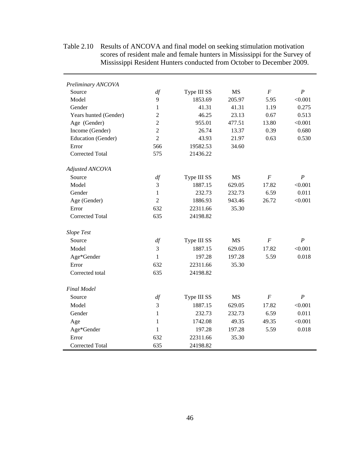| Preliminary ANCOVA     |                |             |           |                  |                  |
|------------------------|----------------|-------------|-----------|------------------|------------------|
| Source                 | df             | Type III SS | <b>MS</b> | $\boldsymbol{F}$ | $\boldsymbol{P}$ |
| Model                  | 9              | 1853.69     | 205.97    | 5.95             | < 0.001          |
| Gender                 | 1              | 41.31       | 41.31     | 1.19             | 0.275            |
| Years hunted (Gender)  | $\overline{c}$ | 46.25       | 23.13     | 0.67             | 0.513            |
| Age (Gender)           | $\overline{2}$ | 955.01      | 477.51    | 13.80            | < 0.001          |
| Income (Gender)        | $\overline{2}$ | 26.74       | 13.37     | 0.39             | 0.680            |
| Education (Gender)     | $\overline{2}$ | 43.93       | 21.97     | 0.63             | 0.530            |
| Error                  | 566            | 19582.53    | 34.60     |                  |                  |
| <b>Corrected Total</b> | 575            | 21436.22    |           |                  |                  |
| Adjusted ANCOVA        |                |             |           |                  |                  |
| Source                 | df             | Type III SS | <b>MS</b> | $\boldsymbol{F}$ | $\boldsymbol{P}$ |
| Model                  | 3              | 1887.15     | 629.05    | 17.82            | < 0.001          |
| Gender                 | $\mathbf{1}$   | 232.73      | 232.73    | 6.59             | 0.011            |
| Age (Gender)           | $\overline{2}$ | 1886.93     | 943.46    | 26.72            | < 0.001          |
| Error                  | 632            | 22311.66    | 35.30     |                  |                  |
| <b>Corrected Total</b> | 635            | 24198.82    |           |                  |                  |
| <b>Slope Test</b>      |                |             |           |                  |                  |
| Source                 | df             | Type III SS | <b>MS</b> | $\boldsymbol{F}$ | $\boldsymbol{P}$ |
| Model                  | 3              | 1887.15     | 629.05    | 17.82            | < 0.001          |
| Age*Gender             | $\mathbf{1}$   | 197.28      | 197.28    | 5.59             | 0.018            |
| Error                  | 632            | 22311.66    | 35.30     |                  |                  |
| Corrected total        | 635            | 24198.82    |           |                  |                  |
| <b>Final Model</b>     |                |             |           |                  |                  |
| Source                 | df             | Type III SS | <b>MS</b> | $\cal F$         | $\boldsymbol{P}$ |
| Model                  | 3              | 1887.15     | 629.05    | 17.82            | < 0.001          |
| Gender                 | 1              | 232.73      | 232.73    | 6.59             | 0.011            |
| Age                    | 1              | 1742.08     | 49.35     | 49.35            | < 0.001          |
| Age*Gender             | 1              | 197.28      | 197.28    | 5.59             | 0.018            |
| Error                  | 632            | 22311.66    | 35.30     |                  |                  |
| <b>Corrected Total</b> | 635            | 24198.82    |           |                  |                  |

Table 2.10 Results of ANCOVA and final model on seeking stimulation motivation scores of resident male and female hunters in Mississippi for the Survey of Mississippi Resident Hunters conducted from October to December 2009.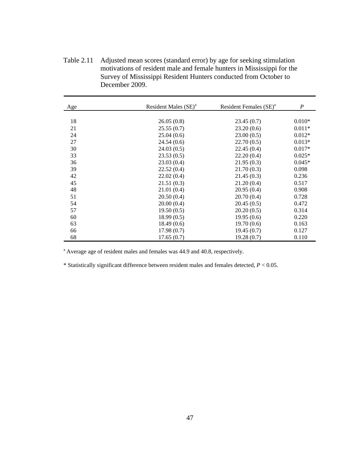Table 2.11 Adjusted mean scores (standard error) by age for seeking stimulation motivations of resident male and female hunters in Mississippi for the Survey of Mississippi Resident Hunters conducted from October to December 2009.

| Age | Resident Males (SE) <sup>a</sup> | Resident Females (SE) <sup>a</sup> | $\boldsymbol{P}$ |
|-----|----------------------------------|------------------------------------|------------------|
|     |                                  |                                    |                  |
| 18  | 26.05(0.8)                       | 23.45(0.7)                         | $0.010*$         |
| 21  | 25.55(0.7)                       | 23.20(0.6)                         | $0.011*$         |
| 24  | 25.04(0.6)                       | 23.00(0.5)                         | $0.012*$         |
| 27  | 24.54(0.6)                       | 22.70(0.5)                         | $0.013*$         |
| 30  | 24.03(0.5)                       | 22.45(0.4)                         | $0.017*$         |
| 33  | 23.53(0.5)                       | 22.20(0.4)                         | $0.025*$         |
| 36  | 23.03(0.4)                       | 21.95(0.3)                         | $0.045*$         |
| 39  | 22.52(0.4)                       | 21.70(0.3)                         | 0.098            |
| 42  | 22.02(0.4)                       | 21.45(0.3)                         | 0.236            |
| 45  | 21.51(0.3)                       | 21.20(0.4)                         | 0.517            |
| 48  | 21.01(0.4)                       | 20.95(0.4)                         | 0.908            |
| 51  | 20.50(0.4)                       | 20.70(0.4)                         | 0.728            |
| 54  | 20.00(0.4)                       | 20.45(0.5)                         | 0.472            |
| 57  | 19.50(0.5)                       | 20.20(0.5)                         | 0.314            |
| 60  | 18.99(0.5)                       | 19.95(0.6)                         | 0.220            |
| 63  | 18.49(0.6)                       | 19.70(0.6)                         | 0.163            |
| 66  | 17.98(0.7)                       | 19.45(0.7)                         | 0.127            |
| 68  | 17.65(0.7)                       | 19.28(0.7)                         | 0.110            |

<sup>a</sup> Average age of resident males and females was 44.9 and 40.8, respectively.

\* Statistically significant difference between resident males and females detected, *P* < 0.05.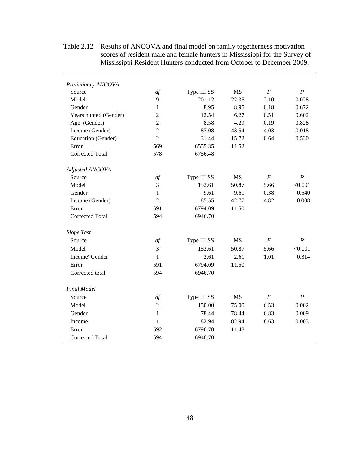| Preliminary ANCOVA     |                |             |           |                  |                  |
|------------------------|----------------|-------------|-----------|------------------|------------------|
| Source                 | df             | Type III SS | MS        | $\boldsymbol{F}$ | $\boldsymbol{P}$ |
| Model                  | 9              | 201.12      | 22.35     | 2.10             | 0.028            |
| Gender                 | 1              | 8.95        | 8.95      | 0.18             | 0.672            |
| Years hunted (Gender)  | $\overline{2}$ | 12.54       | 6.27      | 0.51             | 0.602            |
| Age (Gender)           | $\overline{2}$ | 8.58        | 4.29      | 0.19             | 0.828            |
| Income (Gender)        | $\overline{2}$ | 87.08       | 43.54     | 4.03             | 0.018            |
| Education (Gender)     | $\overline{2}$ | 31.44       | 15.72     | 0.64             | 0.530            |
| Error                  | 569            | 6555.35     | 11.52     |                  |                  |
| Corrected Total        | 578            | 6756.48     |           |                  |                  |
| Adjusted ANCOVA        |                |             |           |                  |                  |
| Source                 | df             | Type III SS | <b>MS</b> | $\boldsymbol{F}$ | $\boldsymbol{P}$ |
| Model                  | 3              | 152.61      | 50.87     | 5.66             | < 0.001          |
| Gender                 | $\mathbf{1}$   | 9.61        | 9.61      | 0.38             | 0.540            |
| Income (Gender)        | $\overline{2}$ | 85.55       | 42.77     | 4.82             | 0.008            |
| Error                  | 591            | 6794.09     | 11.50     |                  |                  |
| <b>Corrected Total</b> | 594            | 6946.70     |           |                  |                  |
| <b>Slope Test</b>      |                |             |           |                  |                  |
| Source                 | df             | Type III SS | <b>MS</b> | $\boldsymbol{F}$ | $\boldsymbol{P}$ |
| Model                  | 3              | 152.61      | 50.87     | 5.66             | < 0.001          |
| Income*Gender          | $\mathbf{1}$   | 2.61        | 2.61      | 1.01             | 0.314            |
| Error                  | 591            | 6794.09     | 11.50     |                  |                  |
| Corrected total        | 594            | 6946.70     |           |                  |                  |
| <b>Final Model</b>     |                |             |           |                  |                  |
| Source                 | df             | Type III SS | <b>MS</b> | $\boldsymbol{F}$ | $\boldsymbol{P}$ |
| Model                  | $\overline{2}$ | 150.00      | 75.00     | 6.53             | 0.002            |
| Gender                 | 1              | 78.44       | 78.44     | 6.83             | 0.009            |
| Income                 | 1              | 82.94       | 82.94     | 8.63             | 0.003            |
| Error                  | 592            | 6796.70     | 11.48     |                  |                  |
| Corrected Total        | 594            | 6946.70     |           |                  |                  |

Table 2.12 Results of ANCOVA and final model on family togetherness motivation scores of resident male and female hunters in Mississippi for the Survey of Mississippi Resident Hunters conducted from October to December 2009.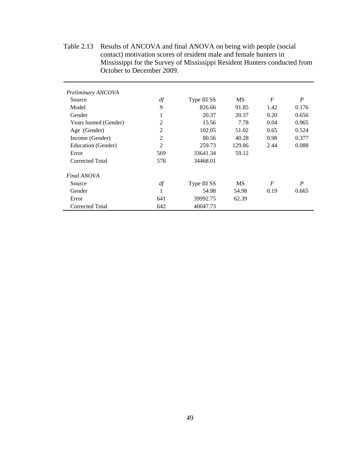Table 2.13 Results of ANCOVA and final ANOVA on being with people (social contact) motivation scores of resident male and female hunters in Mississippi for the Survey of Mississippi Resident Hunters conducted from October to December 2009.

| Preliminary ANCOVA    |     |             |           |                  |                  |
|-----------------------|-----|-------------|-----------|------------------|------------------|
| Source                | df  | Type III SS | <b>MS</b> | $\boldsymbol{F}$ | $\boldsymbol{P}$ |
| Model                 | 9   | 826.66      | 91.85     | 1.42             | 0.176            |
| Gender                | Ι.  | 20.37       | 20.37     | 0.20             | 0.656            |
| Years hunted (Gender) | 2   | 15.56       | 7.78      | 0.04             | 0.965            |
| Age (Gender)          | 2   | 102.05      | 51.02     | 0.65             | 0.524            |
| Income (Gender)       | 2   | 80.56       | 40.28     | 0.98             | 0.377            |
| Education (Gender)    | 2   | 259.73      | 129.86    | 2.44             | 0.088            |
| Error                 | 569 | 33641.34    | 59.12     |                  |                  |
| Corrected Total       | 578 | 34468.01    |           |                  |                  |
| Final ANOVA           |     |             |           |                  |                  |
| Source                | df  | Type III SS | <b>MS</b> | $\boldsymbol{F}$ | $\boldsymbol{P}$ |
| Gender                | 1   | 54.98       | 54.98     | 0.19             | 0.665            |
| Error                 | 641 | 39992.75    | 62.39     |                  |                  |
| Corrected Total       | 642 | 40047.73    |           |                  |                  |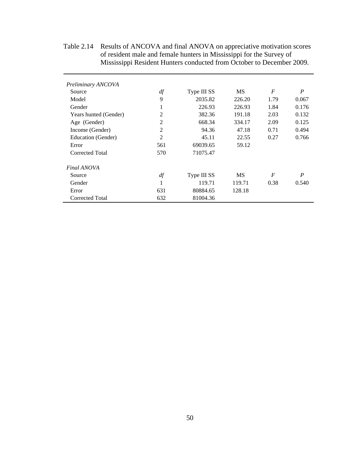Table 2.14 Results of ANCOVA and final ANOVA on appreciative motivation scores of resident male and female hunters in Mississippi for the Survey of Mississippi Resident Hunters conducted from October to December 2009.

| Preliminary ANCOVA    |                |             |        |                  |                  |
|-----------------------|----------------|-------------|--------|------------------|------------------|
| Source                | df             | Type III SS | MS     | $\overline{F}$   | $\boldsymbol{P}$ |
| Model                 | 9              | 2035.82     | 226.20 | 1.79             | 0.067            |
| Gender                | 1              | 226.93      | 226.93 | 1.84             | 0.176            |
| Years hunted (Gender) | 2              | 382.36      | 191.18 | 2.03             | 0.132            |
| Age (Gender)          | 2              | 668.34      | 334.17 | 2.09             | 0.125            |
| Income (Gender)       | 2              | 94.36       | 47.18  | 0.71             | 0.494            |
| Education (Gender)    | $\overline{c}$ | 45.11       | 22.55  | 0.27             | 0.766            |
| Error                 | 561            | 69039.65    | 59.12  |                  |                  |
| Corrected Total       | 570            | 71075.47    |        |                  |                  |
| Final ANOVA           |                |             |        |                  |                  |
| Source                | df             | Type III SS | MS     | $\boldsymbol{F}$ | P                |
| Gender                | 1              | 119.71      | 119.71 | 0.38             | 0.540            |
| Error                 | 631            | 80884.65    | 128.18 |                  |                  |
| Corrected Total       | 632            | 81004.36    |        |                  |                  |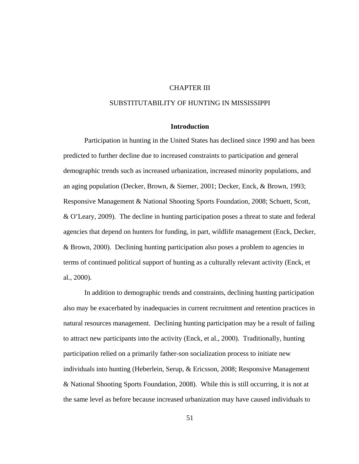# CHAPTER III

# SUBSTITUTABILITY OF HUNTING IN MISSISSIPPI

# **Introduction**

Participation in hunting in the United States has declined since 1990 and has been predicted to further decline due to increased constraints to participation and general demographic trends such as increased urbanization, increased minority populations, and an aging population (Decker, Brown, & Siemer, 2001; Decker, Enck, & Brown, 1993; Responsive Management & National Shooting Sports Foundation, 2008; Schuett, Scott, & O'Leary, 2009). The decline in hunting participation poses a threat to state and federal agencies that depend on hunters for funding, in part, wildlife management (Enck, Decker, & Brown, 2000). Declining hunting participation also poses a problem to agencies in terms of continued political support of hunting as a culturally relevant activity (Enck, et al., 2000).

In addition to demographic trends and constraints, declining hunting participation also may be exacerbated by inadequacies in current recruitment and retention practices in natural resources management. Declining hunting participation may be a result of failing to attract new participants into the activity (Enck, et al., 2000). Traditionally, hunting participation relied on a primarily father-son socialization process to initiate new individuals into hunting (Heberlein, Serup,  $\&$  Ericsson, 2008; Responsive Management & National Shooting Sports Foundation, 2008). While this is still occurring, it is not at the same level as before because increased urbanization may have caused individuals to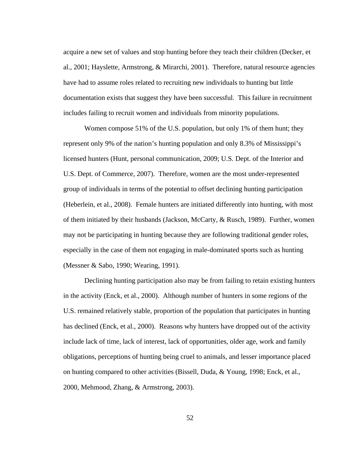acquire a new set of values and stop hunting before they teach their children (Decker, et al., 2001; Hayslette, Armstrong, & Mirarchi, 2001). Therefore, natural resource agencies have had to assume roles related to recruiting new individuals to hunting but little documentation exists that suggest they have been successful. This failure in recruitment includes failing to recruit women and individuals from minority populations.

Women compose 51% of the U.S. population, but only 1% of them hunt; they represent only 9% of the nation's hunting population and only 8.3% of Mississippi's licensed hunters (Hunt, personal communication, 2009; U.S. Dept. of the Interior and U.S. Dept. of Commerce, 2007). Therefore, women are the most under-represented group of individuals in terms of the potential to offset declining hunting participation (Heberlein, et al., 2008). Female hunters are initiated differently into hunting, with most of them initiated by their husbands (Jackson, McCarty, & Rusch, 1989). Further, women may not be participating in hunting because they are following traditional gender roles, especially in the case of them not engaging in male-dominated sports such as hunting (Messner & Sabo, 1990; Wearing, 1991).

Declining hunting participation also may be from failing to retain existing hunters in the activity (Enck, et al., 2000). Although number of hunters in some regions of the U.S. remained relatively stable, proportion of the population that participates in hunting has declined (Enck, et al., 2000). Reasons why hunters have dropped out of the activity include lack of time, lack of interest, lack of opportunities, older age, work and family obligations, perceptions of hunting being cruel to animals, and lesser importance placed on hunting compared to other activities (Bissell, Duda, & Young, 1998; Enck, et al., 2000, Mehmood, Zhang, & Armstrong, 2003).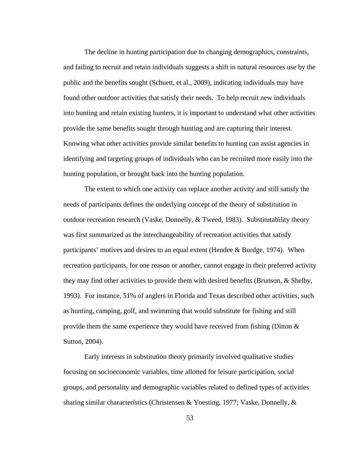The decline in hunting participation due to changing demographics, constraints, and failing to recruit and retain individuals suggests a shift in natural resources use by the public and the benefits sought (Schuett, et al., 2009), indicating individuals may have found other outdoor activities that satisfy their needs. To help recruit new individuals into hunting and retain existing hunters, it is important to understand what other activities provide the same benefits sought through hunting and are capturing their interest. Knowing what other activities provide similar benefits to hunting can assist agencies in identifying and targeting groups of individuals who can be recruited more easily into the hunting population, or brought back into the hunting population.

The extent to which one activity can replace another activity and still satisfy the needs of participants defines the underlying concept of the theory of substitution in outdoor recreation research (Vaske, Donnelly, & Tweed, 1983). Substitutability theory was first summarized as the interchangeability of recreation activities that satisfy participants' motives and desires to an equal extent (Hendee & Burdge, 1974). When recreation participants, for one reason or another, cannot engage in their preferred activity they may find other activities to provide them with desired benefits (Brunson, & Shelby, 1993). For instance, 51% of anglers in Florida and Texas described other activities, such as hunting, camping, golf, and swimming that would substitute for fishing and still provide them the same experience they would have received from fishing (Ditton  $\&$ Sutton, 2004).

Early interests in substitution theory primarily involved qualitative studies focusing on socioeconomic variables, time allotted for leisure participation, social groups, and personality and demographic variables related to defined types of activities sharing similar characteristics (Christensen & Yoesting, 1977; Vaske, Donnelly, &

53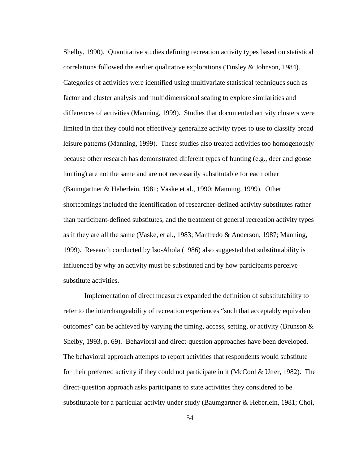Shelby, 1990). Quantitative studies defining recreation activity types based on statistical correlations followed the earlier qualitative explorations (Tinsley & Johnson, 1984). Categories of activities were identified using multivariate statistical techniques such as factor and cluster analysis and multidimensional scaling to explore similarities and differences of activities (Manning, 1999). Studies that documented activity clusters were limited in that they could not effectively generalize activity types to use to classify broad leisure patterns (Manning, 1999). These studies also treated activities too homogenously because other research has demonstrated different types of hunting (e.g., deer and goose hunting) are not the same and are not necessarily substitutable for each other (Baumgartner & Heberlein, 1981; Vaske et al., 1990; Manning, 1999). Other shortcomings included the identification of researcher-defined activity substitutes rather than participant-defined substitutes, and the treatment of general recreation activity types as if they are all the same (Vaske, et al., 1983; Manfredo & Anderson, 1987; Manning, 1999). Research conducted by Iso-Ahola (1986) also suggested that substitutability is influenced by why an activity must be substituted and by how participants perceive substitute activities.

Implementation of direct measures expanded the definition of substitutability to refer to the interchangeability of recreation experiences "such that acceptably equivalent outcomes" can be achieved by varying the timing, access, setting, or activity (Brunson  $\&$ Shelby, 1993, p. 69). Behavioral and direct-question approaches have been developed. The behavioral approach attempts to report activities that respondents would substitute for their preferred activity if they could not participate in it (McCool & Utter, 1982). The direct-question approach asks participants to state activities they considered to be substitutable for a particular activity under study (Baumgartner & Heberlein, 1981; Choi,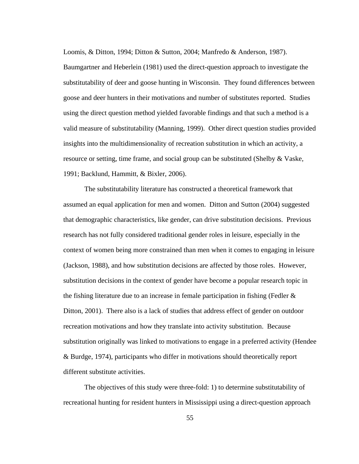Loomis, & Ditton, 1994; Ditton & Sutton, 2004; Manfredo & Anderson, 1987).

Baumgartner and Heberlein (1981) used the direct-question approach to investigate the substitutability of deer and goose hunting in Wisconsin. They found differences between goose and deer hunters in their motivations and number of substitutes reported. Studies using the direct question method yielded favorable findings and that such a method is a valid measure of substitutability (Manning, 1999). Other direct question studies provided insights into the multidimensionality of recreation substitution in which an activity, a resource or setting, time frame, and social group can be substituted (Shelby & Vaske, 1991; Backlund, Hammitt, & Bixler, 2006).

The substitutability literature has constructed a theoretical framework that assumed an equal application for men and women. Ditton and Sutton (2004) suggested that demographic characteristics, like gender, can drive substitution decisions. Previous research has not fully considered traditional gender roles in leisure, especially in the context of women being more constrained than men when it comes to engaging in leisure (Jackson, 1988), and how substitution decisions are affected by those roles. However, substitution decisions in the context of gender have become a popular research topic in the fishing literature due to an increase in female participation in fishing (Fedler  $\&$ Ditton, 2001). There also is a lack of studies that address effect of gender on outdoor recreation motivations and how they translate into activity substitution. Because substitution originally was linked to motivations to engage in a preferred activity (Hendee & Burdge, 1974), participants who differ in motivations should theoretically report different substitute activities.

The objectives of this study were three-fold: 1) to determine substitutability of recreational hunting for resident hunters in Mississippi using a direct-question approach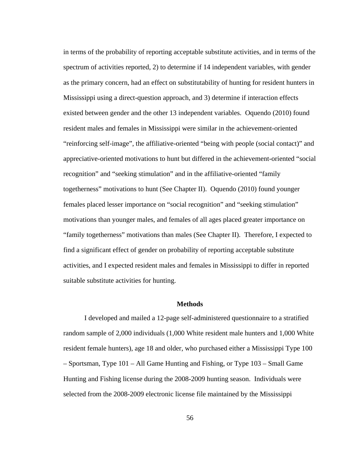in terms of the probability of reporting acceptable substitute activities, and in terms of the spectrum of activities reported, 2) to determine if 14 independent variables, with gender as the primary concern, had an effect on substitutability of hunting for resident hunters in Mississippi using a direct-question approach, and 3) determine if interaction effects existed between gender and the other 13 independent variables. Oquendo (2010) found resident males and females in Mississippi were similar in the achievement-oriented "reinforcing self-image", the affiliative-oriented "being with people (social contact)" and appreciative-oriented motivations to hunt but differed in the achievement-oriented "social recognition" and "seeking stimulation" and in the affiliative-oriented "family togetherness" motivations to hunt (See Chapter II). Oquendo (2010) found younger females placed lesser importance on "social recognition" and "seeking stimulation" motivations than younger males, and females of all ages placed greater importance on "family togetherness" motivations than males (See Chapter II). Therefore, I expected to find a significant effect of gender on probability of reporting acceptable substitute activities, and I expected resident males and females in Mississippi to differ in reported suitable substitute activities for hunting.

#### **Methods**

I developed and mailed a 12-page self-administered questionnaire to a stratified random sample of 2,000 individuals (1,000 White resident male hunters and 1,000 White resident female hunters), age 18 and older, who purchased either a Mississippi Type 100 – Sportsman, Type 101 – All Game Hunting and Fishing, or Type 103 – Small Game Hunting and Fishing license during the 2008-2009 hunting season. Individuals were selected from the 2008-2009 electronic license file maintained by the Mississippi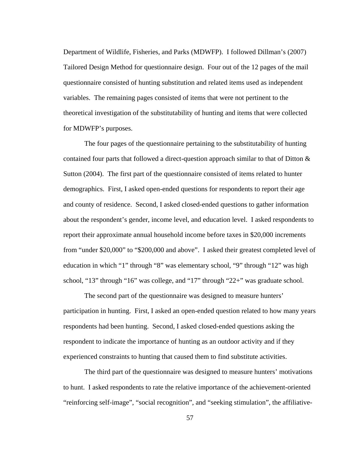Department of Wildlife, Fisheries, and Parks (MDWFP). I followed Dillman's (2007) Tailored Design Method for questionnaire design. Four out of the 12 pages of the mail questionnaire consisted of hunting substitution and related items used as independent variables. The remaining pages consisted of items that were not pertinent to the theoretical investigation of the substitutability of hunting and items that were collected for MDWFP's purposes.

The four pages of the questionnaire pertaining to the substitutability of hunting contained four parts that followed a direct-question approach similar to that of Ditton & Sutton (2004). The first part of the questionnaire consisted of items related to hunter demographics. First, I asked open-ended questions for respondents to report their age and county of residence. Second, I asked closed-ended questions to gather information about the respondent's gender, income level, and education level. I asked respondents to report their approximate annual household income before taxes in \$20,000 increments from "under \$20,000" to "\$200,000 and above". I asked their greatest completed level of education in which "1" through "8" was elementary school, "9" through "12" was high school, "13" through "16" was college, and "17" through "22+" was graduate school.

The second part of the questionnaire was designed to measure hunters' participation in hunting. First, I asked an open-ended question related to how many years respondents had been hunting. Second, I asked closed-ended questions asking the respondent to indicate the importance of hunting as an outdoor activity and if they experienced constraints to hunting that caused them to find substitute activities.

The third part of the questionnaire was designed to measure hunters' motivations to hunt. I asked respondents to rate the relative importance of the achievement-oriented "reinforcing self-image", "social recognition", and "seeking stimulation", the affiliative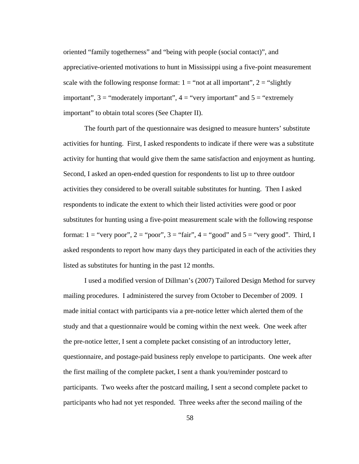oriented "family togetherness" and "being with people (social contact)", and appreciative-oriented motivations to hunt in Mississippi using a five-point measurement scale with the following response format:  $1 =$  "not at all important",  $2 =$  "slightly" important",  $3 =$  "moderately important",  $4 =$  "very important" and  $5 =$  "extremely" important" to obtain total scores (See Chapter II).

The fourth part of the questionnaire was designed to measure hunters' substitute activities for hunting. First, I asked respondents to indicate if there were was a substitute activity for hunting that would give them the same satisfaction and enjoyment as hunting. Second, I asked an open-ended question for respondents to list up to three outdoor activities they considered to be overall suitable substitutes for hunting. Then I asked respondents to indicate the extent to which their listed activities were good or poor substitutes for hunting using a five-point measurement scale with the following response format:  $1 =$  "very poor",  $2 =$  "poor",  $3 =$  "fair",  $4 =$  "good" and  $5 =$  "very good". Third, I asked respondents to report how many days they participated in each of the activities they listed as substitutes for hunting in the past 12 months.

I used a modified version of Dillman's (2007) Tailored Design Method for survey mailing procedures. I administered the survey from October to December of 2009. I made initial contact with participants via a pre-notice letter which alerted them of the study and that a questionnaire would be coming within the next week. One week after the pre-notice letter, I sent a complete packet consisting of an introductory letter, questionnaire, and postage-paid business reply envelope to participants. One week after the first mailing of the complete packet, I sent a thank you/reminder postcard to participants. Two weeks after the postcard mailing, I sent a second complete packet to participants who had not yet responded. Three weeks after the second mailing of the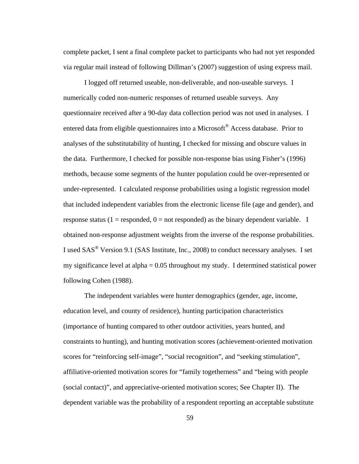complete packet, I sent a final complete packet to participants who had not yet responded via regular mail instead of following Dillman's (2007) suggestion of using express mail.

I logged off returned useable, non-deliverable, and non-useable surveys. I numerically coded non-numeric responses of returned useable surveys. Any questionnaire received after a 90-day data collection period was not used in analyses. I entered data from eligible questionnaires into a Microsoft<sup>®</sup> Access database. Prior to analyses of the substitutability of hunting, I checked for missing and obscure values in the data. Furthermore, I checked for possible non-response bias using Fisher's (1996) methods, because some segments of the hunter population could be over-represented or under-represented. I calculated response probabilities using a logistic regression model that included independent variables from the electronic license file (age and gender), and response status (1 = responded,  $0 =$  not responded) as the binary dependent variable. I obtained non-response adjustment weights from the inverse of the response probabilities. I used SAS® Version 9.1 (SAS Institute, Inc., 2008) to conduct necessary analyses. I set my significance level at alpha = 0.05 throughout my study. I determined statistical power following Cohen (1988).

The independent variables were hunter demographics (gender, age, income, education level, and county of residence), hunting participation characteristics (importance of hunting compared to other outdoor activities, years hunted, and constraints to hunting), and hunting motivation scores (achievement-oriented motivation scores for "reinforcing self-image", "social recognition", and "seeking stimulation", affiliative-oriented motivation scores for "family togetherness" and "being with people (social contact)", and appreciative-oriented motivation scores; See Chapter II). The dependent variable was the probability of a respondent reporting an acceptable substitute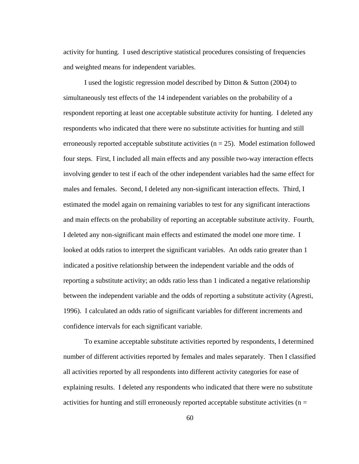activity for hunting. I used descriptive statistical procedures consisting of frequencies and weighted means for independent variables.

I used the logistic regression model described by Ditton & Sutton (2004) to simultaneously test effects of the 14 independent variables on the probability of a respondent reporting at least one acceptable substitute activity for hunting. I deleted any respondents who indicated that there were no substitute activities for hunting and still erroneously reported acceptable substitute activities ( $n = 25$ ). Model estimation followed four steps. First, I included all main effects and any possible two-way interaction effects involving gender to test if each of the other independent variables had the same effect for males and females. Second, I deleted any non-significant interaction effects. Third, I estimated the model again on remaining variables to test for any significant interactions and main effects on the probability of reporting an acceptable substitute activity. Fourth, I deleted any non-significant main effects and estimated the model one more time. I looked at odds ratios to interpret the significant variables. An odds ratio greater than 1 indicated a positive relationship between the independent variable and the odds of reporting a substitute activity; an odds ratio less than 1 indicated a negative relationship between the independent variable and the odds of reporting a substitute activity (Agresti, 1996). I calculated an odds ratio of significant variables for different increments and confidence intervals for each significant variable.

To examine acceptable substitute activities reported by respondents, I determined number of different activities reported by females and males separately. Then I classified all activities reported by all respondents into different activity categories for ease of explaining results. I deleted any respondents who indicated that there were no substitute activities for hunting and still erroneously reported acceptable substitute activities ( $n =$ 

60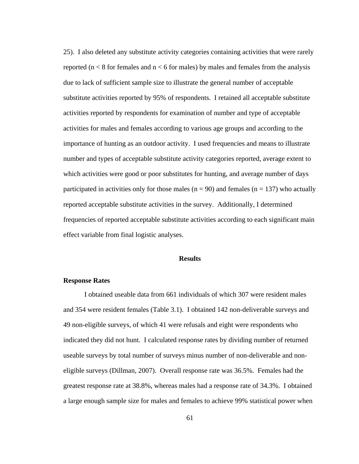25). I also deleted any substitute activity categories containing activities that were rarely reported ( $n < 8$  for females and  $n < 6$  for males) by males and females from the analysis due to lack of sufficient sample size to illustrate the general number of acceptable substitute activities reported by 95% of respondents. I retained all acceptable substitute activities reported by respondents for examination of number and type of acceptable activities for males and females according to various age groups and according to the importance of hunting as an outdoor activity. I used frequencies and means to illustrate number and types of acceptable substitute activity categories reported, average extent to which activities were good or poor substitutes for hunting, and average number of days participated in activities only for those males ( $n = 90$ ) and females ( $n = 137$ ) who actually reported acceptable substitute activities in the survey. Additionally, I determined frequencies of reported acceptable substitute activities according to each significant main effect variable from final logistic analyses.

#### **Results**

## **Response Rates**

I obtained useable data from 661 individuals of which 307 were resident males and 354 were resident females (Table 3.1). I obtained 142 non-deliverable surveys and 49 non-eligible surveys, of which 41 were refusals and eight were respondents who indicated they did not hunt. I calculated response rates by dividing number of returned useable surveys by total number of surveys minus number of non-deliverable and noneligible surveys (Dillman, 2007). Overall response rate was 36.5%. Females had the greatest response rate at 38.8%, whereas males had a response rate of 34.3%. I obtained a large enough sample size for males and females to achieve 99% statistical power when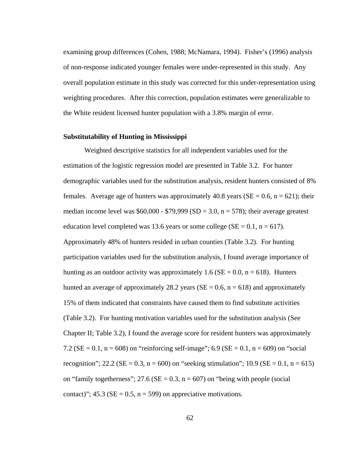examining group differences (Cohen, 1988; McNamara, 1994). Fisher's (1996) analysis of non-response indicated younger females were under-represented in this study. Any overall population estimate in this study was corrected for this under-representation using weighting procedures. After this correction, population estimates were generalizable to the White resident licensed hunter population with a 3.8% margin of error.

### **Substitutability of Hunting in Mississippi**

Weighted descriptive statistics for all independent variables used for the estimation of the logistic regression model are presented in Table 3.2. For hunter demographic variables used for the substitution analysis, resident hunters consisted of 8% females. Average age of hunters was approximately 40.8 years ( $SE = 0.6$ ,  $n = 621$ ); their median income level was  $$60,000 - $79,999$  (SD = 3.0, n = 578); their average greatest education level completed was 13.6 years or some college ( $SE = 0.1$ ,  $n = 617$ ). Approximately 48% of hunters resided in urban counties (Table 3.2). For hunting participation variables used for the substitution analysis, I found average importance of hunting as an outdoor activity was approximately 1.6 ( $SE = 0.0$ , n = 618). Hunters hunted an average of approximately 28.2 years ( $SE = 0.6$ ,  $n = 618$ ) and approximately 15% of them indicated that constraints have caused them to find substitute activities (Table 3.2). For hunting motivation variables used for the substitution analysis (See Chapter II; Table 3.2), I found the average score for resident hunters was approximately 7.2 ( $SE = 0.1$ ,  $n = 608$ ) on "reinforcing self-image"; 6.9 ( $SE = 0.1$ ,  $n = 609$ ) on "social recognition"; 22.2 (SE = 0.3, n = 600) on "seeking stimulation"; 10.9 (SE = 0.1, n = 615) on "family togetherness"; 27.6 ( $SE = 0.3$ ,  $n = 607$ ) on "being with people (social contact)";  $45.3$  (SE = 0.5, n = 599) on appreciative motivations.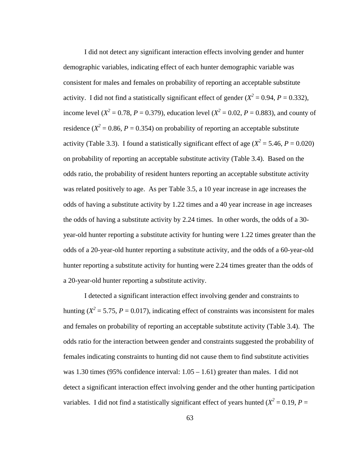I did not detect any significant interaction effects involving gender and hunter demographic variables, indicating effect of each hunter demographic variable was consistent for males and females on probability of reporting an acceptable substitute activity. I did not find a statistically significant effect of gender  $(X^2 = 0.94, P = 0.332)$ , income level ( $X^2 = 0.78$ ,  $P = 0.379$ ), education level ( $X^2 = 0.02$ ,  $P = 0.883$ ), and county of residence ( $X^2 = 0.86$ ,  $P = 0.354$ ) on probability of reporting an acceptable substitute activity (Table 3.3). I found a statistically significant effect of age ( $X^2 = 5.46$ ,  $P = 0.020$ ) on probability of reporting an acceptable substitute activity (Table 3.4). Based on the odds ratio, the probability of resident hunters reporting an acceptable substitute activity was related positively to age. As per Table 3.5, a 10 year increase in age increases the odds of having a substitute activity by 1.22 times and a 40 year increase in age increases the odds of having a substitute activity by 2.24 times. In other words, the odds of a 30 year-old hunter reporting a substitute activity for hunting were 1.22 times greater than the odds of a 20-year-old hunter reporting a substitute activity, and the odds of a 60-year-old hunter reporting a substitute activity for hunting were 2.24 times greater than the odds of a 20-year-old hunter reporting a substitute activity.

I detected a significant interaction effect involving gender and constraints to hunting ( $X^2 = 5.75$ ,  $P = 0.017$ ), indicating effect of constraints was inconsistent for males and females on probability of reporting an acceptable substitute activity (Table 3.4). The odds ratio for the interaction between gender and constraints suggested the probability of females indicating constraints to hunting did not cause them to find substitute activities was 1.30 times (95% confidence interval:  $1.05 - 1.61$ ) greater than males. I did not detect a significant interaction effect involving gender and the other hunting participation variables. I did not find a statistically significant effect of years hunted ( $X^2 = 0.19$ ,  $P =$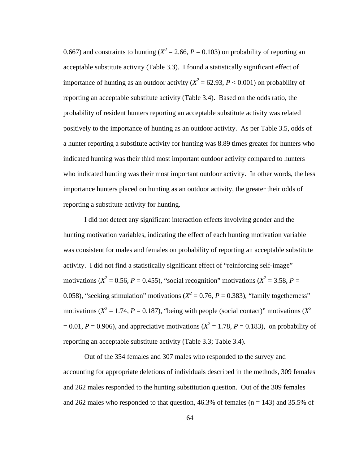0.667) and constraints to hunting ( $X^2 = 2.66$ ,  $P = 0.103$ ) on probability of reporting an acceptable substitute activity (Table 3.3). I found a statistically significant effect of importance of hunting as an outdoor activity ( $X^2 = 62.93$ ,  $P < 0.001$ ) on probability of reporting an acceptable substitute activity (Table 3.4). Based on the odds ratio, the probability of resident hunters reporting an acceptable substitute activity was related positively to the importance of hunting as an outdoor activity. As per Table 3.5, odds of a hunter reporting a substitute activity for hunting was 8.89 times greater for hunters who indicated hunting was their third most important outdoor activity compared to hunters who indicated hunting was their most important outdoor activity. In other words, the less importance hunters placed on hunting as an outdoor activity, the greater their odds of reporting a substitute activity for hunting.

I did not detect any significant interaction effects involving gender and the hunting motivation variables, indicating the effect of each hunting motivation variable was consistent for males and females on probability of reporting an acceptable substitute activity. I did not find a statistically significant effect of "reinforcing self-image" motivations ( $X^2 = 0.56$ ,  $P = 0.455$ ), "social recognition" motivations ( $X^2 = 3.58$ ,  $P =$ 0.058), "seeking stimulation" motivations ( $X^2 = 0.76$ ,  $P = 0.383$ ), "family togetherness" motivations ( $X^2 = 1.74$ ,  $P = 0.187$ ), "being with people (social contact)" motivations ( $X^2$  $= 0.01, P = 0.906$ ), and appreciative motivations ( $X^2 = 1.78, P = 0.183$ ), on probability of reporting an acceptable substitute activity (Table 3.3; Table 3.4).

Out of the 354 females and 307 males who responded to the survey and accounting for appropriate deletions of individuals described in the methods, 309 females and 262 males responded to the hunting substitution question. Out of the 309 females and 262 males who responded to that question, 46.3% of females ( $n = 143$ ) and 35.5% of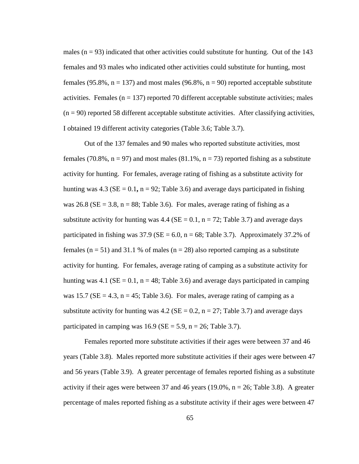males  $(n = 93)$  indicated that other activities could substitute for hunting. Out of the 143 females and 93 males who indicated other activities could substitute for hunting, most females (95.8%,  $n = 137$ ) and most males (96.8%,  $n = 90$ ) reported acceptable substitute activities. Females  $(n = 137)$  reported 70 different acceptable substitute activities; males  $(n = 90)$  reported 58 different acceptable substitute activities. After classifying activities, I obtained 19 different activity categories (Table 3.6; Table 3.7).

Out of the 137 females and 90 males who reported substitute activities, most females (70.8%,  $n = 97$ ) and most males (81.1%,  $n = 73$ ) reported fishing as a substitute activity for hunting. For females, average rating of fishing as a substitute activity for hunting was  $4.3$  (SE = 0.1, n = 92; Table 3.6) and average days participated in fishing was 26.8 ( $SE = 3.8$ ,  $n = 88$ ; Table 3.6). For males, average rating of fishing as a substitute activity for hunting was 4.4 ( $SE = 0.1$ ,  $n = 72$ ; Table 3.7) and average days participated in fishing was  $37.9$  (SE = 6.0, n = 68; Table 3.7). Approximately 37.2% of females ( $n = 51$ ) and 31.1 % of males ( $n = 28$ ) also reported camping as a substitute activity for hunting. For females, average rating of camping as a substitute activity for hunting was 4.1 ( $SE = 0.1$ ,  $n = 48$ ; Table 3.6) and average days participated in camping was 15.7 ( $SE = 4.3$ ,  $n = 45$ ; Table 3.6). For males, average rating of camping as a substitute activity for hunting was 4.2 ( $SE = 0.2$ ,  $n = 27$ ; Table 3.7) and average days participated in camping was  $16.9$  (SE = 5.9, n = 26; Table 3.7).

Females reported more substitute activities if their ages were between 37 and 46 years (Table 3.8). Males reported more substitute activities if their ages were between 47 and 56 years (Table 3.9). A greater percentage of females reported fishing as a substitute activity if their ages were between 37 and 46 years  $(19.0\%$ ,  $n = 26$ ; Table 3.8). A greater percentage of males reported fishing as a substitute activity if their ages were between 47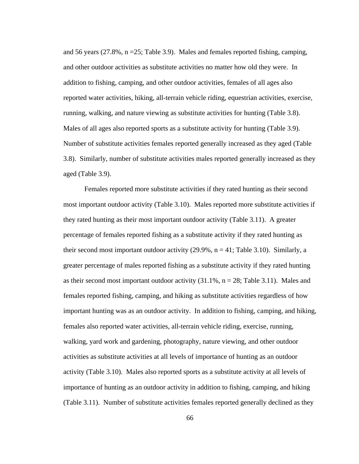and 56 years (27.8%, n =25; Table 3.9). Males and females reported fishing, camping, and other outdoor activities as substitute activities no matter how old they were. In addition to fishing, camping, and other outdoor activities, females of all ages also reported water activities, hiking, all-terrain vehicle riding, equestrian activities, exercise, running, walking, and nature viewing as substitute activities for hunting (Table 3.8). Males of all ages also reported sports as a substitute activity for hunting (Table 3.9). Number of substitute activities females reported generally increased as they aged (Table 3.8). Similarly, number of substitute activities males reported generally increased as they aged (Table 3.9).

Females reported more substitute activities if they rated hunting as their second most important outdoor activity (Table 3.10). Males reported more substitute activities if they rated hunting as their most important outdoor activity (Table 3.11). A greater percentage of females reported fishing as a substitute activity if they rated hunting as their second most important outdoor activity  $(29.9\%, n = 41;$  Table 3.10). Similarly, a greater percentage of males reported fishing as a substitute activity if they rated hunting as their second most important outdoor activity  $(31.1\%, n = 28;$  Table 3.11). Males and females reported fishing, camping, and hiking as substitute activities regardless of how important hunting was as an outdoor activity. In addition to fishing, camping, and hiking, females also reported water activities, all-terrain vehicle riding, exercise, running, walking, yard work and gardening, photography, nature viewing, and other outdoor activities as substitute activities at all levels of importance of hunting as an outdoor activity (Table 3.10). Males also reported sports as a substitute activity at all levels of importance of hunting as an outdoor activity in addition to fishing, camping, and hiking (Table 3.11). Number of substitute activities females reported generally declined as they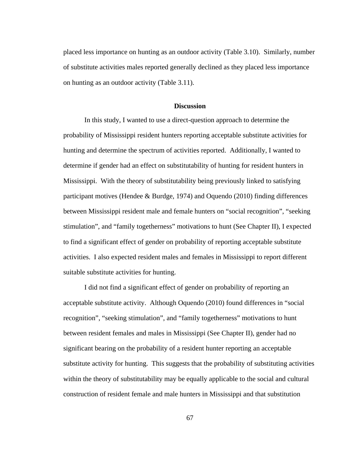placed less importance on hunting as an outdoor activity (Table 3.10). Similarly, number of substitute activities males reported generally declined as they placed less importance on hunting as an outdoor activity (Table 3.11).

## **Discussion**

In this study, I wanted to use a direct-question approach to determine the probability of Mississippi resident hunters reporting acceptable substitute activities for hunting and determine the spectrum of activities reported. Additionally, I wanted to determine if gender had an effect on substitutability of hunting for resident hunters in Mississippi. With the theory of substitutability being previously linked to satisfying participant motives (Hendee & Burdge, 1974) and Oquendo (2010) finding differences between Mississippi resident male and female hunters on "social recognition", "seeking stimulation", and "family togetherness" motivations to hunt (See Chapter II), I expected to find a significant effect of gender on probability of reporting acceptable substitute activities. I also expected resident males and females in Mississippi to report different suitable substitute activities for hunting.

I did not find a significant effect of gender on probability of reporting an acceptable substitute activity. Although Oquendo (2010) found differences in "social recognition", "seeking stimulation", and "family togetherness" motivations to hunt between resident females and males in Mississippi (See Chapter II), gender had no significant bearing on the probability of a resident hunter reporting an acceptable substitute activity for hunting. This suggests that the probability of substituting activities within the theory of substitutability may be equally applicable to the social and cultural construction of resident female and male hunters in Mississippi and that substitution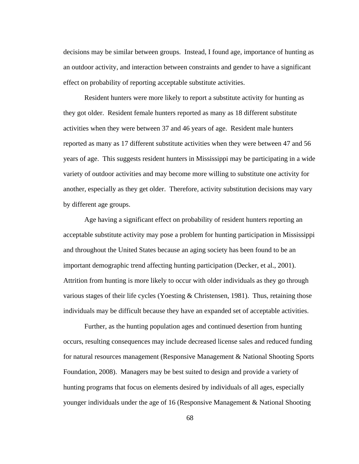decisions may be similar between groups. Instead, I found age, importance of hunting as an outdoor activity, and interaction between constraints and gender to have a significant effect on probability of reporting acceptable substitute activities.

Resident hunters were more likely to report a substitute activity for hunting as they got older. Resident female hunters reported as many as 18 different substitute activities when they were between 37 and 46 years of age. Resident male hunters reported as many as 17 different substitute activities when they were between 47 and 56 years of age. This suggests resident hunters in Mississippi may be participating in a wide variety of outdoor activities and may become more willing to substitute one activity for another, especially as they get older. Therefore, activity substitution decisions may vary by different age groups.

Age having a significant effect on probability of resident hunters reporting an acceptable substitute activity may pose a problem for hunting participation in Mississippi and throughout the United States because an aging society has been found to be an important demographic trend affecting hunting participation (Decker, et al., 2001). Attrition from hunting is more likely to occur with older individuals as they go through various stages of their life cycles (Yoesting  $&$  Christensen, 1981). Thus, retaining those individuals may be difficult because they have an expanded set of acceptable activities.

Further, as the hunting population ages and continued desertion from hunting occurs, resulting consequences may include decreased license sales and reduced funding for natural resources management (Responsive Management & National Shooting Sports Foundation, 2008). Managers may be best suited to design and provide a variety of hunting programs that focus on elements desired by individuals of all ages, especially younger individuals under the age of 16 (Responsive Management & National Shooting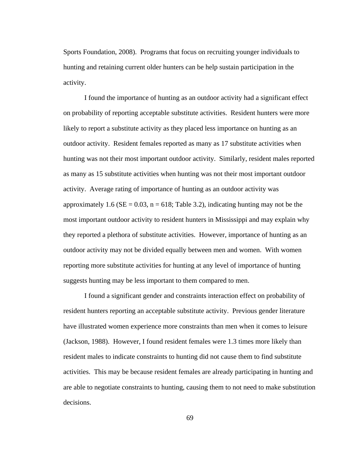Sports Foundation, 2008). Programs that focus on recruiting younger individuals to hunting and retaining current older hunters can be help sustain participation in the activity.

I found the importance of hunting as an outdoor activity had a significant effect on probability of reporting acceptable substitute activities. Resident hunters were more likely to report a substitute activity as they placed less importance on hunting as an outdoor activity. Resident females reported as many as 17 substitute activities when hunting was not their most important outdoor activity. Similarly, resident males reported as many as 15 substitute activities when hunting was not their most important outdoor activity. Average rating of importance of hunting as an outdoor activity was approximately 1.6 ( $SE = 0.03$ ,  $n = 618$ ; Table 3.2), indicating hunting may not be the most important outdoor activity to resident hunters in Mississippi and may explain why they reported a plethora of substitute activities. However, importance of hunting as an outdoor activity may not be divided equally between men and women. With women reporting more substitute activities for hunting at any level of importance of hunting suggests hunting may be less important to them compared to men.

I found a significant gender and constraints interaction effect on probability of resident hunters reporting an acceptable substitute activity. Previous gender literature have illustrated women experience more constraints than men when it comes to leisure (Jackson, 1988). However, I found resident females were 1.3 times more likely than resident males to indicate constraints to hunting did not cause them to find substitute activities. This may be because resident females are already participating in hunting and are able to negotiate constraints to hunting, causing them to not need to make substitution decisions.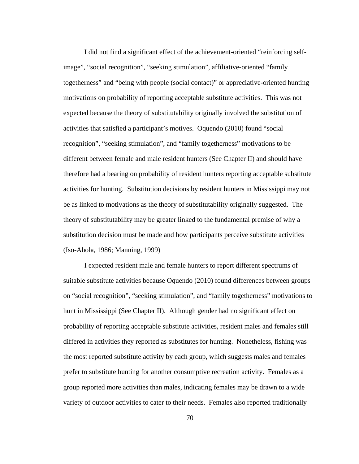I did not find a significant effect of the achievement-oriented "reinforcing selfimage", "social recognition", "seeking stimulation", affiliative-oriented "family togetherness" and "being with people (social contact)" or appreciative-oriented hunting motivations on probability of reporting acceptable substitute activities. This was not expected because the theory of substitutability originally involved the substitution of activities that satisfied a participant's motives. Oquendo (2010) found "social recognition", "seeking stimulation", and "family togetherness" motivations to be different between female and male resident hunters (See Chapter II) and should have therefore had a bearing on probability of resident hunters reporting acceptable substitute activities for hunting. Substitution decisions by resident hunters in Mississippi may not be as linked to motivations as the theory of substitutability originally suggested. The theory of substitutability may be greater linked to the fundamental premise of why a substitution decision must be made and how participants perceive substitute activities (Iso-Ahola, 1986; Manning, 1999)

I expected resident male and female hunters to report different spectrums of suitable substitute activities because Oquendo (2010) found differences between groups on "social recognition", "seeking stimulation", and "family togetherness" motivations to hunt in Mississippi (See Chapter II). Although gender had no significant effect on probability of reporting acceptable substitute activities, resident males and females still differed in activities they reported as substitutes for hunting. Nonetheless, fishing was the most reported substitute activity by each group, which suggests males and females prefer to substitute hunting for another consumptive recreation activity. Females as a group reported more activities than males, indicating females may be drawn to a wide variety of outdoor activities to cater to their needs. Females also reported traditionally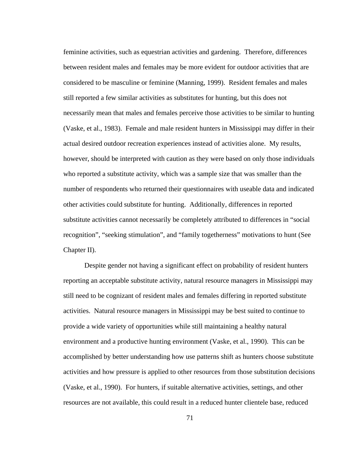feminine activities, such as equestrian activities and gardening. Therefore, differences between resident males and females may be more evident for outdoor activities that are considered to be masculine or feminine (Manning, 1999). Resident females and males still reported a few similar activities as substitutes for hunting, but this does not necessarily mean that males and females perceive those activities to be similar to hunting (Vaske, et al., 1983). Female and male resident hunters in Mississippi may differ in their actual desired outdoor recreation experiences instead of activities alone. My results, however, should be interpreted with caution as they were based on only those individuals who reported a substitute activity, which was a sample size that was smaller than the number of respondents who returned their questionnaires with useable data and indicated other activities could substitute for hunting. Additionally, differences in reported substitute activities cannot necessarily be completely attributed to differences in "social recognition", "seeking stimulation", and "family togetherness" motivations to hunt (See Chapter II).

Despite gender not having a significant effect on probability of resident hunters reporting an acceptable substitute activity, natural resource managers in Mississippi may still need to be cognizant of resident males and females differing in reported substitute activities. Natural resource managers in Mississippi may be best suited to continue to provide a wide variety of opportunities while still maintaining a healthy natural environment and a productive hunting environment (Vaske, et al., 1990). This can be accomplished by better understanding how use patterns shift as hunters choose substitute activities and how pressure is applied to other resources from those substitution decisions (Vaske, et al., 1990). For hunters, if suitable alternative activities, settings, and other resources are not available, this could result in a reduced hunter clientele base, reduced

71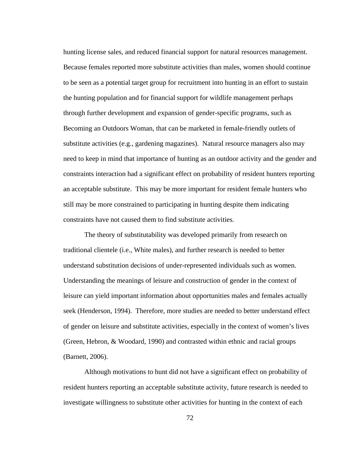hunting license sales, and reduced financial support for natural resources management. Because females reported more substitute activities than males, women should continue to be seen as a potential target group for recruitment into hunting in an effort to sustain the hunting population and for financial support for wildlife management perhaps through further development and expansion of gender-specific programs, such as Becoming an Outdoors Woman, that can be marketed in female-friendly outlets of substitute activities (e.g., gardening magazines). Natural resource managers also may need to keep in mind that importance of hunting as an outdoor activity and the gender and constraints interaction had a significant effect on probability of resident hunters reporting an acceptable substitute. This may be more important for resident female hunters who still may be more constrained to participating in hunting despite them indicating constraints have not caused them to find substitute activities.

The theory of substitutability was developed primarily from research on traditional clientele (i.e., White males), and further research is needed to better understand substitution decisions of under-represented individuals such as women. Understanding the meanings of leisure and construction of gender in the context of leisure can yield important information about opportunities males and females actually seek (Henderson, 1994). Therefore, more studies are needed to better understand effect of gender on leisure and substitute activities, especially in the context of women's lives (Green, Hebron, & Woodard, 1990) and contrasted within ethnic and racial groups (Barnett, 2006).

Although motivations to hunt did not have a significant effect on probability of resident hunters reporting an acceptable substitute activity, future research is needed to investigate willingness to substitute other activities for hunting in the context of each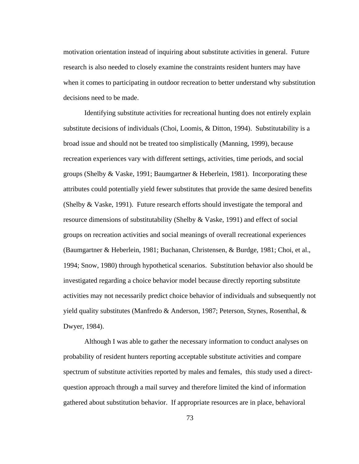motivation orientation instead of inquiring about substitute activities in general. Future research is also needed to closely examine the constraints resident hunters may have when it comes to participating in outdoor recreation to better understand why substitution decisions need to be made.

Identifying substitute activities for recreational hunting does not entirely explain substitute decisions of individuals (Choi, Loomis, & Ditton, 1994). Substitutability is a broad issue and should not be treated too simplistically (Manning, 1999), because recreation experiences vary with different settings, activities, time periods, and social groups (Shelby & Vaske, 1991; Baumgartner & Heberlein, 1981). Incorporating these attributes could potentially yield fewer substitutes that provide the same desired benefits (Shelby & Vaske, 1991). Future research efforts should investigate the temporal and resource dimensions of substitutability (Shelby & Vaske, 1991) and effect of social groups on recreation activities and social meanings of overall recreational experiences (Baumgartner & Heberlein, 1981; Buchanan, Christensen, & Burdge, 1981; Choi, et al., 1994; Snow, 1980) through hypothetical scenarios. Substitution behavior also should be investigated regarding a choice behavior model because directly reporting substitute activities may not necessarily predict choice behavior of individuals and subsequently not yield quality substitutes (Manfredo & Anderson, 1987; Peterson, Stynes, Rosenthal,  $\&$ Dwyer, 1984).

Although I was able to gather the necessary information to conduct analyses on probability of resident hunters reporting acceptable substitute activities and compare spectrum of substitute activities reported by males and females, this study used a directquestion approach through a mail survey and therefore limited the kind of information gathered about substitution behavior. If appropriate resources are in place, behavioral

73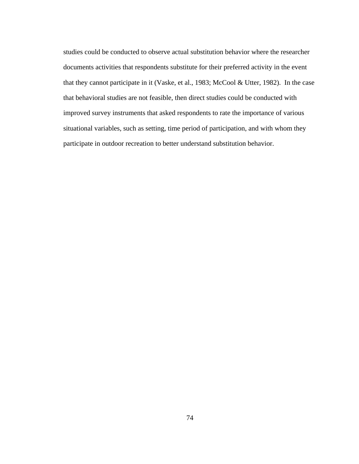studies could be conducted to observe actual substitution behavior where the researcher documents activities that respondents substitute for their preferred activity in the event that they cannot participate in it (Vaske, et al., 1983; McCool & Utter, 1982). In the case that behavioral studies are not feasible, then direct studies could be conducted with improved survey instruments that asked respondents to rate the importance of various situational variables, such as setting, time period of participation, and with whom they participate in outdoor recreation to better understand substitution behavior.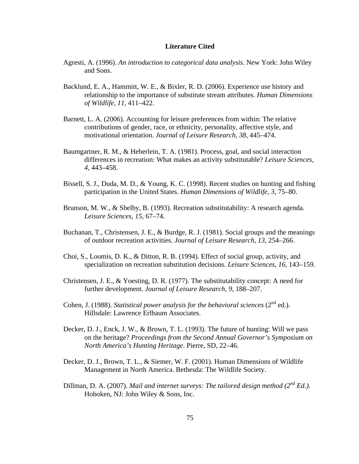#### **Literature Cited**

- Agresti, A. (1996). *An introduction to categorical data analysis*. New York: John Wiley and Sons.
- Backlund, E. A., Hammitt, W. E., & Bixler, R. D. (2006). Experience use history and relationship to the importance of substitute stream attributes. *Human Dimensions of Wildlife*, *11*, 411–422.
- Barnett, L. A. (2006). Accounting for leisure preferences from within: The relative contributions of gender, race, or ethnicity, personality, affective style, and motivational orientation. *Journal of Leisure Research*, *38*, 445–474.
- Baumgartner, R. M., & Heberlein, T. A. (1981). Process, goal, and social interaction differences in recreation: What makes an activity substitutable? *Leisure Sciences*, *4*, 443–458.
- Bissell, S. J., Duda, M. D., & Young, K. C. (1998). Recent studies on hunting and fishing participation in the United States. *Human Dimensions of Wildlife, 3*, 75–80.
- Brunson, M. W., & Shelby, B. (1993). Recreation substitutability: A research agenda. *Leisure Sciences*, *15*, 67–74.
- Buchanan, T., Christensen, J. E., & Burdge, R. J. (1981). Social groups and the meanings of outdoor recreation activities. *Journal of Leisure Research*, *13*, 254–266.
- Choi, S., Loomis, D. K., & Ditton, R. B. (1994). Effect of social group, activity, and specialization on recreation substitution decisions. *Leisure Sciences*, *16*, 143–159.
- Christensen, J. E., & Yoesting, D. R. (1977). The substitutability concept: A need for further development. *Journal of Leisure Research*, *9*, 188–207.
- Cohen, J. (1988). *Statistical power analysis for the behavioral sciences*  $(2^{nd}$  ed.). Hillsdale: Lawrence Erlbaum Associates.
- Decker, D. J., Enck, J. W., & Brown, T. L. (1993). The future of hunting: Will we pass on the heritage? *Proceedings from the Second Annual Governor's Symposium on North America's Hunting Heritage*. Pierre, SD, 22–46.
- Decker, D. J., Brown, T. L., & Siemer, W. F. (2001). Human Dimensions of Wildlife Management in North America. Bethesda: The Wildlife Society.
- Dillman, D. A. (2007). *Mail and internet surveys: The tailored design method (2<sup>nd</sup> Ed.).* Hoboken, NJ: John Wiley & Sons, Inc.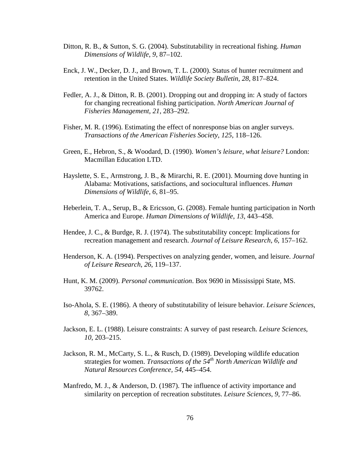- Ditton, R. B., & Sutton, S. G. (2004). Substitutability in recreational fishing. *Human Dimensions of Wildlife*, *9*, 87–102.
- Enck, J. W., Decker, D. J., and Brown, T. L. (2000). Status of hunter recruitment and retention in the United States. *Wildlife Society Bulletin, 28*, 817–824.
- Fedler, A. J., & Ditton, R. B. (2001). Dropping out and dropping in: A study of factors for changing recreational fishing participation. *North American Journal of Fisheries Management*, *21*, 283–292.
- Fisher, M. R. (1996). Estimating the effect of nonresponse bias on angler surveys. *Transactions of the American Fisheries Society, 125*, 118–126.
- Green, E., Hebron, S., & Woodard, D. (1990). *Women's leisure, what leisure?* London: Macmillan Education LTD.
- Hayslette, S. E., Armstrong, J. B., & Mirarchi, R. E. (2001). Mourning dove hunting in Alabama: Motivations, satisfactions, and sociocultural influences. *Human Dimensions of Wildlife, 6*, 81–95.
- Heberlein, T. A., Serup, B., & Ericsson, G. (2008). Female hunting participation in North America and Europe. *Human Dimensions of Wildlife*, *13*, 443–458.
- Hendee, J. C., & Burdge, R. J. (1974). The substitutability concept: Implications for recreation management and research. *Journal of Leisure Research*, *6*, 157–162.
- Henderson, K. A. (1994). Perspectives on analyzing gender, women, and leisure. *Journal of Leisure Research*, *26*, 119–137.
- Hunt, K. M. (2009). *Personal communication*. Box 9690 in Mississippi State, MS. 39762.
- Iso-Ahola, S. E. (1986). A theory of substitutability of leisure behavior. *Leisure Sciences*, *8*, 367–389.
- Jackson, E. L. (1988). Leisure constraints: A survey of past research. *Leisure Sciences*, *10*, 203–215.
- Jackson, R. M., McCarty, S. L., & Rusch, D. (1989). Developing wildlife education strategies for women. *Transactions of the 54th North American Wildlife and Natural Resources Conference, 54*, 445–454.
- Manfredo, M. J., & Anderson, D. (1987). The influence of activity importance and similarity on perception of recreation substitutes. *Leisure Sciences*, *9*, 77–86.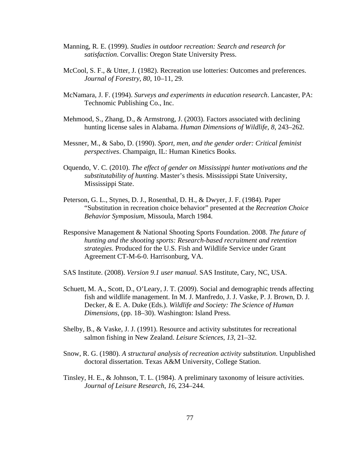- Manning, R. E. (1999). *Studies in outdoor recreation: Search and research for satisfaction*. Corvallis: Oregon State University Press.
- McCool, S. F., & Utter, J. (1982). Recreation use lotteries: Outcomes and preferences.  *Journal of Forestry*, *80*, 10–11, 29.
- McNamara, J. F. (1994). *Surveys and experiments in education research*. Lancaster, PA: Technomic Publishing Co., Inc.
- Mehmood, S., Zhang, D., & Armstrong, J. (2003). Factors associated with declining hunting license sales in Alabama. *Human Dimensions of Wildlife, 8*, 243–262.
- Messner, M., & Sabo, D. (1990). *Sport, men, and the gender order: Critical feminist perspectives*. Champaign, IL: Human Kinetics Books.
- Oquendo, V. C. (2010). *The effect of gender on Mississippi hunter motivations and the substitutability of hunting*. Master's thesis. Mississippi State University, Mississippi State.
- Peterson, G. L., Stynes, D. J., Rosenthal, D. H., & Dwyer, J. F. (1984). Paper "Substitution in recreation choice behavior" presented at the *Recreation Choice Behavior Symposium*, Missoula, March 1984.
- Responsive Management & National Shooting Sports Foundation. 2008. *The future of hunting and the shooting sports: Research-based recruitment and retention strategies*. Produced for the U.S. Fish and Wildlife Service under Grant Agreement CT-M-6-0. Harrisonburg, VA.
- SAS Institute. (2008). *Version 9.1 user manual.* SAS Institute, Cary, NC, USA.
- Schuett, M. A., Scott, D., O'Leary, J. T. (2009). Social and demographic trends affecting fish and wildlife management. In M. J. Manfredo, J. J. Vaske, P. J. Brown, D. J. Decker, & E. A. Duke (Eds.). *Wildlife and Society: The Science of Human Dimensions*, (pp. 18–30). Washington: Island Press.
- Shelby, B., & Vaske, J. J. (1991). Resource and activity substitutes for recreational salmon fishing in New Zealand. *Leisure Sciences*, *13*, 21–32.
- Snow, R. G. (1980). *A structural analysis of recreation activity substitution*. Unpublished doctoral dissertation. Texas A&M University, College Station.
- Tinsley, H. E., & Johnson, T. L. (1984). A preliminary taxonomy of leisure activities. *Journal of Leisure Research*, *16*, 234–244.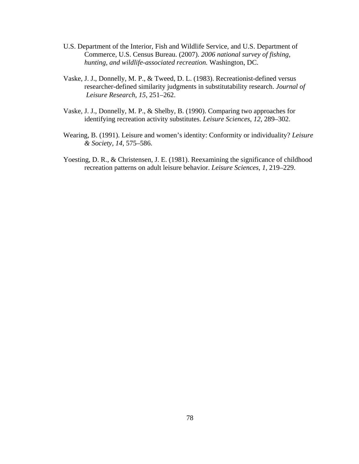- U.S. Department of the Interior, Fish and Wildlife Service, and U.S. Department of Commerce, U.S. Census Bureau. (2007). *2006 national survey of fishing, hunting, and wildlife-associated recreation.* Washington, DC.
- Vaske, J. J., Donnelly, M. P., & Tweed, D. L. (1983). Recreationist-defined versus researcher-defined similarity judgments in substitutability research. *Journal of Leisure Research*, *15*, 251–262.
- Vaske, J. J., Donnelly, M. P., & Shelby, B. (1990). Comparing two approaches for identifying recreation activity substitutes. *Leisure Sciences*, *12*, 289–302.
- Wearing, B. (1991). Leisure and women's identity: Conformity or individuality? *Leisure & Society, 14*, 575–586.
- Yoesting, D. R., & Christensen, J. E. (1981). Reexamining the significance of childhood recreation patterns on adult leisure behavior. *Leisure Sciences, 1*, 219–229.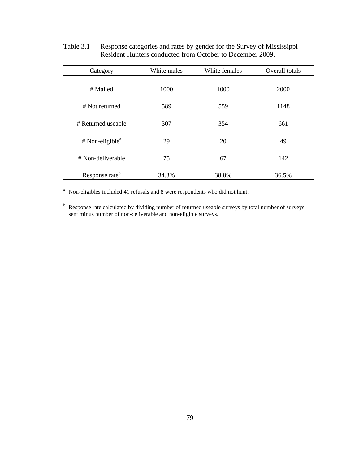| Category                      | White males | White females | Overall totals |
|-------------------------------|-------------|---------------|----------------|
| # Mailed                      | 1000        | 1000          | 2000           |
| # Not returned                | 589         | 559           | 1148           |
| # Returned useable            | 307         | 354           | 661            |
| $#$ Non-eligible <sup>a</sup> | 29          | 20            | 49             |
| # Non-deliverable             | 75          | 67            | 142            |
| Response rate <sup>b</sup>    | 34.3%       | 38.8%         | 36.5%          |

Table 3.1 Response categories and rates by gender for the Survey of Mississippi Resident Hunters conducted from October to December 2009.

<sup>a</sup> Non-eligibles included 41 refusals and 8 were respondents who did not hunt.

<sup>b</sup> Response rate calculated by dividing number of returned useable surveys by total number of surveys sent minus number of non-deliverable and non-eligible surveys.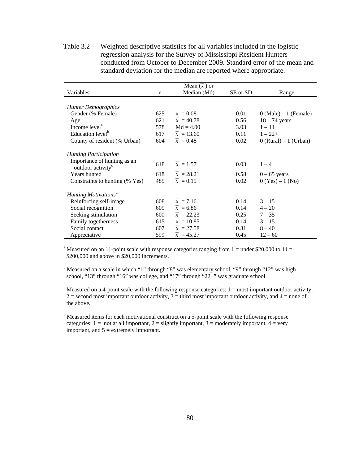Variables n Mean  $(\bar{x})$  or Median (Md) SE or SD Range *Hunter Demographics*  Gender (% Female) 625  $\bar{x} = 0.08$  0.01 0 (Male) – 1 (Female) Age 621  $\bar{x} = 40.78$  0.56 18 – 74 years Income level<sup>a</sup> 578 Md = 4.00 3.03 1 – 11 Education level<sup>b</sup> 617  $\bar{x} = 13.60$  0.11 1 – 22+ County of resident (% Urban) 604  $\bar{x} = 0.48$  0.02 0 (Rural) – 1 (Urban) *Hunting Participation*  Importance of hunting as an outdoor activity<sup>c</sup> 618  $\bar{x} = 1.57$  0.03 1 – 4  $\bar{x} = 1.57$ Years hunted 618  $\bar{x} = 28.21$  0.58 0 – 65 years Constraints to hunting (% Yes)  $485 \bar{x} = 0.15$  0.02 0 (Yes) – 1 (No) *Hunting Motivations*<sup>d</sup> Reinforcing self-image 608  $\bar{x} = 7.16$  0.14  $3 - 15$ Social recognition 609  $\bar{x} = 6.86$  0.14  $4 - 20$ Seeking stimulation 600  $\bar{x} = 22.23$  0.25  $7 - 35$ 

Table 3.2 Weighted descriptive statistics for all variables included in the logistic regression analysis for the Survey of Mississippi Resident Hunters conducted from October to December 2009. Standard error of the mean and standard deviation for the median are reported where appropriate.

<sup>a</sup> Measured on an 11-point scale with response categories ranging from  $1 =$  under \$20,000 to  $11 =$ \$200,000 and above in \$20,000 increments.

Family togetherness 615  $\bar{x} = 10.85$  0.14  $3 - 15$ Social contact 607  $\bar{x} = 27.58$  0.31 8 – 40 Appreciative 599  $\bar{x} = 45.27$  0.45  $12 - 60$ 

<sup>b</sup> Measured on a scale in which "1" through "8" was elementary school, "9" through "12" was high school, "13" through "16" was college, and "17" through "22+" was graduate school.

 $\epsilon$  Measured on a 4-point scale with the following response categories: 1 = most important outdoor activity,  $2 =$  second most important outdoor activity,  $3 =$  third most important outdoor activity, and  $4 =$  none of the above.

<sup>d</sup> Measured items for each motivational construct on a 5-point scale with the following response categories:  $1 = \text{not at all important}, 2 = \text{slightly important}, 3 = \text{moderately important}, 4 = \text{very}$ important, and  $5 =$  extremely important.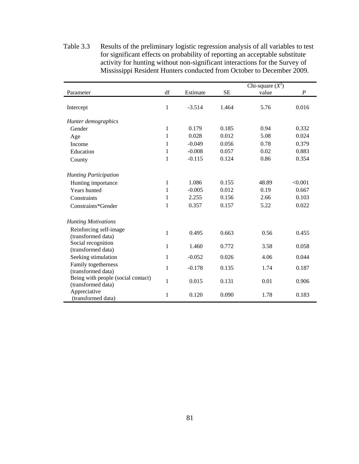|                                                          |              |          |           | Chi-square $(X^2)$ |                  |
|----------------------------------------------------------|--------------|----------|-----------|--------------------|------------------|
| Parameter                                                | df           | Estimate | <b>SE</b> | value              | $\boldsymbol{P}$ |
| Intercept                                                | 1            | $-3.514$ | 1.464     | 5.76               | 0.016            |
| Hunter demographics                                      |              |          |           |                    |                  |
| Gender                                                   | $\mathbf{1}$ | 0.179    | 0.185     | 0.94               | 0.332            |
| Age                                                      | 1            | 0.028    | 0.012     | 5.08               | 0.024            |
| Income                                                   | 1            | $-0.049$ | 0.056     | 0.78               | 0.379            |
| Education                                                | 1            | $-0.008$ | 0.057     | 0.02               | 0.883            |
| County                                                   | $\mathbf{1}$ | $-0.115$ | 0.124     | 0.86               | 0.354            |
|                                                          |              |          |           |                    |                  |
| <b>Hunting Participation</b>                             |              |          |           |                    |                  |
| Hunting importance                                       | 1            | 1.086    | 0.155     | 48.89              | < 0.001          |
| Years hunted                                             | 1            | $-0.005$ | 0.012     | 0.19               | 0.667            |
| Constraints                                              | 1            | 2.255    | 0.156     | 2.66               | 0.103            |
| Constraints*Gender                                       | 1            | 0.357    | 0.157     | 5.22               | 0.022            |
|                                                          |              |          |           |                    |                  |
| <b>Hunting Motivations</b>                               |              |          |           |                    |                  |
| Reinforcing self-image<br>(transformed data)             | 1            | 0.495    | 0.663     | 0.56               | 0.455            |
| Social recognition<br>(transformed data)                 | $\mathbf{1}$ | 1.460    | 0.772     | 3.58               | 0.058            |
| Seeking stimulation                                      | $\mathbf{1}$ | $-0.052$ | 0.026     | 4.06               | 0.044            |
| Family togetherness<br>(transformed data)                | 1            | $-0.178$ | 0.135     | 1.74               | 0.187            |
| Being with people (social contact)<br>(transformed data) | $\mathbf{1}$ | 0.015    | 0.131     | 0.01               | 0.906            |
| Appreciative<br>(transformed data)                       | $\mathbf{1}$ | 0.120    | 0.090     | 1.78               | 0.183            |

Table 3.3 Results of the preliminary logistic regression analysis of all variables to test for significant effects on probability of reporting an acceptable substitute activity for hunting without non-significant interactions for the Survey of Mississippi Resident Hunters conducted from October to December 2009.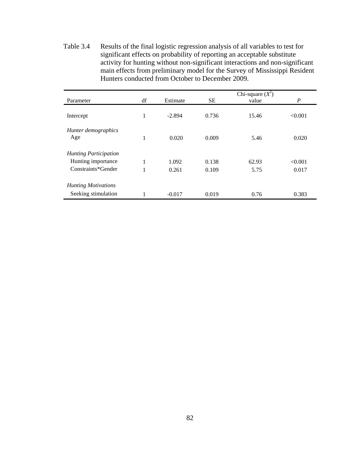Table 3.4 Results of the final logistic regression analysis of all variables to test for significant effects on probability of reporting an acceptable substitute activity for hunting without non-significant interactions and non-significant main effects from preliminary model for the Survey of Mississippi Resident Hunters conducted from October to December 2009.

|                              |    |          |           | Chi-square $(X^2)$ |         |
|------------------------------|----|----------|-----------|--------------------|---------|
| Parameter                    | df | Estimate | <b>SE</b> | value              | P       |
| Intercept                    | 1  | $-2.894$ | 0.736     | 15.46              | < 0.001 |
| Hunter demographics<br>Age   | 1  | 0.020    | 0.009     | 5.46               | 0.020   |
| <b>Hunting Participation</b> |    |          |           |                    |         |
| Hunting importance           | 1  | 1.092    | 0.138     | 62.93              | < 0.001 |
| Constraints*Gender           | 1  | 0.261    | 0.109     | 5.75               | 0.017   |
| <b>Hunting Motivations</b>   |    |          |           |                    |         |
| Seeking stimulation          |    | $-0.017$ | 0.019     | 0.76               | 0.383   |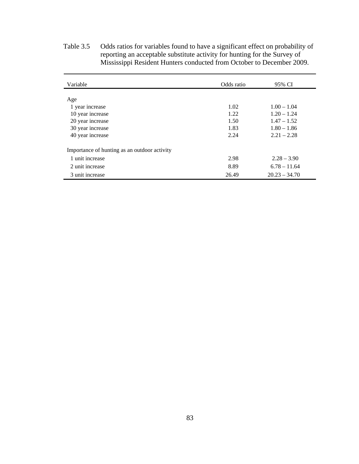| Variable                                     | Odds ratio | 95% CI          |
|----------------------------------------------|------------|-----------------|
|                                              |            |                 |
| Age                                          |            |                 |
| 1 year increase                              | 1.02       | $1.00 - 1.04$   |
| 10 year increase                             | 1.22       | $1.20 - 1.24$   |
| 20 year increase                             | 1.50       | $1.47 - 1.52$   |
| 30 year increase                             | 1.83       | $1.80 - 1.86$   |
| 40 year increase                             | 2.24       | $2.21 - 2.28$   |
| Importance of hunting as an outdoor activity |            |                 |
| 1 unit increase                              | 2.98       | $2.28 - 3.90$   |
| 2 unit increase                              | 8.89       | $6.78 - 11.64$  |
| 3 unit increase                              | 26.49      | $20.23 - 34.70$ |

Table 3.5 Odds ratios for variables found to have a significant effect on probability of reporting an acceptable substitute activity for hunting for the Survey of Mississippi Resident Hunters conducted from October to December 2009.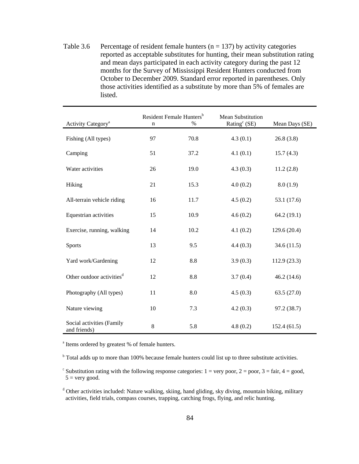Table 3.6 Percentage of resident female hunters ( $n = 137$ ) by activity categories reported as acceptable substitutes for hunting, their mean substitution rating and mean days participated in each activity category during the past 12 months for the Survey of Mississippi Resident Hunters conducted from October to December 2009. Standard error reported in parentheses. Only those activities identified as a substitute by more than 5% of females are listed.

| Activity Category <sup>a</sup>            | Resident Female Hunters <sup>b</sup><br>%<br>n |      | <b>Mean Substitution</b><br>Rating $c$ (SE) | Mean Days (SE) |
|-------------------------------------------|------------------------------------------------|------|---------------------------------------------|----------------|
| Fishing (All types)                       | 97                                             | 70.8 | 4.3(0.1)                                    | 26.8(3.8)      |
| Camping                                   | 51                                             | 37.2 | 4.1(0.1)                                    | 15.7(4.3)      |
| Water activities                          | 26                                             | 19.0 | 4.3(0.3)                                    | 11.2(2.8)      |
| Hiking                                    | 21                                             | 15.3 | 4.0(0.2)                                    | 8.0(1.9)       |
| All-terrain vehicle riding                | 16                                             | 11.7 | 4.5(0.2)                                    | 53.1 (17.6)    |
| Equestrian activities                     | 15                                             | 10.9 | 4.6(0.2)                                    | 64.2(19.1)     |
| Exercise, running, walking                | 14                                             | 10.2 | 4.1(0.2)                                    | 129.6 (20.4)   |
| Sports                                    | 13                                             | 9.5  | 4.4(0.3)                                    | 34.6(11.5)     |
| Yard work/Gardening                       | 12                                             | 8.8  | 3.9(0.3)                                    | 112.9(23.3)    |
| Other outdoor activities <sup>d</sup>     | 12                                             | 8.8  | 3.7(0.4)                                    | 46.2(14.6)     |
| Photography (All types)                   | 11                                             | 8.0  | 4.5(0.3)                                    | 63.5(27.0)     |
| Nature viewing                            | 10                                             | 7.3  | 4.2(0.3)                                    | 97.2 (38.7)    |
| Social activities (Family<br>and friends) | $8\,$                                          | 5.8  | 4.8(0.2)                                    | 152.4(61.5)    |

<sup>a</sup> Items ordered by greatest % of female hunters.

<sup>b</sup> Total adds up to more than 100% because female hunters could list up to three substitute activities.

<sup>c</sup> Substitution rating with the following response categories:  $1 = \text{very poor}, 2 = \text{poor}, 3 = \text{fair}, 4 = \text{good},$  $5 =$  very good.

<sup>d</sup> Other activities included: Nature walking, skiing, hand gliding, sky diving, mountain biking, military activities, field trials, compass courses, trapping, catching frogs, flying, and relic hunting.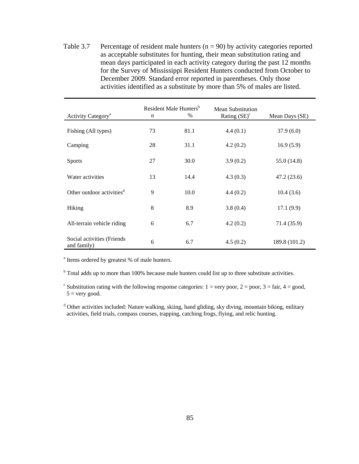Table 3.7 Percentage of resident male hunters  $(n = 90)$  by activity categories reported as acceptable substitutes for hunting, their mean substitution rating and mean days participated in each activity category during the past 12 months for the Survey of Mississippi Resident Hunters conducted from October to December 2009. Standard error reported in parentheses. Only those activities identified as a substitute by more than 5% of males are listed.

| Activity Category <sup>a</sup>             | Resident Male Hunters <sup>b</sup><br>$\%$<br>n |      | Mean Substitution<br>Rating $(SE)^c$ | Mean Days (SE) |
|--------------------------------------------|-------------------------------------------------|------|--------------------------------------|----------------|
| Fishing (All types)                        | 73                                              | 81.1 | 4.4(0.1)                             | 37.9(6.0)      |
| Camping                                    | 28                                              | 31.1 | 4.2(0.2)                             | 16.9(5.9)      |
| <b>Sports</b>                              | 27                                              | 30.0 | 3.9(0.2)                             | 55.0 (14.8)    |
| Water activities                           | 13                                              | 14.4 | 4.3(0.3)                             | 47.2 (23.6)    |
| Other outdoor activities <sup>d</sup>      | 9                                               | 10.0 | 4.4(0.2)                             | 10.4(3.6)      |
| Hiking                                     | 8                                               | 8.9  | 3.8(0.4)                             | 17.1(9.9)      |
| All-terrain vehicle riding                 | 6                                               | 6.7  | 4.2(0.2)                             | 71.4 (35.9)    |
| Social activities (Friends)<br>and family) | 6                                               | 6.7  | 4.5(0.2)                             | 189.8 (101.2)  |

<sup>a</sup> Items ordered by greatest % of male hunters.

<sup>b</sup> Total adds up to more than 100% because male hunters could list up to three substitute activities.

<sup>c</sup> Substitution rating with the following response categories:  $1 = \text{very poor}, 2 = \text{poor}, 3 = \text{fair}, 4 = \text{good},$  $5 =$  very good.

<sup>d</sup> Other activities included: Nature walking, skiing, hand gliding, sky diving, mountain biking, military activities, field trials, compass courses, trapping, catching frogs, flying, and relic hunting.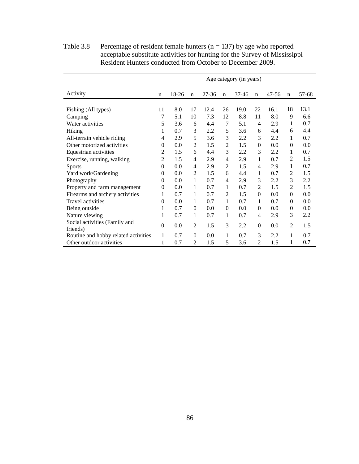|                                      | Age category (in years) |       |             |           |                |           |                |           |                |       |
|--------------------------------------|-------------------------|-------|-------------|-----------|----------------|-----------|----------------|-----------|----------------|-------|
|                                      |                         |       |             |           |                |           |                |           |                |       |
| Activity                             | $\mathbf n$             | 18-26 | $\mathbf n$ | $27 - 36$ | $\mathbf n$    | $37 - 46$ | $\mathbf n$    | $47 - 56$ | $\mathbf n$    | 57-68 |
|                                      |                         |       |             |           |                |           |                |           |                |       |
| Fishing (All types)                  | 11                      | 8.0   | 17          | 12.4      | 26             | 19.0      | 22             | 16.1      | 18             | 13.1  |
| Camping                              | 7                       | 5.1   | 10          | 7.3       | 12             | 8.8       | 11             | 8.0       | 9              | 6.6   |
| Water activities                     | 5                       | 3.6   | 6           | 4.4       | 7              | 5.1       | 4              | 2.9       | 1              | 0.7   |
| Hiking                               | 1                       | 0.7   | 3           | 2.2       | 5              | 3.6       | 6              | 4.4       | 6              | 4.4   |
| All-terrain vehicle riding           | 4                       | 2.9   | 5           | 3.6       | 3              | 2.2       | 3              | 2.2       | 1              | 0.7   |
| Other motorized activities           | $\theta$                | 0.0   | 2           | 1.5       | 2              | 1.5       | $\mathbf{0}$   | 0.0       | $\theta$       | 0.0   |
| Equestrian activities                | 2                       | 1.5   | 6           | 4.4       | 3              | 2.2       | 3              | 2.2       | 1              | 0.7   |
| Exercise, running, walking           | $\overline{2}$          | 1.5   | 4           | 2.9       | 4              | 2.9       | 1              | 0.7       | $\overline{2}$ | 1.5   |
| <b>Sports</b>                        | $\Omega$                | 0.0   | 4           | 2.9       | $\overline{2}$ | 1.5       | $\overline{4}$ | 2.9       | 1              | 0.7   |
| Yard work/Gardening                  | $\mathbf{0}$            | 0.0   | 2           | 1.5       | 6              | 4.4       | 1              | 0.7       | $\overline{c}$ | 1.5   |
| Photography                          | $\Omega$                | 0.0   | 1           | 0.7       | 4              | 2.9       | 3              | 2.2       | 3              | 2.2   |
| Property and farm management         | $\overline{0}$          | 0.0   | 1           | 0.7       | 1              | 0.7       | $\overline{2}$ | 1.5       | $\overline{2}$ | 1.5   |
| Firearms and archery activities      | 1                       | 0.7   | 1           | 0.7       | $\overline{c}$ | 1.5       | $\Omega$       | 0.0       | $\theta$       | 0.0   |
| Travel activities                    | $\Omega$                | 0.0   | 1           | 0.7       | 1              | 0.7       | 1              | 0.7       | $\theta$       | 0.0   |
| Being outside                        | 1                       | 0.7   | $\Omega$    | 0.0       | $\Omega$       | 0.0       | $\Omega$       | 0.0       | $\theta$       | 0.0   |
| Nature viewing                       | 1                       | 0.7   | 1           | 0.7       | 1              | 0.7       | $\overline{4}$ | 2.9       | 3              | 2.2   |
| Social activities (Family and        | $\mathbf{0}$            | 0.0   | 2           | 1.5       | 3              | 2.2       | $\Omega$       | 0.0       | $\overline{2}$ | 1.5   |
| friends)                             |                         |       |             |           |                |           |                |           |                |       |
| Routine and hobby related activities | 1                       | 0.7   | $\Omega$    | 0.0       | 1              | 0.7       | 3              | 2.2       | 1              | 0.7   |
| Other outdoor activities             | 1                       | 0.7   | 2           | 1.5       | 5              | 3.6       | 2              | 1.5       | 1              | 0.7   |

Table 3.8 Percentage of resident female hunters ( $n = 137$ ) by age who reported acceptable substitute activities for hunting for the Survey of Mississippi Resident Hunters conducted from October to December 2009.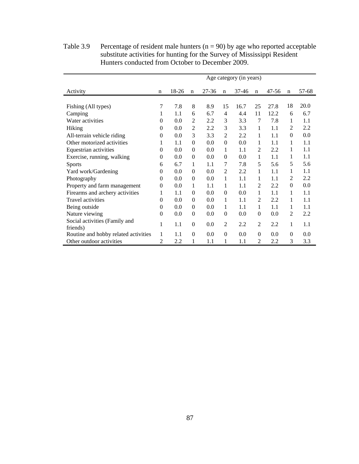|                                           | Age category (in years) |       |                  |           |                  |       |                |       |             |       |
|-------------------------------------------|-------------------------|-------|------------------|-----------|------------------|-------|----------------|-------|-------------|-------|
| Activity                                  | n                       | 18-26 | $\mathbf n$      | $27 - 36$ | $\mathbf n$      | 37-46 | $\mathbf n$    | 47-56 | $\mathbf n$ | 57-68 |
| Fishing (All types)                       | 7                       | 7.8   | 8                | 8.9       | 15               | 16.7  | 25             | 27.8  | 18          | 20.0  |
| Camping                                   | 1                       | 1.1   | 6                | 6.7       | $\overline{4}$   | 4.4   | 11             | 12.2  | 6           | 6.7   |
| Water activities                          | $\theta$                | 0.0   | 2                | 2.2       | 3                | 3.3   | 7              | 7.8   | 1           | 1.1   |
|                                           |                         |       |                  |           |                  |       |                |       | 2           | 2.2   |
| Hiking                                    | $\Omega$                | 0.0   | $\overline{2}$   | 2.2       | 3                | 3.3   | 1              | 1.1   |             |       |
| All-terrain vehicle riding                | $\theta$                | 0.0   | 3                | 3.3       | 2                | 2.2   | 1              | 1.1   | $\theta$    | 0.0   |
| Other motorized activities                | 1                       | 1.1   | $\mathbf{0}$     | 0.0       | $\mathbf{0}$     | 0.0   | 1              | 1.1   | 1           | 1.1   |
| Equestrian activities                     | $\theta$                | 0.0   | $\mathbf{0}$     | 0.0       | 1                | 1.1   | $\overline{2}$ | 2.2   | 1           | 1.1   |
| Exercise, running, walking                | $\theta$                | 0.0   | $\mathbf{0}$     | 0.0       | $\Omega$         | 0.0   | 1              | 1.1   | 1           | 1.1   |
| <b>Sports</b>                             | 6                       | 6.7   | 1                | 1.1       | 7                | 7.8   | 5              | 5.6   | 5           | 5.6   |
| Yard work/Gardening                       | $\theta$                | 0.0   | $\theta$         | 0.0       | $\overline{c}$   | 2.2   | 1              | 1.1   | 1           | 1.1   |
| Photography                               | $\theta$                | 0.0   | $\mathbf{0}$     | 0.0       | 1                | 1.1   | 1              | 1.1   | 2           | 2.2   |
| Property and farm management              | $\theta$                | 0.0   | 1                | 1.1       | 1                | 1.1   | $\overline{2}$ | 2.2   | $\Omega$    | 0.0   |
| Firearms and archery activities           | 1                       | 1.1   | $\mathbf{0}$     | 0.0       | $\Omega$         | 0.0   | 1              | 1.1   | 1           | 1.1   |
| <b>Travel activities</b>                  | $\theta$                | 0.0   | $\mathbf{0}$     | 0.0       | 1                | 1.1   | $\overline{2}$ | 2.2   | 1           | 1.1   |
| Being outside                             | $\theta$                | 0.0   | $\mathbf{0}$     | 0.0       | 1                | 1.1   | 1              | 1.1   | 1           | 1.1   |
| Nature viewing                            | $\theta$                | 0.0   | $\mathbf{0}$     | 0.0       | $\mathbf{0}$     | 0.0   | $\mathbf{0}$   | 0.0   | 2           | 2.2   |
| Social activities (Family and<br>friends) | 1                       | 1.1   | $\mathbf{0}$     | 0.0       | 2                | 2.2   | $\overline{2}$ | 2.2   | 1           | 1.1   |
| Routine and hobby related activities      | 1                       | 1.1   | $\boldsymbol{0}$ | 0.0       | $\boldsymbol{0}$ | 0.0   | $\theta$       | 0.0   | $\theta$    | 0.0   |
| Other outdoor activities                  | 2                       | 2.2   | 1                | 1.1       | 1                | 1.1   | $\overline{2}$ | 2.2   | 3           | 3.3   |

Table 3.9 Percentage of resident male hunters  $(n = 90)$  by age who reported acceptable substitute activities for hunting for the Survey of Mississippi Resident Hunters conducted from October to December 2009.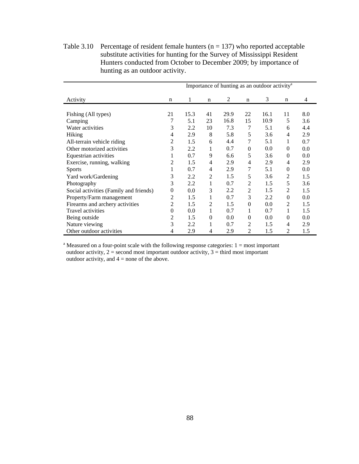Table 3.10 Percentage of resident female hunters ( $n = 137$ ) who reported acceptable substitute activities for hunting for the Survey of Mississippi Resident Hunters conducted from October to December 2009; by importance of hunting as an outdoor activity.

|                                        | Importance of hunting as an outdoor activity <sup>a</sup> |      |                |      |                |      |                |     |  |  |
|----------------------------------------|-----------------------------------------------------------|------|----------------|------|----------------|------|----------------|-----|--|--|
| Activity                               | n                                                         | 1    | n              | 2    | n              | 3    | n              | 4   |  |  |
| Fishing (All types)                    | 21                                                        | 15.3 | 41             | 29.9 | 22             | 16.1 | 11             | 8.0 |  |  |
| Camping                                |                                                           | 5.1  | 23             | 16.8 | 15             | 10.9 | 5              | 3.6 |  |  |
| Water activities                       | 3                                                         | 2.2  | 10             | 7.3  | 7              | 5.1  | 6              | 4.4 |  |  |
| Hiking                                 | 4                                                         | 2.9  | 8              | 5.8  | 5              | 3.6  | 4              | 2.9 |  |  |
| All-terrain vehicle riding             | 2                                                         | 1.5  | 6              | 4.4  | 7              | 5.1  | 1              | 0.7 |  |  |
| Other motorized activities             | 3                                                         | 2.2  | 1              | 0.7  | $\mathbf{0}$   | 0.0  | $\overline{0}$ | 0.0 |  |  |
| Equestrian activities                  | 1                                                         | 0.7  | 9              | 6.6  | 5              | 3.6  | $\theta$       | 0.0 |  |  |
| Exercise, running, walking             | 2                                                         | 1.5  | 4              | 2.9  | 4              | 2.9  | 4              | 2.9 |  |  |
| <b>Sports</b>                          | 1                                                         | 0.7  | $\overline{4}$ | 2.9  | 7              | 5.1  | $\theta$       | 0.0 |  |  |
| Yard work/Gardening                    | 3                                                         | 2.2  | $\overline{2}$ | 1.5  | 5              | 3.6  | $\overline{2}$ | 1.5 |  |  |
| Photography                            | 3                                                         | 2.2  | 1              | 0.7  | 2              | 1.5  | 5              | 3.6 |  |  |
| Social activities (Family and friends) | 0                                                         | 0.0  | 3              | 2.2  | 2              | 1.5  | $\overline{2}$ | 1.5 |  |  |
| Property/Farm management               | 2                                                         | 1.5  | 1              | 0.7  | 3              | 2.2  | $\theta$       | 0.0 |  |  |
| Firearms and archery activities        | 2                                                         | 1.5  | 2              | 1.5  | $\overline{0}$ | 0.0  | $\overline{2}$ | 1.5 |  |  |
| <b>Travel activities</b>               | $\overline{0}$                                            | 0.0  | 1              | 0.7  | 1              | 0.7  | 1              | 1.5 |  |  |
| Being outside                          | 2                                                         | 1.5  | $\theta$       | 0.0  | $\theta$       | 0.0  | $\theta$       | 0.0 |  |  |
| Nature viewing                         | 3                                                         | 2.2  | 1              | 0.7  | 2              | 1.5  | 4              | 2.9 |  |  |
| Other outdoor activities               | 4                                                         | 2.9  | 4              | 2.9  | 2              | 1.5  | 2              | 1.5 |  |  |

<sup>a</sup> Measured on a four-point scale with the following response categories:  $1 = \text{most important}$ outdoor activity,  $2 =$  second most important outdoor activity,  $3 =$  third most important outdoor activity, and  $4 =$  none of the above.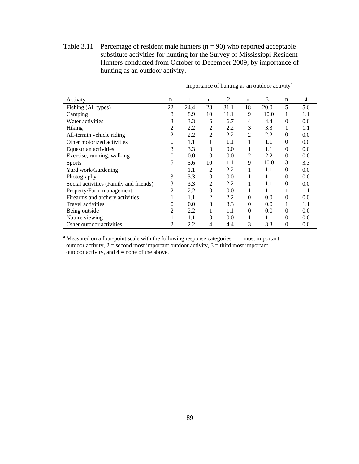Table 3.11 Percentage of resident male hunters  $(n = 90)$  who reported acceptable substitute activities for hunting for the Survey of Mississippi Resident Hunters conducted from October to December 2009; by importance of hunting as an outdoor activity.

|                                        | Importance of hunting as an outdoor activity <sup>a</sup> |      |                |      |                |      |             |     |  |
|----------------------------------------|-----------------------------------------------------------|------|----------------|------|----------------|------|-------------|-----|--|
| Activity                               | n                                                         |      | n              | 2    | n              | 3    | $\mathbf n$ | 4   |  |
| Fishing (All types)                    | 22                                                        | 24.4 | 28             | 31.1 | 18             | 20.0 | 5           | 5.6 |  |
| Camping                                | 8                                                         | 8.9  | 10             | 11.1 | 9              | 10.0 | 1           | 1.1 |  |
| Water activities                       | 3                                                         | 3.3  | 6              | 6.7  | 4              | 4.4  | $\Omega$    | 0.0 |  |
| Hiking                                 | 2                                                         | 2.2  | 2              | 2.2  | 3              | 3.3  | 1           | 1.1 |  |
| All-terrain vehicle riding             | 2                                                         | 2.2  | $\overline{2}$ | 2.2  | $\overline{2}$ | 2.2  | 0           | 0.0 |  |
| Other motorized activities             | 1                                                         | 1.1  | 1              | 1.1  | 1              | 1.1  | $\Omega$    | 0.0 |  |
| Equestrian activities                  | 3                                                         | 3.3  | $\theta$       | 0.0  |                | 1.1  | $\Omega$    | 0.0 |  |
| Exercise, running, walking             | 0                                                         | 0.0  | $\Omega$       | 0.0  | 2              | 2.2  | $\theta$    | 0.0 |  |
| <b>Sports</b>                          | 5                                                         | 5.6  | 10             | 11.1 | 9              | 10.0 | 3           | 3.3 |  |
| Yard work/Gardening                    | 1                                                         | 1.1  | 2              | 2.2  | 1              | 1.1  | 0           | 0.0 |  |
| Photography                            | 3                                                         | 3.3  | $\theta$       | 0.0  | 1              | 1.1  | $\Omega$    | 0.0 |  |
| Social activities (Family and friends) | 3                                                         | 3.3  | 2              | 2.2  | 1              | 1.1  | 0           | 0.0 |  |
| Property/Farm management               | 2                                                         | 2.2  | $\theta$       | 0.0  |                | 1.1  |             | 1.1 |  |
| Firearms and archery activities        | 1.                                                        | 1.1  | 2              | 2.2  | $\Omega$       | 0.0  | $\theta$    | 0.0 |  |
| <b>Travel activities</b>               | 0                                                         | 0.0  | 3              | 3.3  | $\theta$       | 0.0  |             | 1.1 |  |
| Being outside                          | 2                                                         | 2.2  | 1              | 1.1  | $\Omega$       | 0.0  | 0           | 0.0 |  |
| Nature viewing                         |                                                           | 1.1  | 0              | 0.0  | 1              | 1.1  | $\Omega$    | 0.0 |  |
| Other outdoor activities               | $\overline{c}$                                            | 2.2  | 4              | 4.4  | 3              | 3.3  | 0           | 0.0 |  |

<sup>a</sup> Measured on a four-point scale with the following response categories:  $1 = \text{most important}$ outdoor activity,  $2 =$  second most important outdoor activity,  $3 =$  third most important outdoor activity, and  $4 =$  none of the above.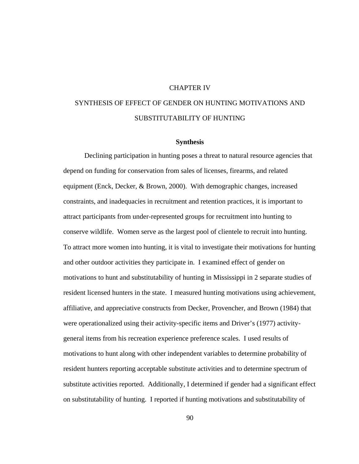## CHAPTER IV

# SYNTHESIS OF EFFECT OF GENDER ON HUNTING MOTIVATIONS AND SUBSTITUTABILITY OF HUNTING

## **Synthesis**

Declining participation in hunting poses a threat to natural resource agencies that depend on funding for conservation from sales of licenses, firearms, and related equipment (Enck, Decker, & Brown, 2000). With demographic changes, increased constraints, and inadequacies in recruitment and retention practices, it is important to attract participants from under-represented groups for recruitment into hunting to conserve wildlife. Women serve as the largest pool of clientele to recruit into hunting. To attract more women into hunting, it is vital to investigate their motivations for hunting and other outdoor activities they participate in. I examined effect of gender on motivations to hunt and substitutability of hunting in Mississippi in 2 separate studies of resident licensed hunters in the state. I measured hunting motivations using achievement, affiliative, and appreciative constructs from Decker, Provencher, and Brown (1984) that were operationalized using their activity-specific items and Driver's (1977) activitygeneral items from his recreation experience preference scales. I used results of motivations to hunt along with other independent variables to determine probability of resident hunters reporting acceptable substitute activities and to determine spectrum of substitute activities reported. Additionally, I determined if gender had a significant effect on substitutability of hunting. I reported if hunting motivations and substitutability of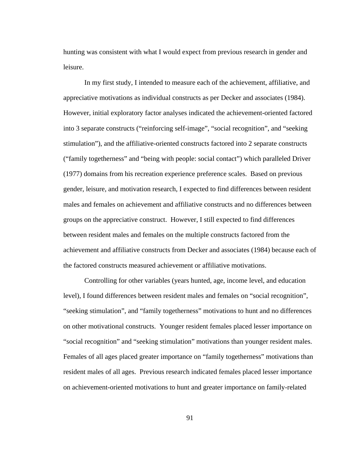hunting was consistent with what I would expect from previous research in gender and leisure.

In my first study, I intended to measure each of the achievement, affiliative, and appreciative motivations as individual constructs as per Decker and associates (1984). However, initial exploratory factor analyses indicated the achievement-oriented factored into 3 separate constructs ("reinforcing self-image", "social recognition", and "seeking stimulation"), and the affiliative-oriented constructs factored into 2 separate constructs ("family togetherness" and "being with people: social contact") which paralleled Driver (1977) domains from his recreation experience preference scales. Based on previous gender, leisure, and motivation research, I expected to find differences between resident males and females on achievement and affiliative constructs and no differences between groups on the appreciative construct. However, I still expected to find differences between resident males and females on the multiple constructs factored from the achievement and affiliative constructs from Decker and associates (1984) because each of the factored constructs measured achievement or affiliative motivations.

Controlling for other variables (years hunted, age, income level, and education level), I found differences between resident males and females on "social recognition", "seeking stimulation", and "family togetherness" motivations to hunt and no differences on other motivational constructs. Younger resident females placed lesser importance on "social recognition" and "seeking stimulation" motivations than younger resident males. Females of all ages placed greater importance on "family togetherness" motivations than resident males of all ages. Previous research indicated females placed lesser importance on achievement-oriented motivations to hunt and greater importance on family-related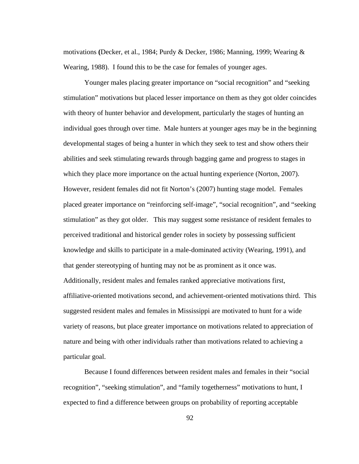motivations **(**Decker, et al., 1984; Purdy & Decker, 1986; Manning, 1999; Wearing & Wearing, 1988). I found this to be the case for females of younger ages.

Younger males placing greater importance on "social recognition" and "seeking stimulation" motivations but placed lesser importance on them as they got older coincides with theory of hunter behavior and development, particularly the stages of hunting an individual goes through over time. Male hunters at younger ages may be in the beginning developmental stages of being a hunter in which they seek to test and show others their abilities and seek stimulating rewards through bagging game and progress to stages in which they place more importance on the actual hunting experience (Norton, 2007). However, resident females did not fit Norton's (2007) hunting stage model. Females placed greater importance on "reinforcing self-image", "social recognition", and "seeking stimulation" as they got older. This may suggest some resistance of resident females to perceived traditional and historical gender roles in society by possessing sufficient knowledge and skills to participate in a male-dominated activity (Wearing, 1991), and that gender stereotyping of hunting may not be as prominent as it once was. Additionally, resident males and females ranked appreciative motivations first, affiliative-oriented motivations second, and achievement-oriented motivations third. This suggested resident males and females in Mississippi are motivated to hunt for a wide variety of reasons, but place greater importance on motivations related to appreciation of nature and being with other individuals rather than motivations related to achieving a particular goal.

Because I found differences between resident males and females in their "social recognition", "seeking stimulation", and "family togetherness" motivations to hunt, I expected to find a difference between groups on probability of reporting acceptable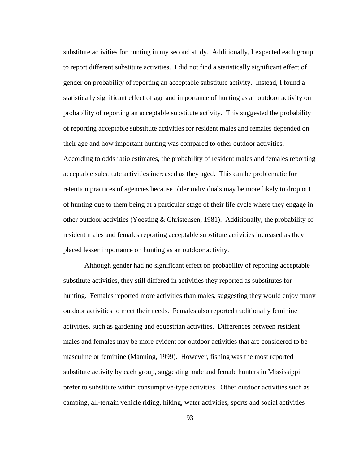substitute activities for hunting in my second study. Additionally, I expected each group to report different substitute activities. I did not find a statistically significant effect of gender on probability of reporting an acceptable substitute activity. Instead, I found a statistically significant effect of age and importance of hunting as an outdoor activity on probability of reporting an acceptable substitute activity. This suggested the probability of reporting acceptable substitute activities for resident males and females depended on their age and how important hunting was compared to other outdoor activities. According to odds ratio estimates, the probability of resident males and females reporting acceptable substitute activities increased as they aged. This can be problematic for retention practices of agencies because older individuals may be more likely to drop out of hunting due to them being at a particular stage of their life cycle where they engage in other outdoor activities (Yoesting & Christensen, 1981). Additionally, the probability of resident males and females reporting acceptable substitute activities increased as they placed lesser importance on hunting as an outdoor activity.

Although gender had no significant effect on probability of reporting acceptable substitute activities, they still differed in activities they reported as substitutes for hunting. Females reported more activities than males, suggesting they would enjoy many outdoor activities to meet their needs. Females also reported traditionally feminine activities, such as gardening and equestrian activities. Differences between resident males and females may be more evident for outdoor activities that are considered to be masculine or feminine (Manning, 1999).However, fishing was the most reported substitute activity by each group, suggesting male and female hunters in Mississippi prefer to substitute within consumptive-type activities. Other outdoor activities such as camping, all-terrain vehicle riding, hiking, water activities, sports and social activities

93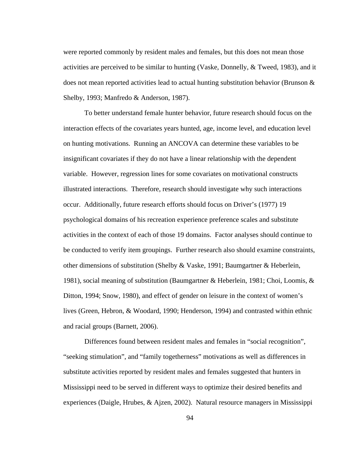were reported commonly by resident males and females, but this does not mean those activities are perceived to be similar to hunting (Vaske, Donnelly, & Tweed, 1983), and it does not mean reported activities lead to actual hunting substitution behavior (Brunson  $\&$ Shelby, 1993; Manfredo & Anderson, 1987).

To better understand female hunter behavior, future research should focus on the interaction effects of the covariates years hunted, age, income level, and education level on hunting motivations. Running an ANCOVA can determine these variables to be insignificant covariates if they do not have a linear relationship with the dependent variable. However, regression lines for some covariates on motivational constructs illustrated interactions. Therefore, research should investigate why such interactions occur. Additionally, future research efforts should focus on Driver's (1977) 19 psychological domains of his recreation experience preference scales and substitute activities in the context of each of those 19 domains. Factor analyses should continue to be conducted to verify item groupings. Further research also should examine constraints, other dimensions of substitution (Shelby & Vaske, 1991; Baumgartner & Heberlein, 1981), social meaning of substitution (Baumgartner & Heberlein, 1981; Choi, Loomis, & Ditton, 1994; Snow, 1980), and effect of gender on leisure in the context of women's lives (Green, Hebron, & Woodard, 1990; Henderson, 1994) and contrasted within ethnic and racial groups (Barnett, 2006).

Differences found between resident males and females in "social recognition", "seeking stimulation", and "family togetherness" motivations as well as differences in substitute activities reported by resident males and females suggested that hunters in Mississippi need to be served in different ways to optimize their desired benefits and experiences (Daigle, Hrubes, & Ajzen, 2002). Natural resource managers in Mississippi

94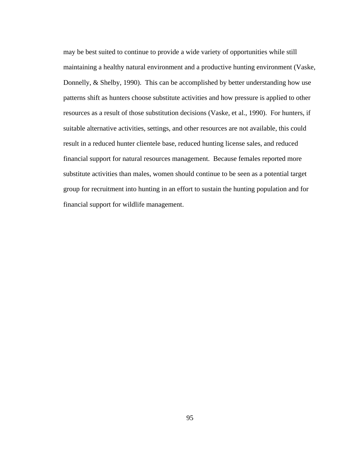may be best suited to continue to provide a wide variety of opportunities while still maintaining a healthy natural environment and a productive hunting environment (Vaske, Donnelly, & Shelby, 1990). This can be accomplished by better understanding how use patterns shift as hunters choose substitute activities and how pressure is applied to other resources as a result of those substitution decisions (Vaske, et al., 1990). For hunters, if suitable alternative activities, settings, and other resources are not available, this could result in a reduced hunter clientele base, reduced hunting license sales, and reduced financial support for natural resources management. Because females reported more substitute activities than males, women should continue to be seen as a potential target group for recruitment into hunting in an effort to sustain the hunting population and for financial support for wildlife management.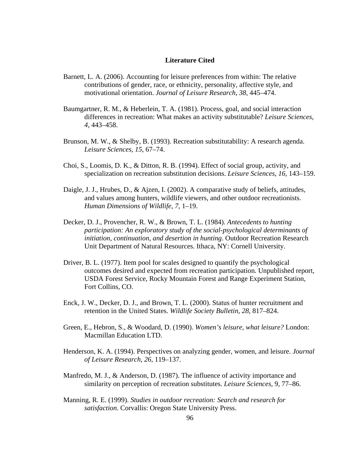## **Literature Cited**

- Barnett, L. A. (2006). Accounting for leisure preferences from within: The relative contributions of gender, race, or ethnicity, personality, affective style, and motivational orientation. *Journal of Leisure Research*, *38*, 445–474.
- Baumgartner, R. M., & Heberlein, T. A. (1981). Process, goal, and social interaction differences in recreation: What makes an activity substitutable? *Leisure Sciences*, *4*, 443–458.
- Brunson, M. W., & Shelby, B. (1993). Recreation substitutability: A research agenda. *Leisure Sciences*, *15*, 67–74.
- Choi, S., Loomis, D. K., & Ditton, R. B. (1994). Effect of social group, activity, and specialization on recreation substitution decisions. *Leisure Sciences*, *16*, 143–159.
- Daigle, J. J., Hrubes, D., & Ajzen, I. (2002). A comparative study of beliefs, attitudes, and values among hunters, wildlife viewers, and other outdoor recreationists. *Human Dimensions of Wildlife*, *7*, 1–19.
- Decker, D. J., Provencher, R. W., & Brown, T. L. (1984). *Antecedents to hunting participation: An exploratory study of the social-psychological determinants of initiation, continuation, and desertion in hunting*. Outdoor Recreation Research Unit Department of Natural Resources. Ithaca, NY: Cornell University.
- Driver, B. L. (1977). Item pool for scales designed to quantify the psychological outcomes desired and expected from recreation participation*.* Unpublished report, USDA Forest Service, Rocky Mountain Forest and Range Experiment Station, Fort Collins, CO.
- Enck, J. W., Decker, D. J., and Brown, T. L. (2000). Status of hunter recruitment and retention in the United States. *Wildlife Society Bulletin, 28*, 817–824.
- Green, E., Hebron, S., & Woodard, D. (1990). *Women's leisure, what leisure?* London: Macmillan Education LTD.
- Henderson, K. A. (1994). Perspectives on analyzing gender, women, and leisure. *Journal of Leisure Research*, *26*, 119–137.
- Manfredo, M. J., & Anderson, D. (1987). The influence of activity importance and similarity on perception of recreation substitutes. *Leisure Sciences*, 9, 77–86.
- Manning, R. E. (1999). *Studies in outdoor recreation: Search and research for satisfaction*. Corvallis: Oregon State University Press.